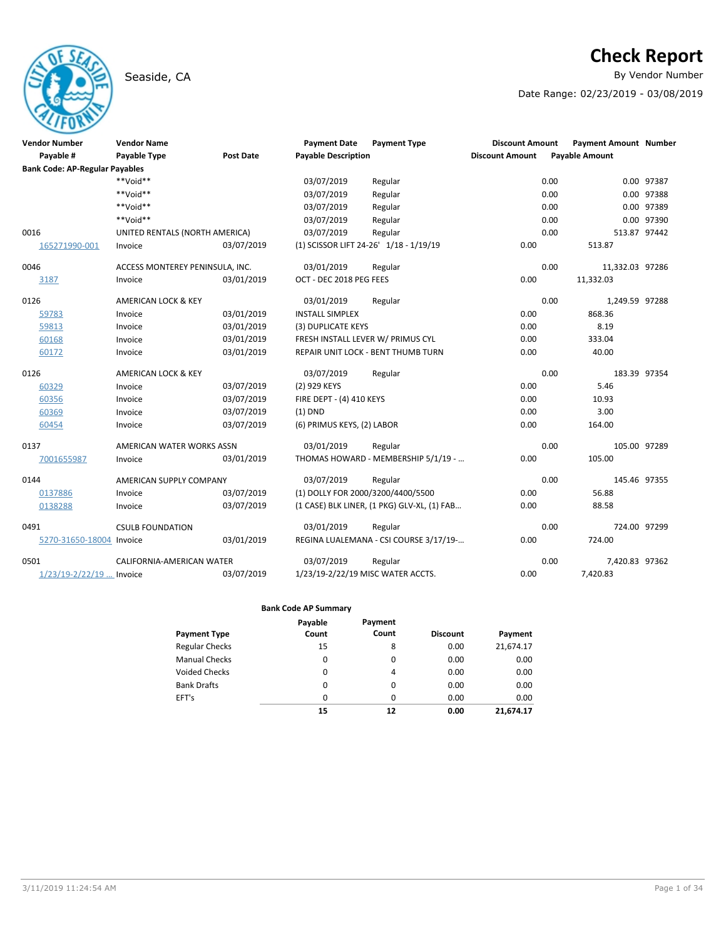# Seaside, CA **By Vendor Number**

# **Check Report**

Date Range: 02/23/2019 - 03/08/2019

| <b>Vendor Number</b><br>Payable #     | <b>Vendor Name</b><br>Payable Type | <b>Post Date</b> | <b>Payment Date</b><br><b>Payable Description</b> | <b>Payment Type</b>                         | <b>Discount Amount</b><br><b>Discount Amount</b> | <b>Payment Amount Number</b><br><b>Payable Amount</b> |              |
|---------------------------------------|------------------------------------|------------------|---------------------------------------------------|---------------------------------------------|--------------------------------------------------|-------------------------------------------------------|--------------|
| <b>Bank Code: AP-Regular Payables</b> |                                    |                  |                                                   |                                             |                                                  |                                                       |              |
|                                       | $**$ Noid**                        |                  | 03/07/2019                                        | Regular                                     |                                                  | 0.00                                                  | 0.00 97387   |
|                                       | **Void**                           |                  | 03/07/2019                                        | Regular                                     |                                                  | 0.00                                                  | 0.00 97388   |
|                                       | **Void**                           |                  | 03/07/2019                                        | Regular                                     |                                                  | 0.00                                                  | 0.00 97389   |
|                                       | **Void**                           |                  | 03/07/2019                                        | Regular                                     |                                                  | 0.00                                                  | 0.00 97390   |
| 0016                                  | UNITED RENTALS (NORTH AMERICA)     |                  | 03/07/2019                                        | Regular                                     |                                                  | 0.00                                                  | 513.87 97442 |
| 165271990-001                         | Invoice                            | 03/07/2019       |                                                   | (1) SCISSOR LIFT 24-26' 1/18 - 1/19/19      | 0.00                                             | 513.87                                                |              |
| 0046                                  | ACCESS MONTEREY PENINSULA, INC.    |                  | 03/01/2019                                        | Regular                                     |                                                  | 0.00<br>11,332.03 97286                               |              |
| 3187                                  | Invoice                            | 03/01/2019       | OCT - DEC 2018 PEG FEES                           |                                             | 0.00                                             | 11,332.03                                             |              |
| 0126                                  | AMERICAN LOCK & KEY                |                  | 03/01/2019                                        | Regular                                     |                                                  | 0.00<br>1,249.59 97288                                |              |
| 59783                                 | Invoice                            | 03/01/2019       | <b>INSTALL SIMPLEX</b>                            |                                             | 0.00                                             | 868.36                                                |              |
| 59813                                 | Invoice                            | 03/01/2019       | (3) DUPLICATE KEYS                                |                                             | 0.00                                             | 8.19                                                  |              |
| 60168                                 | Invoice                            | 03/01/2019       | FRESH INSTALL LEVER W/ PRIMUS CYL                 |                                             | 0.00                                             | 333.04                                                |              |
| 60172                                 | Invoice                            | 03/01/2019       |                                                   | REPAIR UNIT LOCK - BENT THUMB TURN          | 0.00                                             | 40.00                                                 |              |
| 0126                                  | AMERICAN LOCK & KEY                |                  | 03/07/2019                                        | Regular                                     |                                                  | 0.00                                                  | 183.39 97354 |
| 60329                                 | Invoice                            | 03/07/2019       | (2) 929 KEYS                                      |                                             | 0.00                                             | 5.46                                                  |              |
| 60356                                 | Invoice                            | 03/07/2019       | FIRE DEPT - (4) 410 KEYS                          |                                             | 0.00                                             | 10.93                                                 |              |
| 60369                                 | Invoice                            | 03/07/2019       | $(1)$ DND                                         |                                             | 0.00                                             | 3.00                                                  |              |
| 60454                                 | Invoice                            | 03/07/2019       | (6) PRIMUS KEYS, (2) LABOR                        |                                             | 0.00                                             | 164.00                                                |              |
| 0137                                  | AMERICAN WATER WORKS ASSN          |                  | 03/01/2019                                        | Regular                                     |                                                  | 0.00                                                  | 105.00 97289 |
| 7001655987                            | Invoice                            | 03/01/2019       |                                                   | THOMAS HOWARD - MEMBERSHIP 5/1/19 -         | 0.00                                             | 105.00                                                |              |
| 0144                                  | AMERICAN SUPPLY COMPANY            |                  | 03/07/2019                                        | Regular                                     |                                                  | 0.00                                                  | 145.46 97355 |
| 0137886                               | Invoice                            | 03/07/2019       | (1) DOLLY FOR 2000/3200/4400/5500                 |                                             | 0.00                                             | 56.88                                                 |              |
| 0138288                               | Invoice                            | 03/07/2019       |                                                   | (1 CASE) BLK LINER, (1 PKG) GLV-XL, (1) FAB | 0.00                                             | 88.58                                                 |              |
| 0491                                  | <b>CSULB FOUNDATION</b>            |                  | 03/01/2019                                        | Regular                                     |                                                  | 0.00                                                  | 724.00 97299 |
| 5270-31650-18004 Invoice              |                                    | 03/01/2019       |                                                   | REGINA LUALEMANA - CSI COURSE 3/17/19-      | 0.00                                             | 724.00                                                |              |
| 0501                                  | CALIFORNIA-AMERICAN WATER          |                  | 03/07/2019                                        | Regular                                     |                                                  | 0.00<br>7,420.83 97362                                |              |
| 1/23/19-2/22/19  Invoice              |                                    | 03/07/2019       | 1/23/19-2/22/19 MISC WATER ACCTS.                 |                                             | 0.00                                             | 7,420.83                                              |              |

|                       | Payable  | Payment  |                 |           |
|-----------------------|----------|----------|-----------------|-----------|
| <b>Payment Type</b>   | Count    | Count    | <b>Discount</b> | Payment   |
| <b>Regular Checks</b> | 15       | 8        | 0.00            | 21,674.17 |
| <b>Manual Checks</b>  | 0        | $\Omega$ | 0.00            | 0.00      |
| <b>Voided Checks</b>  | 0        | 4        | 0.00            | 0.00      |
| <b>Bank Drafts</b>    | $\Omega$ | $\Omega$ | 0.00            | 0.00      |
| EFT's                 | 0        | $\Omega$ | 0.00            | 0.00      |
|                       | 15       | 12       | 0.00            | 21.674.17 |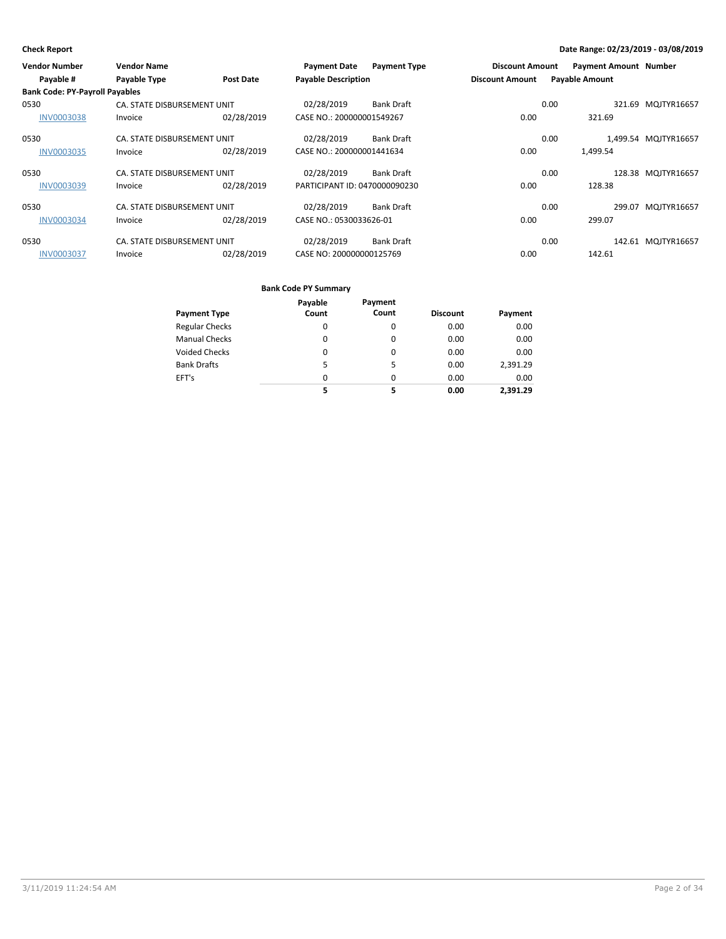| <b>Vendor Number</b>                  | <b>Vendor Name</b>          |                  | <b>Payment Date</b>           | <b>Payment Type</b> | <b>Discount Amount</b> | <b>Payment Amount Number</b> |                      |
|---------------------------------------|-----------------------------|------------------|-------------------------------|---------------------|------------------------|------------------------------|----------------------|
| Payable #                             | Payable Type                | <b>Post Date</b> | <b>Payable Description</b>    |                     | <b>Discount Amount</b> | <b>Payable Amount</b>        |                      |
| <b>Bank Code: PY-Payroll Payables</b> |                             |                  |                               |                     |                        |                              |                      |
| 0530                                  | CA. STATE DISBURSEMENT UNIT |                  | 02/28/2019                    | <b>Bank Draft</b>   |                        | 0.00                         | 321.69 MQJTYR16657   |
| <b>INV0003038</b>                     | Invoice                     | 02/28/2019       | CASE NO.: 200000001549267     |                     | 0.00                   | 321.69                       |                      |
| 0530                                  | CA. STATE DISBURSEMENT UNIT |                  | 02/28/2019                    | <b>Bank Draft</b>   |                        | 0.00                         | 1,499.54 MQJTYR16657 |
| <b>INV0003035</b>                     | Invoice                     | 02/28/2019       | CASE NO.: 200000001441634     |                     | 0.00                   | 1.499.54                     |                      |
| 0530                                  | CA. STATE DISBURSEMENT UNIT |                  | 02/28/2019                    | <b>Bank Draft</b>   |                        | 0.00                         | 128.38 MQJTYR16657   |
| <b>INV0003039</b>                     | Invoice                     | 02/28/2019       | PARTICIPANT ID: 0470000090230 |                     | 0.00                   | 128.38                       |                      |
| 0530                                  | CA. STATE DISBURSEMENT UNIT |                  | 02/28/2019                    | <b>Bank Draft</b>   |                        | 0.00                         | 299.07 MQJTYR16657   |
| <b>INV0003034</b>                     | Invoice                     | 02/28/2019       | CASE NO.: 0530033626-01       |                     | 0.00                   | 299.07                       |                      |
| 0530                                  | CA. STATE DISBURSEMENT UNIT |                  | 02/28/2019                    | <b>Bank Draft</b>   |                        | 0.00                         | 142.61 MQJTYR16657   |
| <b>INV0003037</b>                     | Invoice                     | 02/28/2019       | CASE NO: 200000000125769      |                     | 0.00                   | 142.61                       |                      |

|                       | Payable  | Payment  |                 |          |
|-----------------------|----------|----------|-----------------|----------|
| <b>Payment Type</b>   | Count    | Count    | <b>Discount</b> | Payment  |
| <b>Regular Checks</b> | 0        | 0        | 0.00            | 0.00     |
| <b>Manual Checks</b>  | 0        | 0        | 0.00            | 0.00     |
| <b>Voided Checks</b>  | 0        | $\Omega$ | 0.00            | 0.00     |
| <b>Bank Drafts</b>    | 5        | 5        | 0.00            | 2,391.29 |
| EFT's                 | $\Omega$ | $\Omega$ | 0.00            | 0.00     |
|                       | 5        | 5        | 0.00            | 2.391.29 |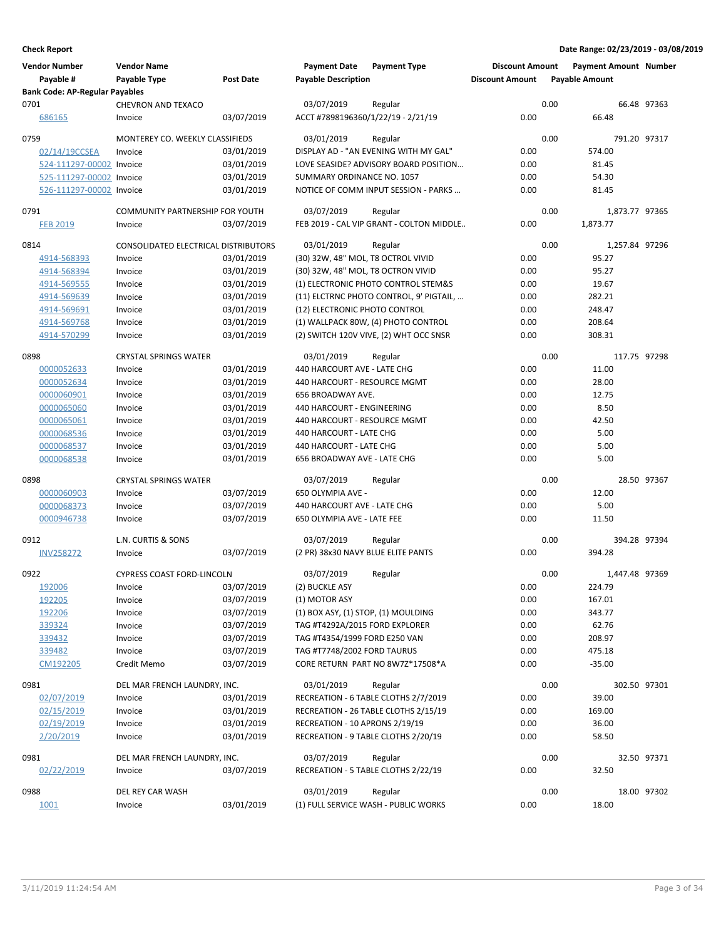| <b>Vendor Number</b>                               | <b>Vendor Name</b>                     |                  | <b>Payment Date</b>                 | <b>Payment Type</b>                      | <b>Discount Amount</b> |      | <b>Payment Amount Number</b> |              |
|----------------------------------------------------|----------------------------------------|------------------|-------------------------------------|------------------------------------------|------------------------|------|------------------------------|--------------|
| Payable #<br><b>Bank Code: AP-Regular Payables</b> | Payable Type                           | <b>Post Date</b> | <b>Payable Description</b>          |                                          | <b>Discount Amount</b> |      | <b>Payable Amount</b>        |              |
| 0701                                               | <b>CHEVRON AND TEXACO</b>              |                  | 03/07/2019                          | Regular                                  |                        | 0.00 |                              | 66.48 97363  |
| 686165                                             | Invoice                                | 03/07/2019       | ACCT #7898196360/1/22/19 - 2/21/19  |                                          | 0.00                   |      | 66.48                        |              |
| 0759                                               | MONTEREY CO. WEEKLY CLASSIFIEDS        |                  | 03/01/2019                          | Regular                                  |                        | 0.00 |                              | 791.20 97317 |
| 02/14/19CCSEA                                      | Invoice                                | 03/01/2019       |                                     | DISPLAY AD - "AN EVENING WITH MY GAL"    | 0.00                   |      | 574.00                       |              |
| 524-111297-00002 Invoice                           |                                        | 03/01/2019       |                                     | LOVE SEASIDE? ADVISORY BOARD POSITION    | 0.00                   |      | 81.45                        |              |
| 525-111297-00002 Invoice                           |                                        | 03/01/2019       | SUMMARY ORDINANCE NO. 1057          |                                          | 0.00                   |      | 54.30                        |              |
| 526-111297-00002 Invoice                           |                                        | 03/01/2019       |                                     | NOTICE OF COMM INPUT SESSION - PARKS     | 0.00                   |      | 81.45                        |              |
| 0791                                               | <b>COMMUNITY PARTNERSHIP FOR YOUTH</b> |                  | 03/07/2019                          | Regular                                  |                        | 0.00 | 1,873.77 97365               |              |
| <b>FEB 2019</b>                                    | Invoice                                | 03/07/2019       |                                     | FEB 2019 - CAL VIP GRANT - COLTON MIDDLE | 0.00                   |      | 1,873.77                     |              |
| 0814                                               | CONSOLIDATED ELECTRICAL DISTRIBUTORS   |                  | 03/01/2019                          | Regular                                  |                        | 0.00 | 1,257.84 97296               |              |
| 4914-568393                                        | Invoice                                | 03/01/2019       | (30) 32W, 48" MOL, T8 OCTROL VIVID  |                                          | 0.00                   |      | 95.27                        |              |
| 4914-568394                                        | Invoice                                | 03/01/2019       | (30) 32W, 48" MOL, T8 OCTRON VIVID  |                                          | 0.00                   |      | 95.27                        |              |
| 4914-569555                                        | Invoice                                | 03/01/2019       |                                     | (1) ELECTRONIC PHOTO CONTROL STEM&S      | 0.00                   |      | 19.67                        |              |
| 4914-569639                                        | Invoice                                | 03/01/2019       |                                     | (11) ELCTRNC PHOTO CONTROL, 9' PIGTAIL,  | 0.00                   |      | 282.21                       |              |
| 4914-569691                                        | Invoice                                | 03/01/2019       | (12) ELECTRONIC PHOTO CONTROL       |                                          | 0.00                   |      | 248.47                       |              |
| 4914-569768                                        | Invoice                                | 03/01/2019       |                                     | (1) WALLPACK 80W, (4) PHOTO CONTROL      | 0.00                   |      | 208.64                       |              |
| 4914-570299                                        | Invoice                                | 03/01/2019       |                                     | (2) SWITCH 120V VIVE, (2) WHT OCC SNSR   | 0.00                   |      | 308.31                       |              |
| 0898                                               | <b>CRYSTAL SPRINGS WATER</b>           |                  | 03/01/2019                          | Regular                                  |                        | 0.00 |                              | 117.75 97298 |
| 0000052633                                         | Invoice                                | 03/01/2019       | 440 HARCOURT AVE - LATE CHG         |                                          | 0.00                   |      | 11.00                        |              |
| 0000052634                                         | Invoice                                | 03/01/2019       | 440 HARCOURT - RESOURCE MGMT        |                                          | 0.00                   |      | 28.00                        |              |
| 0000060901                                         | Invoice                                | 03/01/2019       | 656 BROADWAY AVE.                   |                                          | 0.00                   |      | 12.75                        |              |
| 0000065060                                         | Invoice                                | 03/01/2019       | 440 HARCOURT - ENGINEERING          |                                          | 0.00                   |      | 8.50                         |              |
| 0000065061                                         | Invoice                                | 03/01/2019       | 440 HARCOURT - RESOURCE MGMT        |                                          | 0.00                   |      | 42.50                        |              |
| 0000068536                                         | Invoice                                | 03/01/2019       | 440 HARCOURT - LATE CHG             |                                          | 0.00                   |      | 5.00                         |              |
| 0000068537                                         | Invoice                                | 03/01/2019       | 440 HARCOURT - LATE CHG             |                                          | 0.00                   |      | 5.00                         |              |
| 0000068538                                         | Invoice                                | 03/01/2019       | 656 BROADWAY AVE - LATE CHG         |                                          | 0.00                   |      | 5.00                         |              |
| 0898                                               | <b>CRYSTAL SPRINGS WATER</b>           |                  | 03/07/2019                          | Regular                                  |                        | 0.00 |                              | 28.50 97367  |
| 0000060903                                         | Invoice                                | 03/07/2019       | 650 OLYMPIA AVE -                   |                                          | 0.00                   |      | 12.00                        |              |
| 0000068373                                         | Invoice                                | 03/07/2019       | 440 HARCOURT AVE - LATE CHG         |                                          | 0.00                   |      | 5.00                         |              |
| 0000946738                                         | Invoice                                | 03/07/2019       | 650 OLYMPIA AVE - LATE FEE          |                                          | 0.00                   |      | 11.50                        |              |
| 0912                                               | L.N. CURTIS & SONS                     |                  | 03/07/2019                          | Regular                                  |                        | 0.00 |                              | 394.28 97394 |
| <b>INV258272</b>                                   | Invoice                                | 03/07/2019       | (2 PR) 38x30 NAVY BLUE ELITE PANTS  |                                          | 0.00                   |      | 394.28                       |              |
| 0922                                               | <b>CYPRESS COAST FORD-LINCOLN</b>      |                  | 03/07/2019                          | Regular                                  |                        | 0.00 | 1,447.48 97369               |              |
| 192006                                             | Invoice                                | 03/07/2019       | (2) BUCKLE ASY                      |                                          | 0.00                   |      | 224.79                       |              |
| 192205                                             | Invoice                                | 03/07/2019       | (1) MOTOR ASY                       |                                          | 0.00                   |      | 167.01                       |              |
| 192206                                             | Invoice                                | 03/07/2019       | (1) BOX ASY, (1) STOP, (1) MOULDING |                                          | 0.00                   |      | 343.77                       |              |
| 339324                                             | Invoice                                | 03/07/2019       | TAG #T4292A/2015 FORD EXPLORER      |                                          | 0.00                   |      | 62.76                        |              |
| 339432                                             | Invoice                                | 03/07/2019       | TAG #T4354/1999 FORD E250 VAN       |                                          | 0.00                   |      | 208.97                       |              |
| 339482                                             | Invoice                                | 03/07/2019       | TAG #T7748/2002 FORD TAURUS         |                                          | 0.00                   |      | 475.18                       |              |
| CM192205                                           | Credit Memo                            | 03/07/2019       |                                     | CORE RETURN PART NO 8W7Z*17508*A         | 0.00                   |      | $-35.00$                     |              |
| 0981                                               | DEL MAR FRENCH LAUNDRY, INC.           |                  | 03/01/2019                          | Regular                                  |                        | 0.00 |                              | 302.50 97301 |
| 02/07/2019                                         | Invoice                                | 03/01/2019       |                                     | RECREATION - 6 TABLE CLOTHS 2/7/2019     | 0.00                   |      | 39.00                        |              |
| 02/15/2019                                         | Invoice                                | 03/01/2019       |                                     | RECREATION - 26 TABLE CLOTHS 2/15/19     | 0.00                   |      | 169.00                       |              |
| 02/19/2019                                         | Invoice                                | 03/01/2019       | RECREATION - 10 APRONS 2/19/19      |                                          | 0.00                   |      | 36.00                        |              |
| 2/20/2019                                          | Invoice                                | 03/01/2019       | RECREATION - 9 TABLE CLOTHS 2/20/19 |                                          | 0.00                   |      | 58.50                        |              |
| 0981                                               | DEL MAR FRENCH LAUNDRY, INC.           |                  | 03/07/2019                          | Regular                                  |                        | 0.00 |                              | 32.50 97371  |
| 02/22/2019                                         | Invoice                                | 03/07/2019       | RECREATION - 5 TABLE CLOTHS 2/22/19 |                                          | 0.00                   |      | 32.50                        |              |
| 0988                                               | DEL REY CAR WASH                       |                  | 03/01/2019                          | Regular                                  |                        | 0.00 |                              | 18.00 97302  |
| 1001                                               | Invoice                                | 03/01/2019       |                                     | (1) FULL SERVICE WASH - PUBLIC WORKS     | 0.00                   |      | 18.00                        |              |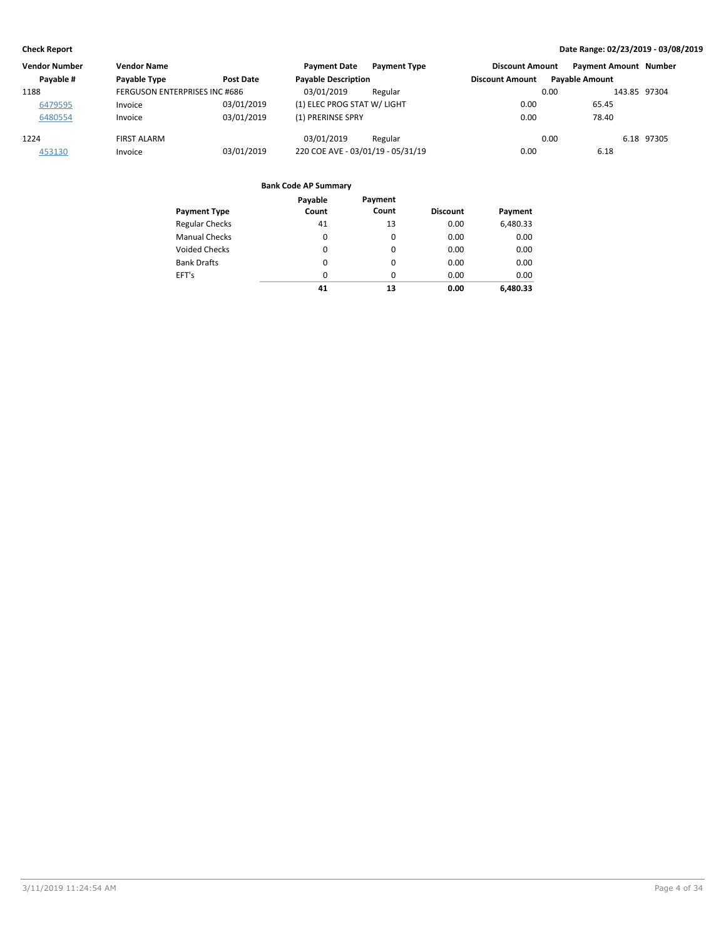| <b>Vendor Number</b> | <b>Vendor Name</b>            |            | <b>Payment Date</b><br><b>Payment Type</b> | <b>Discount Amount</b> | <b>Payment Amount Number</b> |
|----------------------|-------------------------------|------------|--------------------------------------------|------------------------|------------------------------|
| Payable #            | Payable Type                  | Post Date  | <b>Payable Description</b>                 | <b>Discount Amount</b> | <b>Pavable Amount</b>        |
| 1188                 | FERGUSON ENTERPRISES INC #686 |            | 03/01/2019<br>Regular                      | 0.00                   | 143.85 97304                 |
| 6479595              | Invoice                       | 03/01/2019 | (1) ELEC PROG STAT W/ LIGHT                | 0.00                   | 65.45                        |
| 6480554              | Invoice                       | 03/01/2019 | (1) PRERINSE SPRY                          | 0.00                   | 78.40                        |
| 1224                 | <b>FIRST ALARM</b>            |            | 03/01/2019<br>Regular                      | 0.00                   | 6.18 97305                   |
| 453130               | Invoice                       | 03/01/2019 | 220 COE AVE - 03/01/19 - 05/31/19          | 0.00                   | 6.18                         |

|                       | Payable  | Payment  |                 |          |
|-----------------------|----------|----------|-----------------|----------|
| <b>Payment Type</b>   | Count    | Count    | <b>Discount</b> | Payment  |
| <b>Regular Checks</b> | 41       | 13       | 0.00            | 6,480.33 |
| <b>Manual Checks</b>  | 0        | 0        | 0.00            | 0.00     |
| <b>Voided Checks</b>  | $\Omega$ | 0        | 0.00            | 0.00     |
| <b>Bank Drafts</b>    | 0        | $\Omega$ | 0.00            | 0.00     |
| EFT's                 | 0        | $\Omega$ | 0.00            | 0.00     |
|                       | 41       | 13       | 0.00            | 6.480.33 |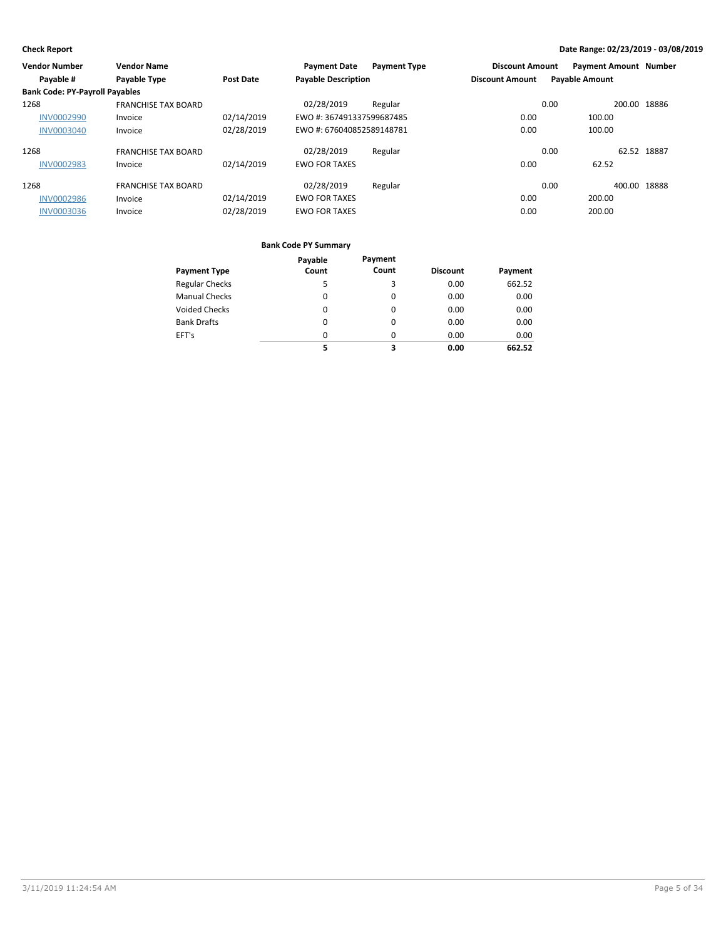| <b>Vendor Number</b>                  | <b>Vendor Name</b>         |                  | <b>Payment Date</b>        | <b>Payment Type</b> | <b>Discount Amount</b> | <b>Payment Amount Number</b> |             |
|---------------------------------------|----------------------------|------------------|----------------------------|---------------------|------------------------|------------------------------|-------------|
| Payable #                             | Payable Type               | <b>Post Date</b> | <b>Payable Description</b> |                     | <b>Discount Amount</b> | <b>Payable Amount</b>        |             |
| <b>Bank Code: PY-Payroll Payables</b> |                            |                  |                            |                     |                        |                              |             |
| 1268                                  | <b>FRANCHISE TAX BOARD</b> |                  | 02/28/2019                 | Regular             |                        | 200.00<br>0.00               | 18886       |
| <b>INV0002990</b>                     | Invoice                    | 02/14/2019       | EWO #: 367491337599687485  |                     | 0.00                   | 100.00                       |             |
| <b>INV0003040</b>                     | Invoice                    | 02/28/2019       | EWO #: 676040852589148781  |                     | 0.00                   | 100.00                       |             |
| 1268                                  | <b>FRANCHISE TAX BOARD</b> |                  | 02/28/2019                 | Regular             |                        | 0.00                         | 62.52 18887 |
| <b>INV0002983</b>                     | Invoice                    | 02/14/2019       | <b>EWO FOR TAXES</b>       |                     | 0.00                   | 62.52                        |             |
| 1268                                  | <b>FRANCHISE TAX BOARD</b> |                  | 02/28/2019                 | Regular             |                        | 400.00<br>0.00               | 18888       |
| <b>INV0002986</b>                     | Invoice                    | 02/14/2019       | <b>EWO FOR TAXES</b>       |                     | 0.00                   | 200.00                       |             |
| <b>INV0003036</b>                     | Invoice                    | 02/28/2019       | <b>EWO FOR TAXES</b>       |                     | 0.00                   | 200.00                       |             |

|                       | Payable  | Payment  |                 |         |
|-----------------------|----------|----------|-----------------|---------|
| <b>Payment Type</b>   | Count    | Count    | <b>Discount</b> | Payment |
| <b>Regular Checks</b> | 5        | 3        | 0.00            | 662.52  |
| <b>Manual Checks</b>  | 0        | $\Omega$ | 0.00            | 0.00    |
| <b>Voided Checks</b>  | 0        | $\Omega$ | 0.00            | 0.00    |
| <b>Bank Drafts</b>    | $\Omega$ | $\Omega$ | 0.00            | 0.00    |
| EFT's                 | $\Omega$ | $\Omega$ | 0.00            | 0.00    |
|                       | 5        | 3        | 0.00            | 662.52  |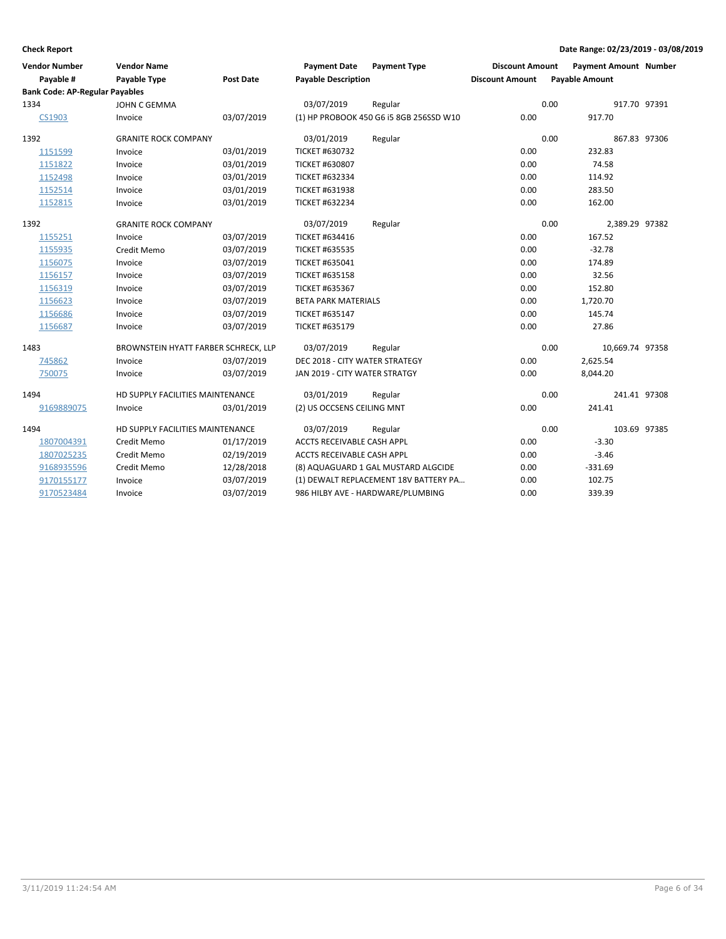| <b>Vendor Number</b><br>Payable #     | <b>Vendor Name</b><br><b>Payable Type</b> | Post Date  | <b>Payment Date</b><br><b>Payable Description</b> | <b>Payment Type</b>                     | <b>Discount Amount</b><br><b>Discount Amount</b> | <b>Payment Amount Number</b><br><b>Payable Amount</b> |                 |  |
|---------------------------------------|-------------------------------------------|------------|---------------------------------------------------|-----------------------------------------|--------------------------------------------------|-------------------------------------------------------|-----------------|--|
| <b>Bank Code: AP-Regular Payables</b> |                                           |            |                                                   |                                         |                                                  |                                                       |                 |  |
| 1334                                  | JOHN C GEMMA                              |            | 03/07/2019                                        | Regular                                 |                                                  | 0.00                                                  | 917.70 97391    |  |
| CS1903                                | Invoice                                   | 03/07/2019 |                                                   | (1) HP PROBOOK 450 G6 i5 8GB 256SSD W10 | 0.00                                             | 917.70                                                |                 |  |
| 1392                                  | <b>GRANITE ROCK COMPANY</b>               |            | 03/01/2019                                        | Regular                                 |                                                  | 0.00                                                  | 867.83 97306    |  |
| 1151599                               | Invoice                                   | 03/01/2019 | <b>TICKET #630732</b>                             |                                         | 0.00                                             | 232.83                                                |                 |  |
| 1151822                               | Invoice                                   | 03/01/2019 | <b>TICKET #630807</b>                             |                                         | 0.00                                             | 74.58                                                 |                 |  |
| 1152498                               | Invoice                                   | 03/01/2019 | <b>TICKET #632334</b>                             |                                         | 0.00                                             | 114.92                                                |                 |  |
| 1152514                               | Invoice                                   | 03/01/2019 | TICKET #631938                                    |                                         | 0.00                                             | 283.50                                                |                 |  |
| 1152815                               | Invoice                                   | 03/01/2019 | <b>TICKET #632234</b>                             |                                         | 0.00                                             | 162.00                                                |                 |  |
| 1392                                  | <b>GRANITE ROCK COMPANY</b>               |            | 03/07/2019                                        | Regular                                 |                                                  | 0.00                                                  | 2,389.29 97382  |  |
| 1155251                               | Invoice                                   | 03/07/2019 | <b>TICKET #634416</b>                             |                                         | 0.00                                             | 167.52                                                |                 |  |
| 1155935                               | Credit Memo                               | 03/07/2019 | <b>TICKET #635535</b>                             |                                         | 0.00                                             | $-32.78$                                              |                 |  |
| 1156075                               | Invoice                                   | 03/07/2019 | <b>TICKET #635041</b>                             |                                         | 0.00                                             | 174.89                                                |                 |  |
| 1156157                               | Invoice                                   | 03/07/2019 | <b>TICKET #635158</b>                             |                                         | 0.00                                             | 32.56                                                 |                 |  |
| 1156319                               | Invoice                                   | 03/07/2019 | <b>TICKET #635367</b>                             |                                         | 0.00                                             | 152.80                                                |                 |  |
| 1156623                               | Invoice                                   | 03/07/2019 | <b>BETA PARK MATERIALS</b>                        |                                         | 0.00                                             | 1,720.70                                              |                 |  |
| 1156686                               | Invoice                                   | 03/07/2019 | <b>TICKET #635147</b>                             |                                         | 0.00                                             | 145.74                                                |                 |  |
| 1156687                               | Invoice                                   | 03/07/2019 | <b>TICKET #635179</b>                             |                                         | 0.00                                             | 27.86                                                 |                 |  |
| 1483                                  | BROWNSTEIN HYATT FARBER SCHRECK, LLP      |            | 03/07/2019                                        | Regular                                 |                                                  | 0.00                                                  | 10,669.74 97358 |  |
| 745862                                | Invoice                                   | 03/07/2019 | DEC 2018 - CITY WATER STRATEGY                    |                                         | 0.00                                             | 2,625.54                                              |                 |  |
| 750075                                | Invoice                                   | 03/07/2019 | JAN 2019 - CITY WATER STRATGY                     |                                         | 0.00                                             | 8,044.20                                              |                 |  |
| 1494                                  | HD SUPPLY FACILITIES MAINTENANCE          |            | 03/01/2019                                        | Regular                                 |                                                  | 0.00                                                  | 241.41 97308    |  |
| 9169889075                            | Invoice                                   | 03/01/2019 | (2) US OCCSENS CEILING MNT                        |                                         | 0.00                                             | 241.41                                                |                 |  |
| 1494                                  | HD SUPPLY FACILITIES MAINTENANCE          |            | 03/07/2019                                        | Regular                                 |                                                  | 0.00                                                  | 103.69 97385    |  |
| 1807004391                            | Credit Memo                               | 01/17/2019 | <b>ACCTS RECEIVABLE CASH APPL</b>                 |                                         | 0.00                                             | $-3.30$                                               |                 |  |
| 1807025235                            | Credit Memo                               | 02/19/2019 | ACCTS RECEIVABLE CASH APPL                        |                                         | 0.00                                             | $-3.46$                                               |                 |  |
| 9168935596                            | Credit Memo                               | 12/28/2018 |                                                   | (8) AQUAGUARD 1 GAL MUSTARD ALGCIDE     | 0.00                                             | $-331.69$                                             |                 |  |
| 9170155177                            | Invoice                                   | 03/07/2019 |                                                   | (1) DEWALT REPLACEMENT 18V BATTERY PA   | 0.00                                             | 102.75                                                |                 |  |
| 9170523484                            | Invoice                                   | 03/07/2019 |                                                   | 986 HILBY AVE - HARDWARE/PLUMBING       | 0.00                                             | 339.39                                                |                 |  |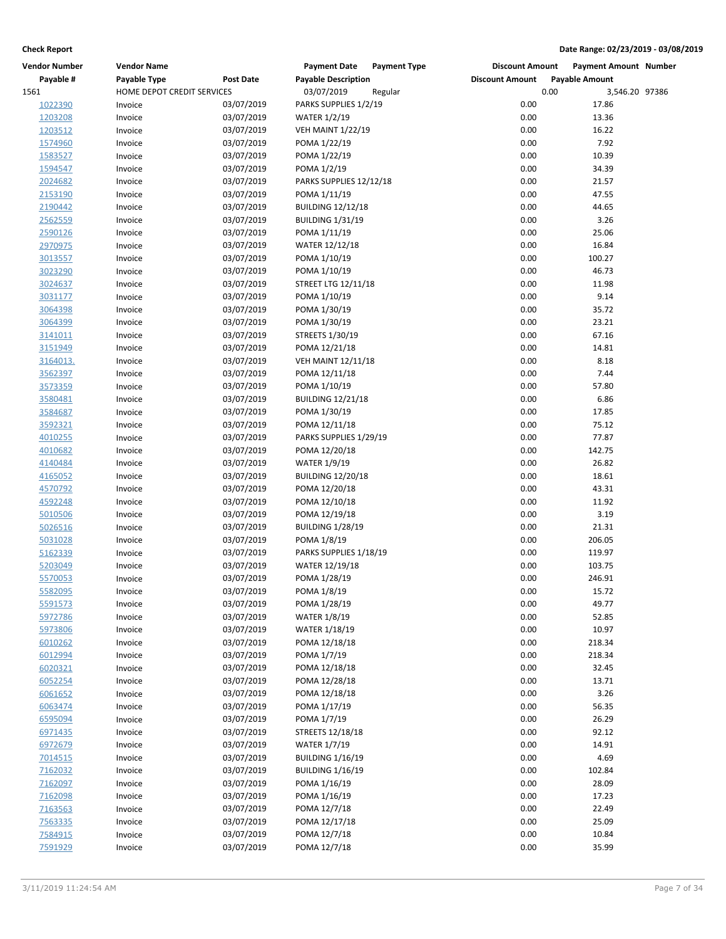| <b>Vendor Number</b> | <b>Vendor Name</b>         |                  | <b>Payment Date</b><br><b>Payment Type</b> | <b>Discount Amount</b> | Payment Amount Number |  |
|----------------------|----------------------------|------------------|--------------------------------------------|------------------------|-----------------------|--|
| Payable #            | Payable Type               | <b>Post Date</b> | <b>Payable Description</b>                 | <b>Discount Amount</b> | <b>Payable Amount</b> |  |
| 1561                 | HOME DEPOT CREDIT SERVICES |                  | 03/07/2019<br>Regular                      | 0.00                   | 3,546.20 97386        |  |
| 1022390              | Invoice                    | 03/07/2019       | PARKS SUPPLIES 1/2/19                      | 0.00                   | 17.86                 |  |
| 1203208              | Invoice                    | 03/07/2019       | <b>WATER 1/2/19</b>                        | 0.00                   | 13.36                 |  |
| 1203512              | Invoice                    | 03/07/2019       | <b>VEH MAINT 1/22/19</b>                   | 0.00                   | 16.22                 |  |
| 1574960              | Invoice                    | 03/07/2019       | POMA 1/22/19                               | 0.00                   | 7.92                  |  |
| 1583527              | Invoice                    | 03/07/2019       | POMA 1/22/19                               | 0.00                   | 10.39                 |  |
| 1594547              | Invoice                    | 03/07/2019       | POMA 1/2/19                                | 0.00                   | 34.39                 |  |
| 2024682              | Invoice                    | 03/07/2019       | PARKS SUPPLIES 12/12/18                    | 0.00                   | 21.57                 |  |
| 2153190              | Invoice                    | 03/07/2019       | POMA 1/11/19                               | 0.00                   | 47.55                 |  |
| 2190442              | Invoice                    | 03/07/2019       | <b>BUILDING 12/12/18</b>                   | 0.00                   | 44.65                 |  |
| 2562559              | Invoice                    | 03/07/2019       | <b>BUILDING 1/31/19</b>                    | 0.00                   | 3.26                  |  |
| 2590126              | Invoice                    | 03/07/2019       | POMA 1/11/19                               | 0.00                   | 25.06                 |  |
| 2970975              | Invoice                    | 03/07/2019       | <b>WATER 12/12/18</b>                      | 0.00                   | 16.84                 |  |
| 3013557              | Invoice                    | 03/07/2019       | POMA 1/10/19                               | 0.00                   | 100.27                |  |
| 3023290              | Invoice                    | 03/07/2019       | POMA 1/10/19                               | 0.00                   | 46.73                 |  |
| 3024637              | Invoice                    | 03/07/2019       | <b>STREET LTG 12/11/18</b>                 | 0.00                   | 11.98                 |  |
| 3031177              | Invoice                    | 03/07/2019       | POMA 1/10/19                               | 0.00                   | 9.14                  |  |
| 3064398              | Invoice                    | 03/07/2019       | POMA 1/30/19                               | 0.00                   | 35.72                 |  |
| 3064399              | Invoice                    | 03/07/2019       | POMA 1/30/19                               | 0.00                   | 23.21                 |  |
|                      |                            | 03/07/2019       | STREETS 1/30/19                            | 0.00                   | 67.16                 |  |
| 3141011              | Invoice                    |                  |                                            |                        |                       |  |
| 3151949              | Invoice                    | 03/07/2019       | POMA 12/21/18                              | 0.00                   | 14.81                 |  |
| 3164013.             | Invoice                    | 03/07/2019       | <b>VEH MAINT 12/11/18</b>                  | 0.00                   | 8.18                  |  |
| 3562397              | Invoice                    | 03/07/2019       | POMA 12/11/18                              | 0.00                   | 7.44                  |  |
| 3573359              | Invoice                    | 03/07/2019       | POMA 1/10/19                               | 0.00                   | 57.80                 |  |
| 3580481              | Invoice                    | 03/07/2019       | <b>BUILDING 12/21/18</b>                   | 0.00                   | 6.86                  |  |
| 3584687              | Invoice                    | 03/07/2019       | POMA 1/30/19                               | 0.00                   | 17.85                 |  |
| 3592321              | Invoice                    | 03/07/2019       | POMA 12/11/18                              | 0.00                   | 75.12                 |  |
| 4010255              | Invoice                    | 03/07/2019       | PARKS SUPPLIES 1/29/19                     | 0.00                   | 77.87                 |  |
| 4010682              | Invoice                    | 03/07/2019       | POMA 12/20/18                              | 0.00                   | 142.75                |  |
| 4140484              | Invoice                    | 03/07/2019       | <b>WATER 1/9/19</b>                        | 0.00                   | 26.82                 |  |
| 4165052              | Invoice                    | 03/07/2019       | <b>BUILDING 12/20/18</b>                   | 0.00                   | 18.61                 |  |
| 4570792              | Invoice                    | 03/07/2019       | POMA 12/20/18                              | 0.00                   | 43.31                 |  |
| 4592248              | Invoice                    | 03/07/2019       | POMA 12/10/18                              | 0.00                   | 11.92                 |  |
| 5010506              | Invoice                    | 03/07/2019       | POMA 12/19/18                              | 0.00                   | 3.19                  |  |
| 5026516              | Invoice                    | 03/07/2019       | <b>BUILDING 1/28/19</b>                    | 0.00                   | 21.31                 |  |
| 5031028              | Invoice                    | 03/07/2019       | POMA 1/8/19                                | 0.00                   | 206.05                |  |
| 5162339              | Invoice                    | 03/07/2019       | PARKS SUPPLIES 1/18/19                     | 0.00                   | 119.97                |  |
| 5203049              | Invoice                    | 03/07/2019       | WATER 12/19/18                             | 0.00                   | 103.75                |  |
| 5570053              | Invoice                    | 03/07/2019       | POMA 1/28/19                               | 0.00                   | 246.91                |  |
| 5582095              | Invoice                    | 03/07/2019       | POMA 1/8/19                                | 0.00                   | 15.72                 |  |
| 5591573              | Invoice                    | 03/07/2019       | POMA 1/28/19                               | 0.00                   | 49.77                 |  |
| 5972786              | Invoice                    | 03/07/2019       | <b>WATER 1/8/19</b>                        | 0.00                   | 52.85                 |  |
| 5973806              | Invoice                    | 03/07/2019       | WATER 1/18/19                              | 0.00                   | 10.97                 |  |
| 6010262              | Invoice                    | 03/07/2019       | POMA 12/18/18                              | 0.00                   | 218.34                |  |
| 6012994              | Invoice                    | 03/07/2019       | POMA 1/7/19                                | 0.00                   | 218.34                |  |
| 6020321              | Invoice                    | 03/07/2019       | POMA 12/18/18                              | 0.00                   | 32.45                 |  |
| 6052254              | Invoice                    | 03/07/2019       | POMA 12/28/18                              | 0.00                   | 13.71                 |  |
| 6061652              | Invoice                    | 03/07/2019       | POMA 12/18/18                              | 0.00                   | 3.26                  |  |
| 6063474              | Invoice                    | 03/07/2019       | POMA 1/17/19                               | 0.00                   | 56.35                 |  |
| 6595094              | Invoice                    | 03/07/2019       | POMA 1/7/19                                | 0.00                   | 26.29                 |  |
| 6971435              | Invoice                    | 03/07/2019       | STREETS 12/18/18                           | 0.00                   | 92.12                 |  |
| 6972679              | Invoice                    | 03/07/2019       | <b>WATER 1/7/19</b>                        | 0.00                   | 14.91                 |  |
| 7014515              | Invoice                    | 03/07/2019       | <b>BUILDING 1/16/19</b>                    | 0.00                   | 4.69                  |  |
| 7162032              | Invoice                    | 03/07/2019       | <b>BUILDING 1/16/19</b>                    | 0.00                   | 102.84                |  |
| 7162097              | Invoice                    | 03/07/2019       | POMA 1/16/19                               | 0.00                   | 28.09                 |  |
| 7162098              | Invoice                    | 03/07/2019       | POMA 1/16/19                               | 0.00                   | 17.23                 |  |
| 7163563              | Invoice                    | 03/07/2019       | POMA 12/7/18                               | 0.00                   | 22.49                 |  |
| 7563335              | Invoice                    | 03/07/2019       | POMA 12/17/18                              | 0.00                   | 25.09                 |  |
| 7584915              | Invoice                    | 03/07/2019       | POMA 12/7/18                               | 0.00                   | 10.84                 |  |
| 7591929              | Invoice                    | 03/07/2019       | POMA 12/7/18                               | 0.00                   | 35.99                 |  |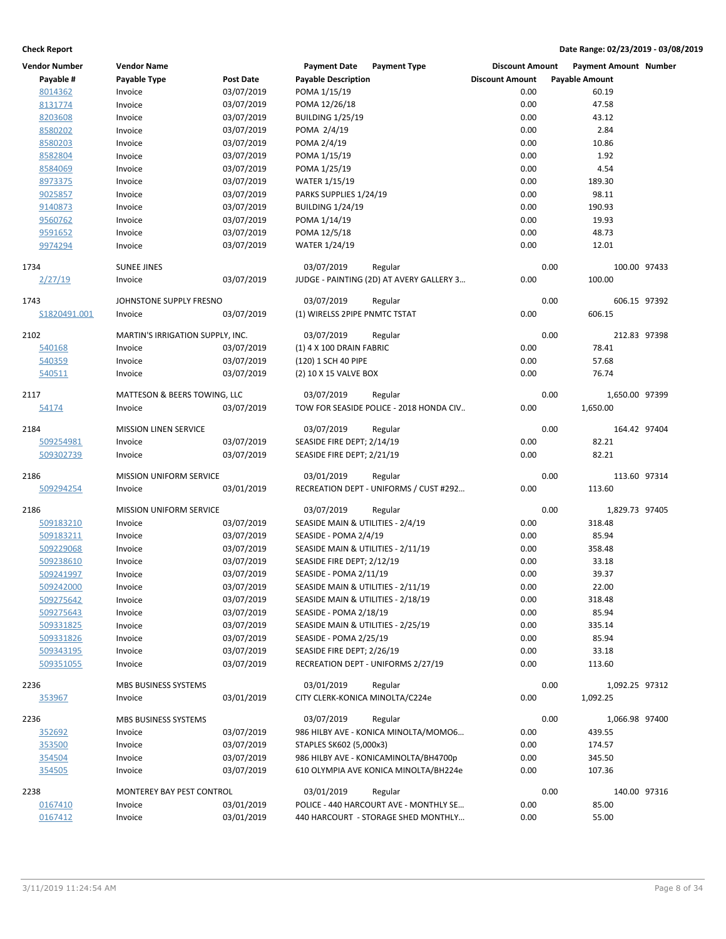| <b>Vendor Number</b> | <b>Vendor Name</b>               |                  | <b>Payment Date</b>                | <b>Payment Type</b>                      | <b>Discount Amount</b> |      | <b>Payment Amount Number</b> |  |
|----------------------|----------------------------------|------------------|------------------------------------|------------------------------------------|------------------------|------|------------------------------|--|
| Payable #            | <b>Payable Type</b>              | <b>Post Date</b> | <b>Payable Description</b>         |                                          | <b>Discount Amount</b> |      | <b>Payable Amount</b>        |  |
| 8014362              | Invoice                          | 03/07/2019       | POMA 1/15/19                       |                                          | 0.00                   |      | 60.19                        |  |
| 8131774              | Invoice                          | 03/07/2019       | POMA 12/26/18                      |                                          | 0.00                   |      | 47.58                        |  |
| 8203608              | Invoice                          | 03/07/2019       | <b>BUILDING 1/25/19</b>            |                                          | 0.00                   |      | 43.12                        |  |
| 8580202              | Invoice                          | 03/07/2019       | POMA 2/4/19                        |                                          | 0.00                   |      | 2.84                         |  |
| 8580203              | Invoice                          | 03/07/2019       | POMA 2/4/19                        |                                          | 0.00                   |      | 10.86                        |  |
| 8582804              | Invoice                          | 03/07/2019       | POMA 1/15/19                       |                                          | 0.00                   |      | 1.92                         |  |
| 8584069              | Invoice                          | 03/07/2019       | POMA 1/25/19                       |                                          | 0.00                   |      | 4.54                         |  |
| 8973375              | Invoice                          | 03/07/2019       | <b>WATER 1/15/19</b>               |                                          | 0.00                   |      | 189.30                       |  |
| 9025857              | Invoice                          | 03/07/2019       | PARKS SUPPLIES 1/24/19             |                                          | 0.00                   |      | 98.11                        |  |
| 9140873              | Invoice                          | 03/07/2019       | <b>BUILDING 1/24/19</b>            |                                          | 0.00                   |      | 190.93                       |  |
|                      |                                  |                  | POMA 1/14/19                       |                                          | 0.00                   |      | 19.93                        |  |
| 9560762              | Invoice                          | 03/07/2019       |                                    |                                          |                        |      |                              |  |
| 9591652              | Invoice                          | 03/07/2019       | POMA 12/5/18                       |                                          | 0.00                   |      | 48.73                        |  |
| 9974294              | Invoice                          | 03/07/2019       | <b>WATER 1/24/19</b>               |                                          | 0.00                   |      | 12.01                        |  |
| 1734                 | <b>SUNEE JINES</b>               |                  | 03/07/2019                         | Regular                                  |                        | 0.00 | 100.00 97433                 |  |
| 2/27/19              | Invoice                          | 03/07/2019       |                                    | JUDGE - PAINTING (2D) AT AVERY GALLERY 3 | 0.00                   |      | 100.00                       |  |
| 1743                 | JOHNSTONE SUPPLY FRESNO          |                  | 03/07/2019                         | Regular                                  |                        | 0.00 | 606.15 97392                 |  |
| S1820491.001         | Invoice                          | 03/07/2019       | (1) WIRELSS 2PIPE PNMTC TSTAT      |                                          | 0.00                   |      | 606.15                       |  |
|                      |                                  |                  |                                    |                                          |                        |      |                              |  |
| 2102                 | MARTIN'S IRRIGATION SUPPLY, INC. |                  | 03/07/2019                         | Regular                                  |                        | 0.00 | 212.83 97398                 |  |
| 540168               | Invoice                          | 03/07/2019       | (1) 4 X 100 DRAIN FABRIC           |                                          | 0.00                   |      | 78.41                        |  |
| 540359               | Invoice                          | 03/07/2019       | (120) 1 SCH 40 PIPE                |                                          | 0.00                   |      | 57.68                        |  |
| 540511               | Invoice                          | 03/07/2019       | (2) 10 X 15 VALVE BOX              |                                          | 0.00                   |      | 76.74                        |  |
| 2117                 | MATTESON & BEERS TOWING, LLC     |                  | 03/07/2019                         | Regular                                  |                        | 0.00 | 1,650.00 97399               |  |
| 54174                | Invoice                          | 03/07/2019       |                                    | TOW FOR SEASIDE POLICE - 2018 HONDA CIV  | 0.00                   |      | 1,650.00                     |  |
|                      |                                  |                  |                                    |                                          |                        |      |                              |  |
| 2184                 | <b>MISSION LINEN SERVICE</b>     |                  | 03/07/2019                         | Regular                                  |                        | 0.00 | 164.42 97404                 |  |
| 509254981            | Invoice                          | 03/07/2019       | SEASIDE FIRE DEPT; 2/14/19         |                                          | 0.00                   |      | 82.21                        |  |
| 509302739            | Invoice                          | 03/07/2019       | SEASIDE FIRE DEPT; 2/21/19         |                                          | 0.00                   |      | 82.21                        |  |
| 2186                 | <b>MISSION UNIFORM SERVICE</b>   |                  | 03/01/2019                         | Regular                                  |                        | 0.00 | 113.60 97314                 |  |
| 509294254            | Invoice                          | 03/01/2019       |                                    | RECREATION DEPT - UNIFORMS / CUST #292   | 0.00                   |      | 113.60                       |  |
|                      |                                  |                  |                                    |                                          |                        |      |                              |  |
| 2186                 | <b>MISSION UNIFORM SERVICE</b>   |                  | 03/07/2019                         | Regular                                  |                        | 0.00 | 1,829.73 97405               |  |
| 509183210            | Invoice                          | 03/07/2019       | SEASIDE MAIN & UTILITIES - 2/4/19  |                                          | 0.00                   |      | 318.48                       |  |
| 509183211            | Invoice                          | 03/07/2019       | SEASIDE - POMA 2/4/19              |                                          | 0.00                   |      | 85.94                        |  |
| 509229068            | Invoice                          | 03/07/2019       | SEASIDE MAIN & UTILITIES - 2/11/19 |                                          | 0.00                   |      | 358.48                       |  |
| 509238610            | Invoice                          | 03/07/2019       | SEASIDE FIRE DEPT; 2/12/19         |                                          | 0.00                   |      | 33.18                        |  |
| 509241997            | Invoice                          | 03/07/2019       | SEASIDE - POMA 2/11/19             |                                          | 0.00                   |      | 39.37                        |  |
| <u>509242000</u>     | Invoice                          | 03/07/2019       | SEASIDE MAIN & UTILITIES - 2/11/19 |                                          | 0.00                   |      | 22.00                        |  |
| 509275642            | Invoice                          | 03/07/2019       | SEASIDE MAIN & UTILITIES - 2/18/19 |                                          | 0.00                   |      | 318.48                       |  |
| 509275643            | Invoice                          | 03/07/2019       | SEASIDE - POMA 2/18/19             |                                          | 0.00                   |      | 85.94                        |  |
| 509331825            | Invoice                          | 03/07/2019       | SEASIDE MAIN & UTILITIES - 2/25/19 |                                          | 0.00                   |      | 335.14                       |  |
| 509331826            | Invoice                          | 03/07/2019       | SEASIDE - POMA 2/25/19             |                                          | 0.00                   |      | 85.94                        |  |
| 509343195            | Invoice                          | 03/07/2019       | SEASIDE FIRE DEPT; 2/26/19         |                                          | 0.00                   |      | 33.18                        |  |
| 509351055            | Invoice                          | 03/07/2019       |                                    | RECREATION DEPT - UNIFORMS 2/27/19       | 0.00                   |      | 113.60                       |  |
|                      |                                  |                  | 03/01/2019                         |                                          |                        | 0.00 |                              |  |
| 2236                 | MBS BUSINESS SYSTEMS             |                  |                                    | Regular                                  |                        |      | 1,092.25 97312               |  |
| 353967               | Invoice                          | 03/01/2019       | CITY CLERK-KONICA MINOLTA/C224e    |                                          | 0.00                   |      | 1,092.25                     |  |
| 2236                 | MBS BUSINESS SYSTEMS             |                  | 03/07/2019                         | Regular                                  |                        | 0.00 | 1,066.98 97400               |  |
| 352692               | Invoice                          | 03/07/2019       |                                    | 986 HILBY AVE - KONICA MINOLTA/MOMO6     | 0.00                   |      | 439.55                       |  |
| 353500               | Invoice                          | 03/07/2019       | STAPLES SK602 (5,000x3)            |                                          | 0.00                   |      | 174.57                       |  |
| 354504               | Invoice                          | 03/07/2019       |                                    | 986 HILBY AVE - KONICAMINOLTA/BH4700p    | 0.00                   |      | 345.50                       |  |
| 354505               | Invoice                          | 03/07/2019       |                                    | 610 OLYMPIA AVE KONICA MINOLTA/BH224e    | 0.00                   |      | 107.36                       |  |
| 2238                 | MONTEREY BAY PEST CONTROL        |                  | 03/01/2019                         | Regular                                  |                        | 0.00 | 140.00 97316                 |  |
| 0167410              | Invoice                          | 03/01/2019       |                                    | POLICE - 440 HARCOURT AVE - MONTHLY SE   | 0.00                   |      | 85.00                        |  |
| 0167412              | Invoice                          | 03/01/2019       |                                    | 440 HARCOURT - STORAGE SHED MONTHLY      | 0.00                   |      | 55.00                        |  |
|                      |                                  |                  |                                    |                                          |                        |      |                              |  |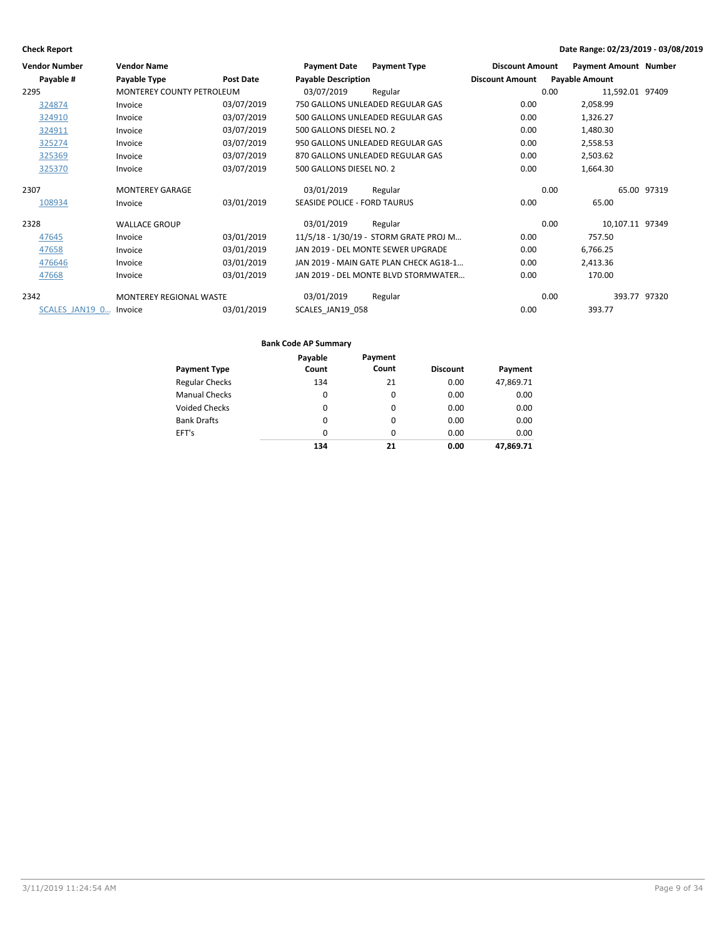| <b>Vendor Number</b>   | <b>Vendor Name</b>             |                  | <b>Payment Date</b>                 | <b>Payment Type</b>                    | <b>Discount Amount</b> |      | <b>Payment Amount Number</b> |             |
|------------------------|--------------------------------|------------------|-------------------------------------|----------------------------------------|------------------------|------|------------------------------|-------------|
| Payable #              | Payable Type                   | <b>Post Date</b> | <b>Payable Description</b>          |                                        | <b>Discount Amount</b> |      | <b>Payable Amount</b>        |             |
| 2295                   | MONTEREY COUNTY PETROLEUM      |                  | 03/07/2019                          | Regular                                |                        | 0.00 | 11,592.01 97409              |             |
| 324874                 | Invoice                        | 03/07/2019       |                                     | 750 GALLONS UNLEADED REGULAR GAS       | 0.00                   |      | 2,058.99                     |             |
| 324910                 | Invoice                        | 03/07/2019       |                                     | 500 GALLONS UNLEADED REGULAR GAS       | 0.00                   |      | 1,326.27                     |             |
| 324911                 | Invoice                        | 03/07/2019       | 500 GALLONS DIESEL NO. 2            |                                        | 0.00                   |      | 1,480.30                     |             |
| 325274                 | Invoice                        | 03/07/2019       |                                     | 950 GALLONS UNLEADED REGULAR GAS       | 0.00                   |      | 2,558.53                     |             |
| 325369                 | Invoice                        | 03/07/2019       |                                     | 870 GALLONS UNLEADED REGULAR GAS       | 0.00                   |      | 2,503.62                     |             |
| 325370                 | Invoice                        | 03/07/2019       | 500 GALLONS DIESEL NO. 2            |                                        | 0.00                   |      | 1,664.30                     |             |
| 2307                   | <b>MONTEREY GARAGE</b>         |                  | 03/01/2019                          | Regular                                |                        | 0.00 |                              | 65.00 97319 |
| 108934                 | Invoice                        | 03/01/2019       | <b>SEASIDE POLICE - FORD TAURUS</b> |                                        | 0.00                   |      | 65.00                        |             |
| 2328                   | <b>WALLACE GROUP</b>           |                  | 03/01/2019                          | Regular                                |                        | 0.00 | 10,107.11 97349              |             |
| 47645                  | Invoice                        | 03/01/2019       |                                     | 11/5/18 - 1/30/19 - STORM GRATE PROJ M | 0.00                   |      | 757.50                       |             |
| 47658                  | Invoice                        | 03/01/2019       |                                     | JAN 2019 - DEL MONTE SEWER UPGRADE     | 0.00                   |      | 6,766.25                     |             |
| 476646                 | Invoice                        | 03/01/2019       |                                     | JAN 2019 - MAIN GATE PLAN CHECK AG18-1 | 0.00                   |      | 2,413.36                     |             |
| 47668                  | Invoice                        | 03/01/2019       |                                     | JAN 2019 - DEL MONTE BLVD STORMWATER   | 0.00                   |      | 170.00                       |             |
| 2342                   | <b>MONTEREY REGIONAL WASTE</b> |                  | 03/01/2019                          | Regular                                |                        | 0.00 | 393.77 97320                 |             |
| SCALES JAN19 0 Invoice |                                | 03/01/2019       | SCALES JAN19 058                    |                                        | 0.00                   |      | 393.77                       |             |

|                       | Payable  | Payment  |                 |           |
|-----------------------|----------|----------|-----------------|-----------|
| <b>Payment Type</b>   | Count    | Count    | <b>Discount</b> | Payment   |
| <b>Regular Checks</b> | 134      | 21       | 0.00            | 47,869.71 |
| <b>Manual Checks</b>  | $\Omega$ | $\Omega$ | 0.00            | 0.00      |
| <b>Voided Checks</b>  | $\Omega$ | $\Omega$ | 0.00            | 0.00      |
| <b>Bank Drafts</b>    | $\Omega$ | $\Omega$ | 0.00            | 0.00      |
| EFT's                 | $\Omega$ | $\Omega$ | 0.00            | 0.00      |
|                       | 134      | 21       | 0.00            | 47.869.71 |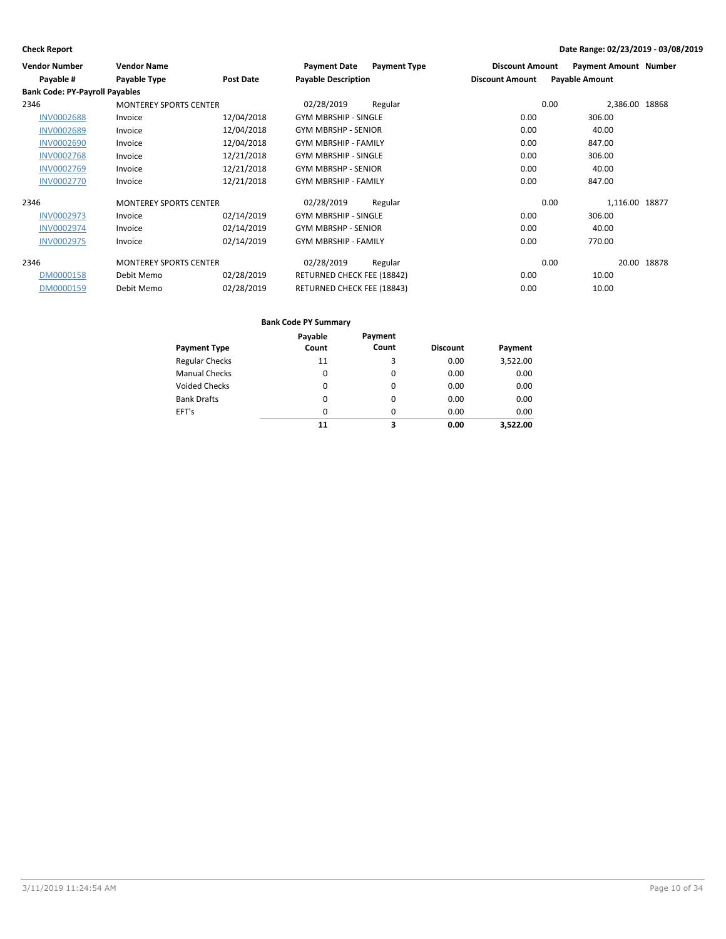| <b>Vendor Number</b>                  | <b>Vendor Name</b>            |            | <b>Payment Date</b><br><b>Payment Type</b> | <b>Discount Amount</b> | <b>Payment Amount Number</b> |
|---------------------------------------|-------------------------------|------------|--------------------------------------------|------------------------|------------------------------|
| Payable #                             | Payable Type                  | Post Date  | <b>Payable Description</b>                 | <b>Discount Amount</b> | <b>Payable Amount</b>        |
| <b>Bank Code: PY-Payroll Payables</b> |                               |            |                                            |                        |                              |
| 2346                                  | <b>MONTEREY SPORTS CENTER</b> |            | 02/28/2019<br>Regular                      | 0.00                   | 2,386.00 18868               |
| <b>INV0002688</b>                     | Invoice                       | 12/04/2018 | <b>GYM MBRSHIP - SINGLE</b>                | 0.00                   | 306.00                       |
| <b>INV0002689</b>                     | Invoice                       | 12/04/2018 | <b>GYM MBRSHP - SENIOR</b>                 | 0.00                   | 40.00                        |
| <b>INV0002690</b>                     | Invoice                       | 12/04/2018 | <b>GYM MBRSHIP - FAMILY</b>                | 0.00                   | 847.00                       |
| <b>INV0002768</b>                     | Invoice                       | 12/21/2018 | <b>GYM MBRSHIP - SINGLE</b>                | 0.00                   | 306.00                       |
| <b>INV0002769</b>                     | Invoice                       | 12/21/2018 | <b>GYM MBRSHP - SENIOR</b>                 | 0.00                   | 40.00                        |
| <b>INV0002770</b>                     | Invoice                       | 12/21/2018 | <b>GYM MBRSHIP - FAMILY</b>                | 0.00                   | 847.00                       |
| 2346                                  | <b>MONTEREY SPORTS CENTER</b> |            | 02/28/2019<br>Regular                      | 0.00                   | 1,116.00 18877               |
| <b>INV0002973</b>                     | Invoice                       | 02/14/2019 | <b>GYM MBRSHIP - SINGLE</b>                | 0.00                   | 306.00                       |
| <b>INV0002974</b>                     | Invoice                       | 02/14/2019 | <b>GYM MBRSHP - SENIOR</b>                 | 0.00                   | 40.00                        |
| <b>INV0002975</b>                     | Invoice                       | 02/14/2019 | <b>GYM MBRSHIP - FAMILY</b>                | 0.00                   | 770.00                       |
| 2346                                  | <b>MONTEREY SPORTS CENTER</b> |            | 02/28/2019<br>Regular                      | 0.00                   | 20.00<br>18878               |
| DM0000158                             | Debit Memo                    | 02/28/2019 | RETURNED CHECK FEE (18842)                 | 0.00                   | 10.00                        |
| DM0000159                             | Debit Memo                    | 02/28/2019 | RETURNED CHECK FEE (18843)                 | 0.00                   | 10.00                        |

|                       | Payable | Payment |                 |          |
|-----------------------|---------|---------|-----------------|----------|
| <b>Payment Type</b>   | Count   | Count   | <b>Discount</b> | Payment  |
| <b>Regular Checks</b> | 11      | 3       | 0.00            | 3,522.00 |
| <b>Manual Checks</b>  | 0       | 0       | 0.00            | 0.00     |
| Voided Checks         | 0       | 0       | 0.00            | 0.00     |
| <b>Bank Drafts</b>    | 0       | 0       | 0.00            | 0.00     |
| EFT's                 | 0       | 0       | 0.00            | 0.00     |
|                       | 11      | з       | 0.00            | 3.522.00 |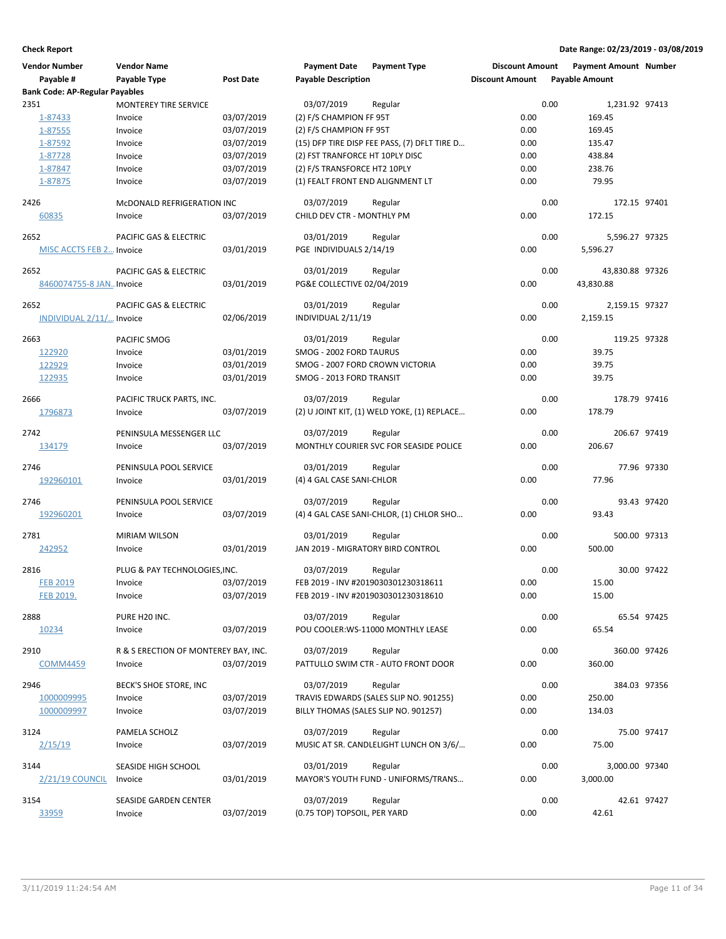| <b>Vendor Number</b>                  | <b>Vendor Name</b>                   |                  | <b>Payment Date</b>              | <b>Payment Type</b>                            | <b>Discount Amount</b> |      | <b>Payment Amount Number</b> |             |
|---------------------------------------|--------------------------------------|------------------|----------------------------------|------------------------------------------------|------------------------|------|------------------------------|-------------|
| Payable #                             | Payable Type                         | <b>Post Date</b> | <b>Payable Description</b>       |                                                | <b>Discount Amount</b> |      | <b>Payable Amount</b>        |             |
| <b>Bank Code: AP-Regular Payables</b> |                                      |                  |                                  |                                                |                        |      |                              |             |
| 2351                                  | <b>MONTEREY TIRE SERVICE</b>         |                  | 03/07/2019                       | Regular                                        |                        | 0.00 | 1,231.92 97413               |             |
| 1-87433                               | Invoice                              | 03/07/2019       | (2) F/S CHAMPION FF 95T          |                                                | 0.00                   |      | 169.45                       |             |
| 1-87555                               | Invoice                              | 03/07/2019       | (2) F/S CHAMPION FF 95T          |                                                | 0.00                   |      | 169.45                       |             |
| 1-87592                               | Invoice                              | 03/07/2019       |                                  | (15) DFP TIRE DISP FEE PASS, (7) DFLT TIRE D   | 0.00                   |      | 135.47                       |             |
| 1-87728                               | Invoice                              | 03/07/2019       | (2) FST TRANFORCE HT 10PLY DISC  |                                                | 0.00                   |      | 438.84                       |             |
| 1-87847                               | Invoice                              | 03/07/2019       | (2) F/S TRANSFORCE HT2 10PLY     |                                                | 0.00                   |      | 238.76                       |             |
| 1-87875                               | Invoice                              | 03/07/2019       | (1) FEALT FRONT END ALIGNMENT LT |                                                | 0.00                   |      | 79.95                        |             |
| 2426                                  | MCDONALD REFRIGERATION INC           |                  | 03/07/2019                       | Regular                                        |                        | 0.00 | 172.15 97401                 |             |
| <u>60835</u>                          | Invoice                              | 03/07/2019       | CHILD DEV CTR - MONTHLY PM       |                                                | 0.00                   |      | 172.15                       |             |
| 2652                                  | PACIFIC GAS & ELECTRIC               |                  | 03/01/2019                       | Regular                                        |                        | 0.00 | 5,596.27 97325               |             |
| <b>MISC ACCTS FEB 2 Invoice</b>       |                                      | 03/01/2019       | PGE INDIVIDUALS 2/14/19          |                                                | 0.00                   |      | 5,596.27                     |             |
| 2652                                  | PACIFIC GAS & ELECTRIC               |                  | 03/01/2019                       | Regular                                        |                        | 0.00 | 43,830.88 97326              |             |
| 8460074755-8 JAN Invoice              |                                      | 03/01/2019       | PG&E COLLECTIVE 02/04/2019       |                                                | 0.00                   |      | 43,830.88                    |             |
| 2652                                  | PACIFIC GAS & ELECTRIC               |                  | 03/01/2019                       | Regular                                        |                        | 0.00 | 2,159.15 97327               |             |
| INDIVIDUAL 2/11/ Invoice              |                                      | 02/06/2019       | INDIVIDUAL 2/11/19               |                                                | 0.00                   |      | 2,159.15                     |             |
| 2663                                  | PACIFIC SMOG                         |                  | 03/01/2019                       | Regular                                        |                        | 0.00 | 119.25 97328                 |             |
| 122920                                | Invoice                              | 03/01/2019       | SMOG - 2002 FORD TAURUS          |                                                | 0.00                   |      | 39.75                        |             |
| 122929                                | Invoice                              | 03/01/2019       | SMOG - 2007 FORD CROWN VICTORIA  |                                                | 0.00                   |      | 39.75                        |             |
| 122935                                | Invoice                              | 03/01/2019       | SMOG - 2013 FORD TRANSIT         |                                                | 0.00                   |      | 39.75                        |             |
| 2666                                  | PACIFIC TRUCK PARTS, INC.            |                  | 03/07/2019                       | Regular                                        |                        | 0.00 | 178.79 97416                 |             |
| 1796873                               | Invoice                              | 03/07/2019       |                                  | (2) U JOINT KIT, (1) WELD YOKE, (1) REPLACE    | 0.00                   |      | 178.79                       |             |
| 2742                                  | PENINSULA MESSENGER LLC              |                  | 03/07/2019                       | Regular                                        |                        | 0.00 | 206.67 97419                 |             |
| 134179                                | Invoice                              | 03/07/2019       |                                  | MONTHLY COURIER SVC FOR SEASIDE POLICE         | 0.00                   |      | 206.67                       |             |
| 2746                                  | PENINSULA POOL SERVICE               |                  | 03/01/2019                       | Regular                                        |                        | 0.00 |                              | 77.96 97330 |
| 192960101                             | Invoice                              | 03/01/2019       | (4) 4 GAL CASE SANI-CHLOR        |                                                | 0.00                   |      | 77.96                        |             |
| 2746                                  | PENINSULA POOL SERVICE               |                  | 03/07/2019                       | Regular                                        |                        | 0.00 |                              | 93.43 97420 |
| 192960201                             | Invoice                              | 03/07/2019       |                                  | (4) 4 GAL CASE SANI-CHLOR, (1) CHLOR SHO       | 0.00                   |      | 93.43                        |             |
| 2781                                  | <b>MIRIAM WILSON</b>                 |                  | 03/01/2019                       | Regular                                        |                        | 0.00 | 500.00 97313                 |             |
| 242952                                | Invoice                              | 03/01/2019       |                                  | JAN 2019 - MIGRATORY BIRD CONTROL              | 0.00                   |      | 500.00                       |             |
| 2816                                  | PLUG & PAY TECHNOLOGIES, INC.        |                  | 03/07/2019                       | Regular                                        |                        | 0.00 |                              | 30.00 97422 |
| <b>FEB 2019</b>                       | Invoice                              | 03/07/2019       |                                  | FEB 2019 - INV #2019030301230318611            | 0.00                   |      | 15.00                        |             |
| FEB 2019.                             | Invoice                              | 03/07/2019       |                                  | FEB 2019 - INV #2019030301230318610            | 0.00                   |      | 15.00                        |             |
| 2888                                  | PURE H20 INC.                        |                  | 03/07/2019                       | Regular                                        |                        | 0.00 |                              | 65.54 97425 |
| 10234                                 | Invoice                              | 03/07/2019       |                                  | POU COOLER: WS-11000 MONTHLY LEASE             | 0.00                   |      | 65.54                        |             |
| 2910                                  | R & S ERECTION OF MONTEREY BAY, INC. |                  | 03/07/2019                       | Regular                                        |                        | 0.00 | 360.00 97426                 |             |
| <b>COMM4459</b>                       | Invoice                              | 03/07/2019       |                                  | PATTULLO SWIM CTR - AUTO FRONT DOOR            | 0.00                   |      | 360.00                       |             |
| 2946                                  | BECK'S SHOE STORE, INC               |                  | 03/07/2019                       | Regular                                        |                        | 0.00 | 384.03 97356                 |             |
| 1000009995                            | Invoice                              | 03/07/2019       |                                  | TRAVIS EDWARDS (SALES SLIP NO. 901255)         | 0.00                   |      | 250.00                       |             |
| 1000009997                            | Invoice                              | 03/07/2019       |                                  | BILLY THOMAS (SALES SLIP NO. 901257)           | 0.00                   |      | 134.03                       |             |
| 3124                                  | PAMELA SCHOLZ                        |                  | 03/07/2019                       | Regular                                        |                        | 0.00 |                              | 75.00 97417 |
| 2/15/19                               | Invoice                              | 03/07/2019       |                                  | MUSIC AT SR. CANDLELIGHT LUNCH ON 3/6/         | 0.00                   |      | 75.00                        |             |
|                                       |                                      |                  |                                  |                                                |                        |      |                              |             |
| 3144<br>$2/21/19$ COUNCIL             | SEASIDE HIGH SCHOOL<br>Invoice       | 03/01/2019       | 03/01/2019                       | Regular<br>MAYOR'S YOUTH FUND - UNIFORMS/TRANS | 0.00                   | 0.00 | 3,000.00 97340<br>3,000.00   |             |
|                                       |                                      |                  |                                  |                                                |                        |      |                              |             |
| 3154                                  | SEASIDE GARDEN CENTER                |                  | 03/07/2019                       | Regular                                        |                        | 0.00 |                              | 42.61 97427 |
| 33959                                 | Invoice                              | 03/07/2019       | (0.75 TOP) TOPSOIL, PER YARD     |                                                | 0.00                   |      | 42.61                        |             |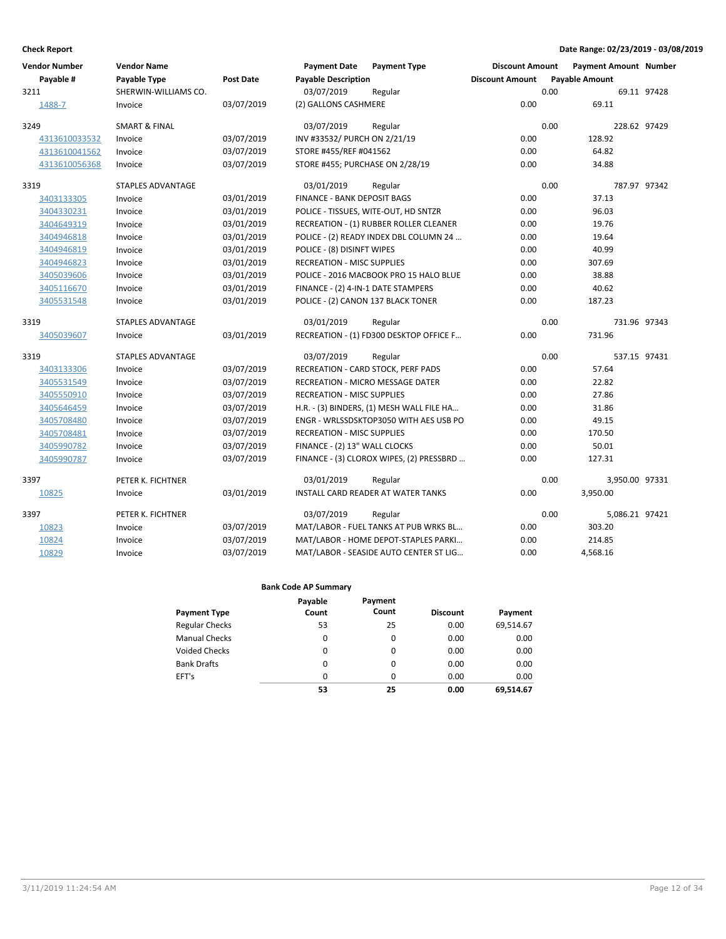| <b>Vendor Number</b> | <b>Vendor Name</b>       |            | <b>Payment Date</b>                | <b>Payment Type</b>                       | <b>Discount Amount</b> | <b>Payment Amount Number</b> |              |
|----------------------|--------------------------|------------|------------------------------------|-------------------------------------------|------------------------|------------------------------|--------------|
| Payable #            | Payable Type             | Post Date  | <b>Payable Description</b>         |                                           | <b>Discount Amount</b> | <b>Payable Amount</b>        |              |
| 3211                 | SHERWIN-WILLIAMS CO.     |            | 03/07/2019                         | Regular                                   |                        | 0.00                         | 69.11 97428  |
| 1488-7               | Invoice                  | 03/07/2019 | (2) GALLONS CASHMERE               |                                           | 0.00                   | 69.11                        |              |
| 3249                 | <b>SMART &amp; FINAL</b> |            | 03/07/2019                         | Regular                                   |                        | 0.00                         | 228.62 97429 |
| 4313610033532        | Invoice                  | 03/07/2019 | INV #33532/ PURCH ON 2/21/19       |                                           | 0.00                   | 128.92                       |              |
| 4313610041562        | Invoice                  | 03/07/2019 | STORE #455/REF #041562             |                                           | 0.00                   | 64.82                        |              |
| 4313610056368        | Invoice                  | 03/07/2019 | STORE #455; PURCHASE ON 2/28/19    |                                           | 0.00                   | 34.88                        |              |
| 3319                 | <b>STAPLES ADVANTAGE</b> |            | 03/01/2019                         | Regular                                   |                        | 0.00                         | 787.97 97342 |
| 3403133305           | Invoice                  | 03/01/2019 | FINANCE - BANK DEPOSIT BAGS        |                                           | 0.00                   | 37.13                        |              |
| 3404330231           | Invoice                  | 03/01/2019 |                                    | POLICE - TISSUES, WITE-OUT, HD SNTZR      | 0.00                   | 96.03                        |              |
| 3404649319           | Invoice                  | 03/01/2019 |                                    | RECREATION - (1) RUBBER ROLLER CLEANER    | 0.00                   | 19.76                        |              |
| 3404946818           | Invoice                  | 03/01/2019 |                                    | POLICE - (2) READY INDEX DBL COLUMN 24    | 0.00                   | 19.64                        |              |
| 3404946819           | Invoice                  | 03/01/2019 | POLICE - (8) DISINFT WIPES         |                                           | 0.00                   | 40.99                        |              |
| 3404946823           | Invoice                  | 03/01/2019 | <b>RECREATION - MISC SUPPLIES</b>  |                                           | 0.00                   | 307.69                       |              |
| 3405039606           | Invoice                  | 03/01/2019 |                                    | POLICE - 2016 MACBOOK PRO 15 HALO BLUE    | 0.00                   | 38.88                        |              |
| 3405116670           | Invoice                  | 03/01/2019 | FINANCE - (2) 4-IN-1 DATE STAMPERS |                                           | 0.00                   | 40.62                        |              |
| 3405531548           | Invoice                  | 03/01/2019 |                                    | POLICE - (2) CANON 137 BLACK TONER        | 0.00                   | 187.23                       |              |
| 3319                 | <b>STAPLES ADVANTAGE</b> |            | 03/01/2019                         | Regular                                   |                        | 0.00                         | 731.96 97343 |
| 3405039607           | Invoice                  | 03/01/2019 |                                    | RECREATION - (1) FD300 DESKTOP OFFICE F   | 0.00                   | 731.96                       |              |
| 3319                 | <b>STAPLES ADVANTAGE</b> |            | 03/07/2019                         | Regular                                   |                        | 0.00                         | 537.15 97431 |
| 3403133306           | Invoice                  | 03/07/2019 |                                    | RECREATION - CARD STOCK, PERF PADS        | 0.00                   | 57.64                        |              |
| 3405531549           | Invoice                  | 03/07/2019 |                                    | RECREATION - MICRO MESSAGE DATER          | 0.00                   | 22.82                        |              |
| 3405550910           | Invoice                  | 03/07/2019 | <b>RECREATION - MISC SUPPLIES</b>  |                                           | 0.00                   | 27.86                        |              |
| 3405646459           | Invoice                  | 03/07/2019 |                                    | H.R. - (3) BINDERS, (1) MESH WALL FILE HA | 0.00                   | 31.86                        |              |
| 3405708480           | Invoice                  | 03/07/2019 |                                    | ENGR - WRLSSDSKTOP3050 WITH AES USB PO    | 0.00                   | 49.15                        |              |
| 3405708481           | Invoice                  | 03/07/2019 | <b>RECREATION - MISC SUPPLIES</b>  |                                           | 0.00                   | 170.50                       |              |
| 3405990782           | Invoice                  | 03/07/2019 | FINANCE - (2) 13" WALL CLOCKS      |                                           | 0.00                   | 50.01                        |              |
| 3405990787           | Invoice                  | 03/07/2019 |                                    | FINANCE - (3) CLOROX WIPES, (2) PRESSBRD  | 0.00                   | 127.31                       |              |
| 3397                 | PETER K. FICHTNER        |            | 03/01/2019                         | Regular                                   |                        | 0.00<br>3,950.00 97331       |              |
| 10825                | Invoice                  | 03/01/2019 |                                    | INSTALL CARD READER AT WATER TANKS        | 0.00                   | 3,950.00                     |              |
| 3397                 | PETER K. FICHTNER        |            | 03/07/2019                         | Regular                                   |                        | 0.00<br>5,086.21 97421       |              |
| 10823                | Invoice                  | 03/07/2019 |                                    | MAT/LABOR - FUEL TANKS AT PUB WRKS BL     | 0.00                   | 303.20                       |              |
| 10824                | Invoice                  | 03/07/2019 |                                    | MAT/LABOR - HOME DEPOT-STAPLES PARKI      | 0.00                   | 214.85                       |              |
| 10829                | Invoice                  | 03/07/2019 |                                    | MAT/LABOR - SEASIDE AUTO CENTER ST LIG    | 0.00                   | 4,568.16                     |              |

|                       | Payable | Payment  |                 |           |
|-----------------------|---------|----------|-----------------|-----------|
| <b>Payment Type</b>   | Count   | Count    | <b>Discount</b> | Payment   |
| <b>Regular Checks</b> | 53      | 25       | 0.00            | 69,514.67 |
| <b>Manual Checks</b>  | 0       | 0        | 0.00            | 0.00      |
| Voided Checks         | 0       | 0        | 0.00            | 0.00      |
| <b>Bank Drafts</b>    | 0       | $\Omega$ | 0.00            | 0.00      |
| EFT's                 | 0       | 0        | 0.00            | 0.00      |
|                       | 53      | 25       | 0.00            | 69,514.67 |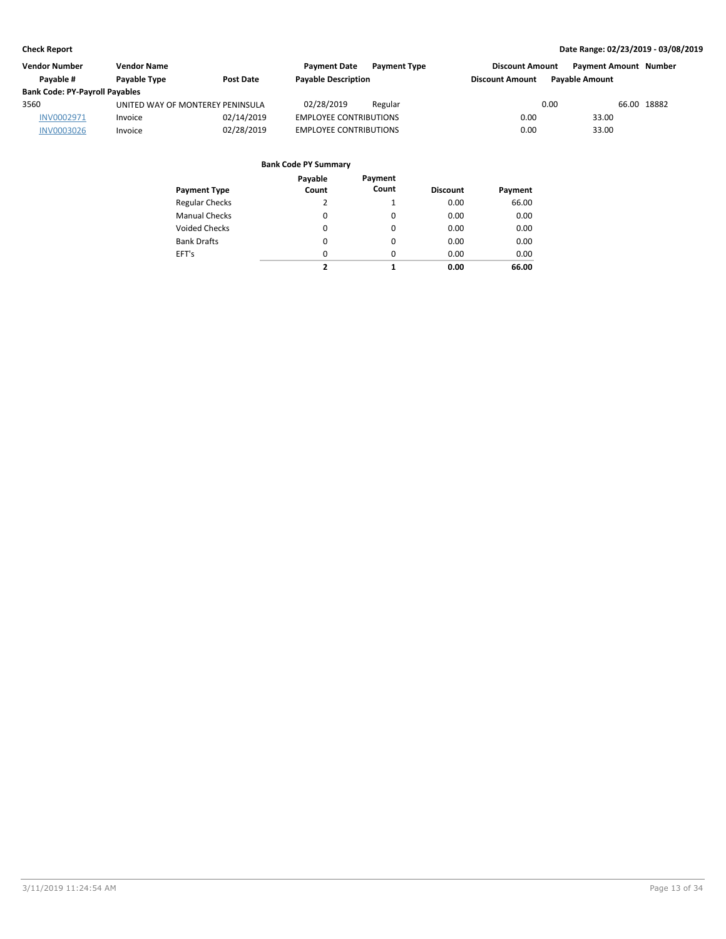| Vendor Number                         | <b>Vendor Name</b>               |                  | <b>Payment Date</b>           | <b>Payment Type</b> | <b>Discount Amount</b> |                       | <b>Payment Amount Number</b> |  |
|---------------------------------------|----------------------------------|------------------|-------------------------------|---------------------|------------------------|-----------------------|------------------------------|--|
| Pavable #                             | Payable Type                     | <b>Post Date</b> | <b>Payable Description</b>    |                     | <b>Discount Amount</b> | <b>Pavable Amount</b> |                              |  |
| <b>Bank Code: PY-Payroll Payables</b> |                                  |                  |                               |                     |                        |                       |                              |  |
| 3560                                  | UNITED WAY OF MONTEREY PENINSULA |                  | 02/28/2019                    | Regular             |                        | 0.00                  | 66.00 18882                  |  |
| INV0002971                            | Invoice                          | 02/14/2019       | <b>EMPLOYEE CONTRIBUTIONS</b> |                     | 0.00                   | 33.00                 |                              |  |
| <b>INV0003026</b>                     | Invoice                          | 02/28/2019       | <b>EMPLOYEE CONTRIBUTIONS</b> |                     | 0.00                   | 33.00                 |                              |  |

| Payment Type          | Payable<br>Count | Payment<br>Count | <b>Discount</b> | Payment |
|-----------------------|------------------|------------------|-----------------|---------|
| <b>Regular Checks</b> | 2                | 1                | 0.00            | 66.00   |
| <b>Manual Checks</b>  | 0                | 0                | 0.00            | 0.00    |
| <b>Voided Checks</b>  | 0                | 0                | 0.00            | 0.00    |
| <b>Bank Drafts</b>    | 0                | 0                | 0.00            | 0.00    |
| EFT's                 | 0                | 0                | 0.00            | 0.00    |
|                       | 2                | 1                | 0.00            | 66.00   |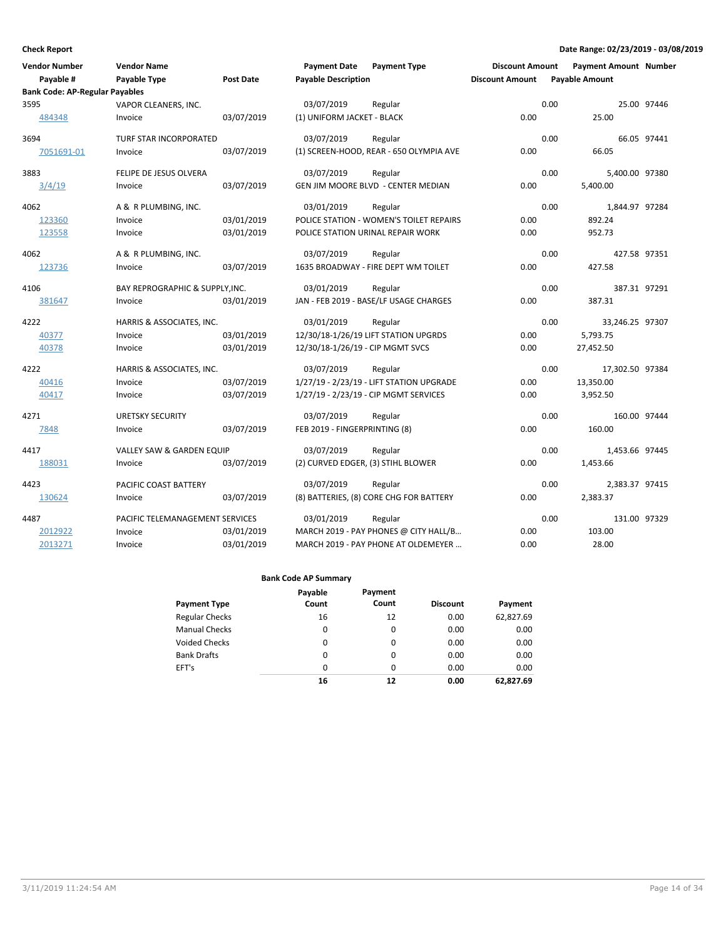| <b>Vendor Number</b><br>Payable #     | <b>Vendor Name</b><br>Payable Type | Post Date  | <b>Payment Date</b><br><b>Payable Description</b> | <b>Payment Type</b>                       | <b>Discount Amount</b><br><b>Discount Amount</b> | <b>Payment Amount Number</b><br><b>Payable Amount</b> |              |
|---------------------------------------|------------------------------------|------------|---------------------------------------------------|-------------------------------------------|--------------------------------------------------|-------------------------------------------------------|--------------|
| <b>Bank Code: AP-Regular Payables</b> |                                    |            |                                                   |                                           |                                                  |                                                       |              |
| 3595                                  | VAPOR CLEANERS, INC.               |            | 03/07/2019                                        | Regular                                   |                                                  | 0.00                                                  | 25.00 97446  |
| 484348                                | Invoice                            | 03/07/2019 | (1) UNIFORM JACKET - BLACK                        |                                           | 0.00                                             | 25.00                                                 |              |
| 3694                                  | TURF STAR INCORPORATED             |            | 03/07/2019                                        | Regular                                   |                                                  | 0.00                                                  | 66.05 97441  |
| 7051691-01                            | Invoice                            | 03/07/2019 |                                                   | (1) SCREEN-HOOD, REAR - 650 OLYMPIA AVE   | 0.00                                             | 66.05                                                 |              |
| 3883                                  | FELIPE DE JESUS OLVERA             |            | 03/07/2019                                        | Regular                                   |                                                  | 0.00<br>5,400.00 97380                                |              |
| 3/4/19                                | Invoice                            | 03/07/2019 |                                                   | <b>GEN JIM MOORE BLVD - CENTER MEDIAN</b> | 0.00                                             | 5,400.00                                              |              |
| 4062                                  | A & R PLUMBING, INC.               |            | 03/01/2019                                        | Regular                                   |                                                  | 0.00<br>1,844.97 97284                                |              |
| 123360                                | Invoice                            | 03/01/2019 |                                                   | POLICE STATION - WOMEN'S TOILET REPAIRS   | 0.00                                             | 892.24                                                |              |
| 123558                                | Invoice                            | 03/01/2019 |                                                   | POLICE STATION URINAL REPAIR WORK         | 0.00                                             | 952.73                                                |              |
| 4062                                  | A & R PLUMBING, INC.               |            | 03/07/2019                                        | Regular                                   |                                                  | 0.00                                                  | 427.58 97351 |
| 123736                                | Invoice                            | 03/07/2019 |                                                   | 1635 BROADWAY - FIRE DEPT WM TOILET       | 0.00                                             | 427.58                                                |              |
| 4106                                  | BAY REPROGRAPHIC & SUPPLY, INC.    |            | 03/01/2019                                        | Regular                                   |                                                  | 0.00                                                  | 387.31 97291 |
| 381647                                | Invoice                            | 03/01/2019 |                                                   | JAN - FEB 2019 - BASE/LF USAGE CHARGES    | 0.00                                             | 387.31                                                |              |
| 4222                                  | HARRIS & ASSOCIATES, INC.          |            | 03/01/2019                                        | Regular                                   |                                                  | 0.00<br>33,246.25 97307                               |              |
| 40377                                 | Invoice                            | 03/01/2019 |                                                   | 12/30/18-1/26/19 LIFT STATION UPGRDS      | 0.00                                             | 5,793.75                                              |              |
| 40378                                 | Invoice                            | 03/01/2019 | 12/30/18-1/26/19 - CIP MGMT SVCS                  |                                           | 0.00                                             | 27,452.50                                             |              |
| 4222                                  | HARRIS & ASSOCIATES, INC.          |            | 03/07/2019                                        | Regular                                   |                                                  | 0.00<br>17,302.50 97384                               |              |
| 40416                                 | Invoice                            | 03/07/2019 |                                                   | 1/27/19 - 2/23/19 - LIFT STATION UPGRADE  | 0.00                                             | 13,350.00                                             |              |
| 40417                                 | Invoice                            | 03/07/2019 |                                                   | 1/27/19 - 2/23/19 - CIP MGMT SERVICES     | 0.00                                             | 3,952.50                                              |              |
| 4271                                  | <b>URETSKY SECURITY</b>            |            | 03/07/2019                                        | Regular                                   |                                                  | 0.00                                                  | 160.00 97444 |
| 7848                                  | Invoice                            | 03/07/2019 | FEB 2019 - FINGERPRINTING (8)                     |                                           | 0.00                                             | 160.00                                                |              |
| 4417                                  | VALLEY SAW & GARDEN EQUIP          |            | 03/07/2019                                        | Regular                                   |                                                  | 0.00<br>1,453.66 97445                                |              |
| 188031                                | Invoice                            | 03/07/2019 |                                                   | (2) CURVED EDGER, (3) STIHL BLOWER        | 0.00                                             | 1,453.66                                              |              |
| 4423                                  | PACIFIC COAST BATTERY              |            | 03/07/2019                                        | Regular                                   |                                                  | 0.00<br>2,383.37 97415                                |              |
| 130624                                | Invoice                            | 03/07/2019 |                                                   | (8) BATTERIES, (8) CORE CHG FOR BATTERY   | 0.00                                             | 2,383.37                                              |              |
| 4487                                  | PACIFIC TELEMANAGEMENT SERVICES    |            | 03/01/2019                                        | Regular                                   |                                                  | 0.00                                                  | 131.00 97329 |
| 2012922                               | Invoice                            | 03/01/2019 |                                                   | MARCH 2019 - PAY PHONES @ CITY HALL/B     | 0.00                                             | 103.00                                                |              |
| 2013271                               | Invoice                            | 03/01/2019 |                                                   | MARCH 2019 - PAY PHONE AT OLDEMEYER       | 0.00                                             | 28.00                                                 |              |

|                       | Payable | Payment  |                 |           |
|-----------------------|---------|----------|-----------------|-----------|
| <b>Payment Type</b>   | Count   | Count    | <b>Discount</b> | Payment   |
| <b>Regular Checks</b> | 16      | 12       | 0.00            | 62,827.69 |
| <b>Manual Checks</b>  | 0       | 0        | 0.00            | 0.00      |
| <b>Voided Checks</b>  | 0       | $\Omega$ | 0.00            | 0.00      |
| <b>Bank Drafts</b>    | 0       | 0        | 0.00            | 0.00      |
| EFT's                 | 0       | $\Omega$ | 0.00            | 0.00      |
|                       | 16      | 12       | 0.00            | 62.827.69 |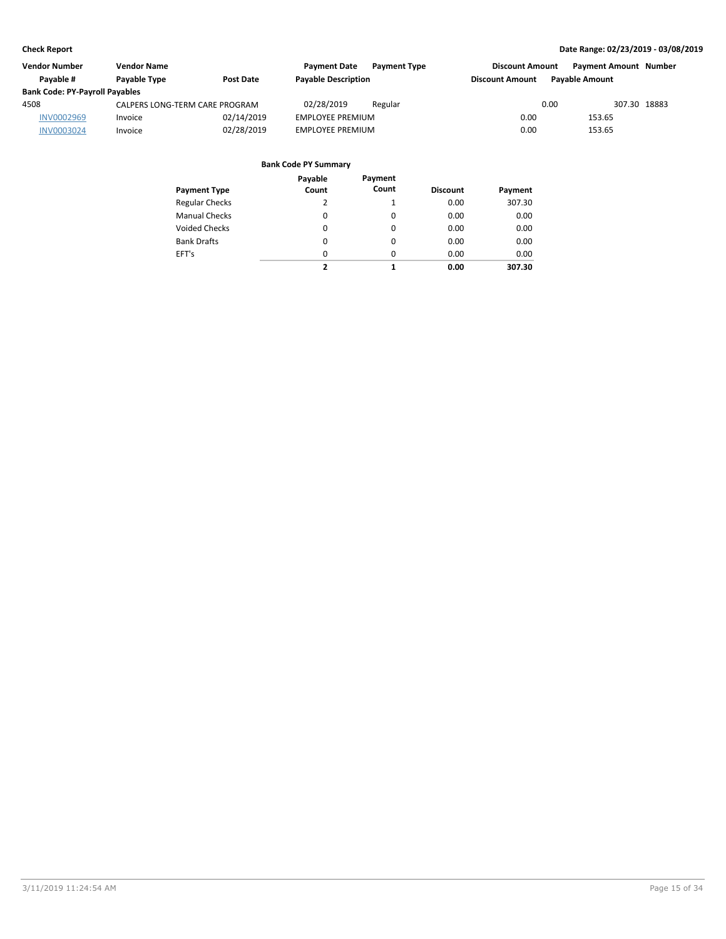| <b>Vendor Number</b>                  | <b>Vendor Name</b>             |                  | <b>Payment Date</b>        | <b>Payment Type</b> | <b>Discount Amount</b> |                       | <b>Payment Amount Number</b> |
|---------------------------------------|--------------------------------|------------------|----------------------------|---------------------|------------------------|-----------------------|------------------------------|
| Pavable #                             | Payable Type                   | <b>Post Date</b> | <b>Payable Description</b> |                     | <b>Discount Amount</b> | <b>Pavable Amount</b> |                              |
| <b>Bank Code: PY-Payroll Payables</b> |                                |                  |                            |                     |                        |                       |                              |
| 4508                                  | CALPERS LONG-TERM CARE PROGRAM |                  | 02/28/2019                 | Regular             |                        | 0.00                  | 307.30 18883                 |
| <b>INV0002969</b>                     | Invoice                        | 02/14/2019       | <b>EMPLOYEE PREMIUM</b>    |                     | 0.00                   | 153.65                |                              |
| <b>INV0003024</b>                     | Invoice                        | 02/28/2019       | <b>EMPLOYEE PREMIUM</b>    |                     | 0.00                   | 153.65                |                              |

| <b>Payment Type</b>   | Payable<br>Count | Payment<br>Count | <b>Discount</b> | Payment |
|-----------------------|------------------|------------------|-----------------|---------|
| <b>Regular Checks</b> | 2                | 1                | 0.00            | 307.30  |
| <b>Manual Checks</b>  | 0                | 0                | 0.00            | 0.00    |
| <b>Voided Checks</b>  | 0                | $\Omega$         | 0.00            | 0.00    |
| <b>Bank Drafts</b>    | 0                | $\Omega$         | 0.00            | 0.00    |
| EFT's                 | 0                | $\Omega$         | 0.00            | 0.00    |
|                       | 2                | 1                | 0.00            | 307.30  |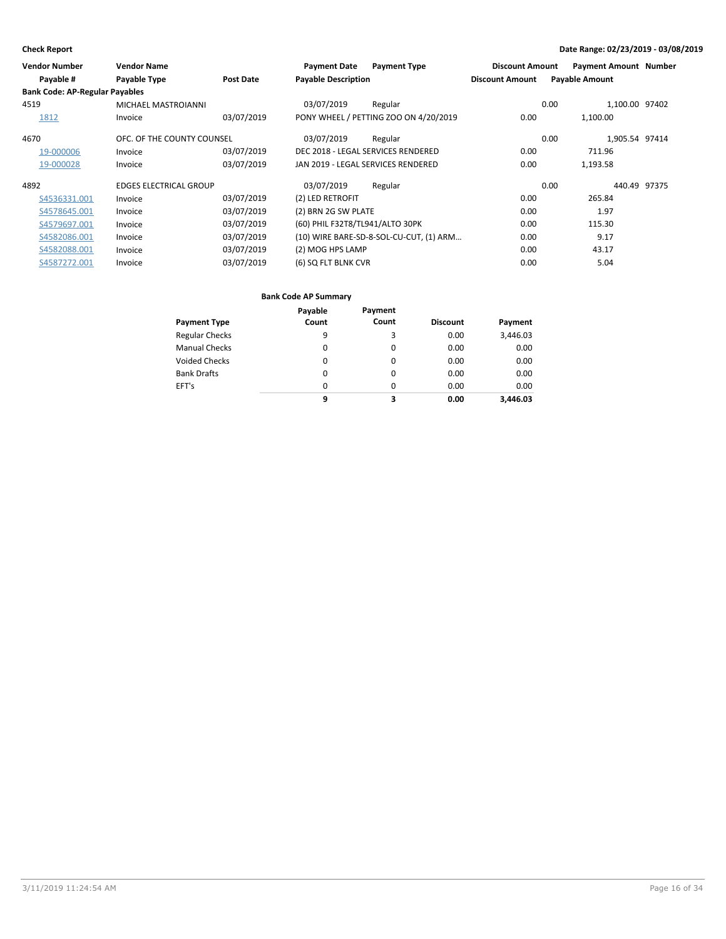| <b>Vendor Number</b>                  | <b>Vendor Name</b>            |                  | <b>Payment Date</b>             | <b>Payment Type</b>                     | <b>Discount Amount</b> | <b>Payment Amount Number</b> |  |
|---------------------------------------|-------------------------------|------------------|---------------------------------|-----------------------------------------|------------------------|------------------------------|--|
| Payable #                             | Payable Type                  | <b>Post Date</b> | <b>Payable Description</b>      |                                         | <b>Discount Amount</b> | <b>Payable Amount</b>        |  |
| <b>Bank Code: AP-Regular Payables</b> |                               |                  |                                 |                                         |                        |                              |  |
| 4519                                  | MICHAEL MASTROIANNI           |                  | 03/07/2019                      | Regular                                 |                        | 1,100.00 97402<br>0.00       |  |
| 1812                                  | Invoice                       | 03/07/2019       |                                 | PONY WHEEL / PETTING ZOO ON 4/20/2019   | 0.00                   | 1,100.00                     |  |
| 4670                                  | OFC. OF THE COUNTY COUNSEL    |                  | 03/07/2019                      | Regular                                 |                        | 1,905.54 97414<br>0.00       |  |
| 19-000006                             | Invoice                       | 03/07/2019       |                                 | DEC 2018 - LEGAL SERVICES RENDERED      | 0.00                   | 711.96                       |  |
| 19-000028                             | Invoice                       | 03/07/2019       |                                 | JAN 2019 - LEGAL SERVICES RENDERED      | 0.00                   | 1,193.58                     |  |
| 4892                                  | <b>EDGES ELECTRICAL GROUP</b> |                  | 03/07/2019                      | Regular                                 |                        | 0.00<br>440.49 97375         |  |
| S4536331.001                          | Invoice                       | 03/07/2019       | (2) LED RETROFIT                |                                         | 0.00                   | 265.84                       |  |
| S4578645.001                          | Invoice                       | 03/07/2019       | (2) BRN 2G SW PLATE             |                                         | 0.00                   | 1.97                         |  |
| S4579697.001                          | Invoice                       | 03/07/2019       | (60) PHIL F32T8/TL941/ALTO 30PK |                                         | 0.00                   | 115.30                       |  |
| S4582086.001                          | Invoice                       | 03/07/2019       |                                 | (10) WIRE BARE-SD-8-SOL-CU-CUT, (1) ARM | 0.00                   | 9.17                         |  |
| S4582088.001                          | Invoice                       | 03/07/2019       | (2) MOG HPS LAMP                |                                         | 0.00                   | 43.17                        |  |
| S4587272.001                          | Invoice                       | 03/07/2019       | (6) SQ FLT BLNK CVR             |                                         | 0.00                   | 5.04                         |  |

|                       | Payable  | Payment  |                 |          |
|-----------------------|----------|----------|-----------------|----------|
| <b>Payment Type</b>   | Count    | Count    | <b>Discount</b> | Payment  |
| <b>Regular Checks</b> | 9        | 3        | 0.00            | 3,446.03 |
| <b>Manual Checks</b>  | $\Omega$ | 0        | 0.00            | 0.00     |
| <b>Voided Checks</b>  | 0        | 0        | 0.00            | 0.00     |
| <b>Bank Drafts</b>    | 0        | 0        | 0.00            | 0.00     |
| EFT's                 | 0        | $\Omega$ | 0.00            | 0.00     |
|                       | 9        | 3        | 0.00            | 3.446.03 |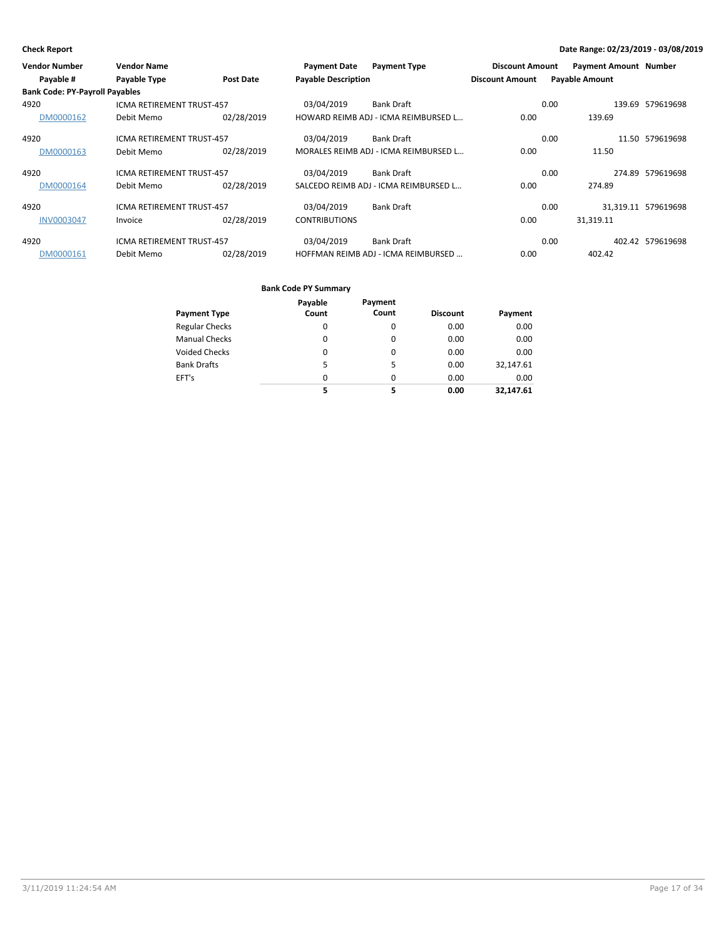| <b>Vendor Number</b>                  | <b>Vendor Name</b>               |            | <b>Payment Date</b>        | <b>Payment Type</b>                   | <b>Discount Amount</b> | <b>Payment Amount Number</b> |                     |
|---------------------------------------|----------------------------------|------------|----------------------------|---------------------------------------|------------------------|------------------------------|---------------------|
| Payable #                             | Payable Type                     | Post Date  | <b>Payable Description</b> |                                       | <b>Discount Amount</b> | <b>Payable Amount</b>        |                     |
| <b>Bank Code: PY-Payroll Payables</b> |                                  |            |                            |                                       |                        |                              |                     |
| 4920                                  | <b>ICMA RETIREMENT TRUST-457</b> |            | 03/04/2019                 | <b>Bank Draft</b>                     |                        | 0.00                         | 139.69 579619698    |
| DM0000162                             | Debit Memo                       | 02/28/2019 |                            | HOWARD REIMB ADJ - ICMA REIMBURSED L  | 0.00                   | 139.69                       |                     |
| 4920                                  | <b>ICMA RETIREMENT TRUST-457</b> |            | 03/04/2019                 | <b>Bank Draft</b>                     |                        | 0.00                         | 11.50 579619698     |
| DM0000163                             | Debit Memo                       | 02/28/2019 |                            | MORALES REIMB ADJ - ICMA REIMBURSED L | 0.00                   | 11.50                        |                     |
| 4920                                  | ICMA RETIREMENT TRUST-457        |            | 03/04/2019                 | <b>Bank Draft</b>                     |                        | 0.00                         | 274.89 579619698    |
| DM0000164                             | Debit Memo                       | 02/28/2019 |                            | SALCEDO REIMB ADJ - ICMA REIMBURSED L | 0.00                   | 274.89                       |                     |
| 4920                                  | ICMA RETIREMENT TRUST-457        |            | 03/04/2019                 | <b>Bank Draft</b>                     |                        | 0.00                         | 31,319.11 579619698 |
| <b>INV0003047</b>                     | Invoice                          | 02/28/2019 | <b>CONTRIBUTIONS</b>       |                                       | 0.00                   | 31.319.11                    |                     |
| 4920                                  | <b>ICMA RETIREMENT TRUST-457</b> |            | 03/04/2019                 | <b>Bank Draft</b>                     |                        | 0.00                         | 402.42 579619698    |
| DM0000161                             | Debit Memo                       | 02/28/2019 |                            | HOFFMAN REIMB ADJ - ICMA REIMBURSED   | 0.00                   | 402.42                       |                     |

| Payment Type          | Payable<br>Count | Payment<br>Count | <b>Discount</b> | Payment   |
|-----------------------|------------------|------------------|-----------------|-----------|
| <b>Regular Checks</b> | 0                | 0                | 0.00            | 0.00      |
| <b>Manual Checks</b>  | 0                | 0                | 0.00            | 0.00      |
| Voided Checks         | 0                | 0                | 0.00            | 0.00      |
| <b>Bank Drafts</b>    | 5                | 5                | 0.00            | 32,147.61 |
| EFT's                 | $\Omega$         | $\Omega$         | 0.00            | 0.00      |
|                       | 5                | 5                | 0.00            | 32,147.61 |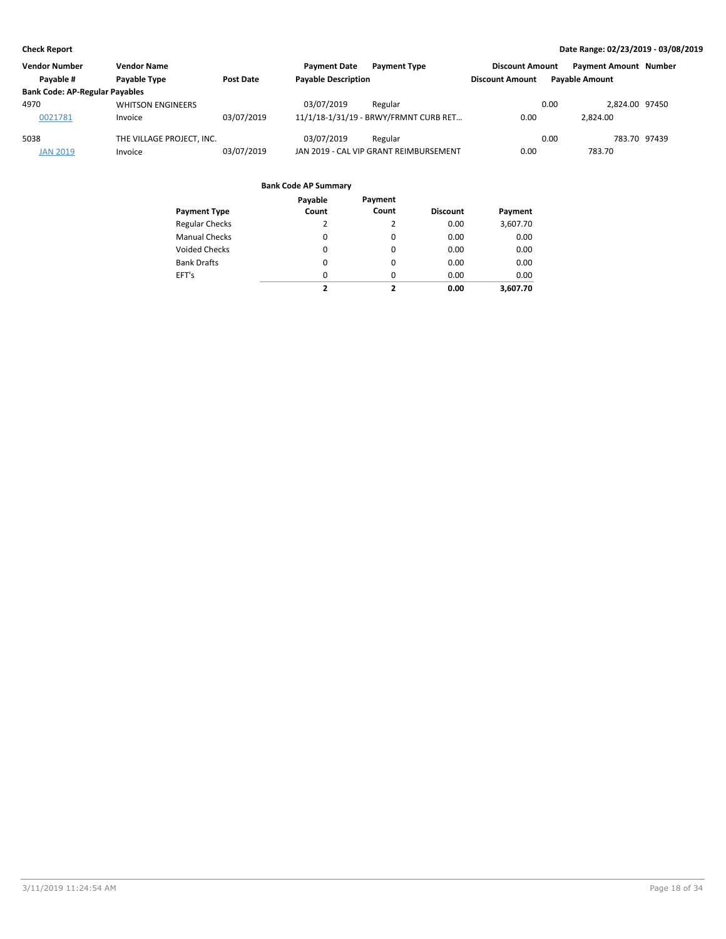| <b>Vendor Number</b><br><b>Vendor Name</b> |                           | <b>Payment Date</b><br><b>Payment Type</b> | <b>Discount Amount</b>                 | <b>Payment Amount Number</b> |                       |
|--------------------------------------------|---------------------------|--------------------------------------------|----------------------------------------|------------------------------|-----------------------|
| Pavable #                                  | <b>Pavable Type</b>       | Post Date                                  | <b>Payable Description</b>             | <b>Discount Amount</b>       | <b>Pavable Amount</b> |
| <b>Bank Code: AP-Regular Payables</b>      |                           |                                            |                                        |                              |                       |
| 4970                                       | <b>WHITSON ENGINEERS</b>  |                                            | 03/07/2019<br>Regular                  | 0.00                         | 2.824.00 97450        |
| 0021781                                    | Invoice                   | 03/07/2019                                 | 11/1/18-1/31/19 - BRWY/FRMNT CURB RET  | 0.00                         | 2.824.00              |
| 5038                                       | THE VILLAGE PROJECT. INC. |                                            | 03/07/2019<br>Regular                  | 0.00                         | 783.70 97439          |
| <b>JAN 2019</b>                            | Invoice                   | 03/07/2019                                 | JAN 2019 - CAL VIP GRANT REIMBURSEMENT | 0.00                         | 783.70                |

|                       | Payable  | Payment  |                 |          |
|-----------------------|----------|----------|-----------------|----------|
| <b>Payment Type</b>   | Count    | Count    | <b>Discount</b> | Payment  |
| <b>Regular Checks</b> | 2        | 2        | 0.00            | 3,607.70 |
| <b>Manual Checks</b>  | $\Omega$ | $\Omega$ | 0.00            | 0.00     |
| <b>Voided Checks</b>  | $\Omega$ | $\Omega$ | 0.00            | 0.00     |
| <b>Bank Drafts</b>    | $\Omega$ | $\Omega$ | 0.00            | 0.00     |
| EFT's                 | $\Omega$ | $\Omega$ | 0.00            | 0.00     |
|                       | 2        | ,        | 0.00            | 3.607.70 |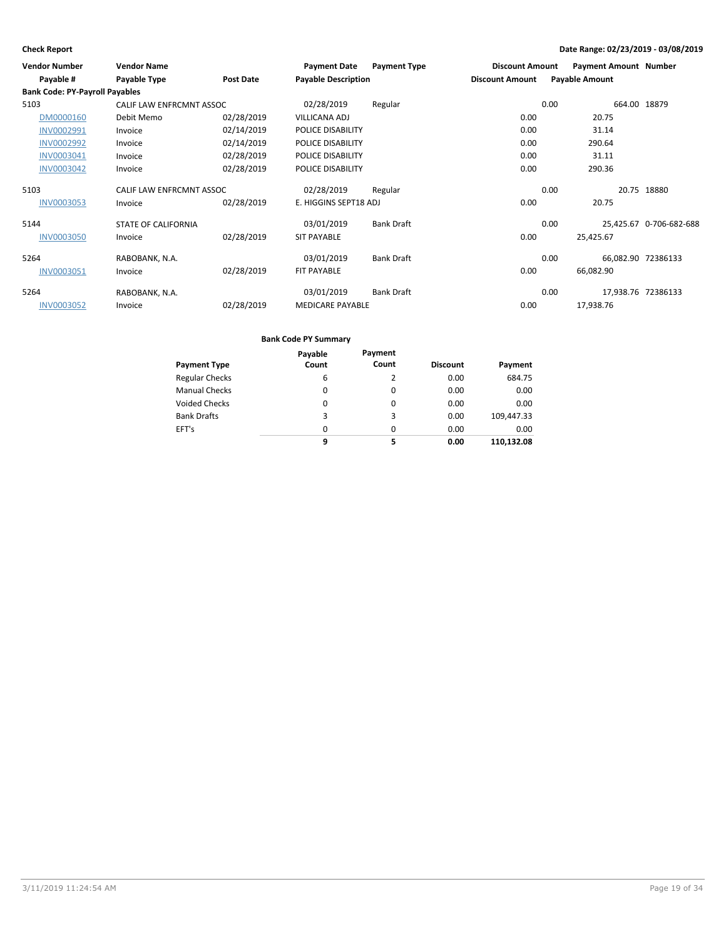| <b>Vendor Number</b>                  | <b>Vendor Name</b>         |                  | <b>Payment Date</b>        | <b>Payment Type</b> | <b>Discount Amount</b> |      | <b>Payment Amount Number</b> |                         |
|---------------------------------------|----------------------------|------------------|----------------------------|---------------------|------------------------|------|------------------------------|-------------------------|
| Payable #                             | Payable Type               | <b>Post Date</b> | <b>Payable Description</b> |                     | <b>Discount Amount</b> |      | <b>Payable Amount</b>        |                         |
| <b>Bank Code: PY-Payroll Payables</b> |                            |                  |                            |                     |                        |      |                              |                         |
| 5103                                  | CALIF LAW ENFRCMNT ASSOC   |                  | 02/28/2019                 | Regular             |                        | 0.00 | 664.00 18879                 |                         |
| DM0000160                             | Debit Memo                 | 02/28/2019       | <b>VILLICANA ADJ</b>       |                     | 0.00                   |      | 20.75                        |                         |
| INV0002991                            | Invoice                    | 02/14/2019       | POLICE DISABILITY          |                     | 0.00                   |      | 31.14                        |                         |
| <b>INV0002992</b>                     | Invoice                    | 02/14/2019       | POLICE DISABILITY          |                     | 0.00                   |      | 290.64                       |                         |
| INV0003041                            | Invoice                    | 02/28/2019       | POLICE DISABILITY          |                     | 0.00                   |      | 31.11                        |                         |
| <b>INV0003042</b>                     | Invoice                    | 02/28/2019       | POLICE DISABILITY          |                     | 0.00                   |      | 290.36                       |                         |
| 5103                                  | CALIF LAW ENFRCMNT ASSOC   |                  | 02/28/2019                 | Regular             |                        | 0.00 |                              | 20.75 18880             |
| <b>INV0003053</b>                     | Invoice                    | 02/28/2019       | E. HIGGINS SEPT18 ADJ      |                     | 0.00                   |      | 20.75                        |                         |
| 5144                                  | <b>STATE OF CALIFORNIA</b> |                  | 03/01/2019                 | <b>Bank Draft</b>   |                        | 0.00 |                              | 25,425.67 0-706-682-688 |
| <b>INV0003050</b>                     | Invoice                    | 02/28/2019       | <b>SIT PAYABLE</b>         |                     | 0.00                   |      | 25,425.67                    |                         |
| 5264                                  | RABOBANK, N.A.             |                  | 03/01/2019                 | <b>Bank Draft</b>   |                        | 0.00 | 66,082.90 72386133           |                         |
| INV0003051                            | Invoice                    | 02/28/2019       | FIT PAYABLE                |                     | 0.00                   |      | 66,082.90                    |                         |
| 5264                                  | RABOBANK, N.A.             |                  | 03/01/2019                 | <b>Bank Draft</b>   |                        | 0.00 | 17,938.76 72386133           |                         |
| <b>INV0003052</b>                     | Invoice                    | 02/28/2019       | <b>MEDICARE PAYABLE</b>    |                     | 0.00                   |      | 17,938.76                    |                         |

| <b>Payment Type</b>   | Payable<br>Count | Payment<br>Count | <b>Discount</b> | Payment    |
|-----------------------|------------------|------------------|-----------------|------------|
| <b>Regular Checks</b> | 6                |                  | 0.00            | 684.75     |
| <b>Manual Checks</b>  | 0                | 0                | 0.00            | 0.00       |
| <b>Voided Checks</b>  | 0                | 0                | 0.00            | 0.00       |
| <b>Bank Drafts</b>    | 3                | 3                | 0.00            | 109,447.33 |
| EFT's                 | 0                | 0                | 0.00            | 0.00       |
|                       | 9                | 5                | 0.00            | 110.132.08 |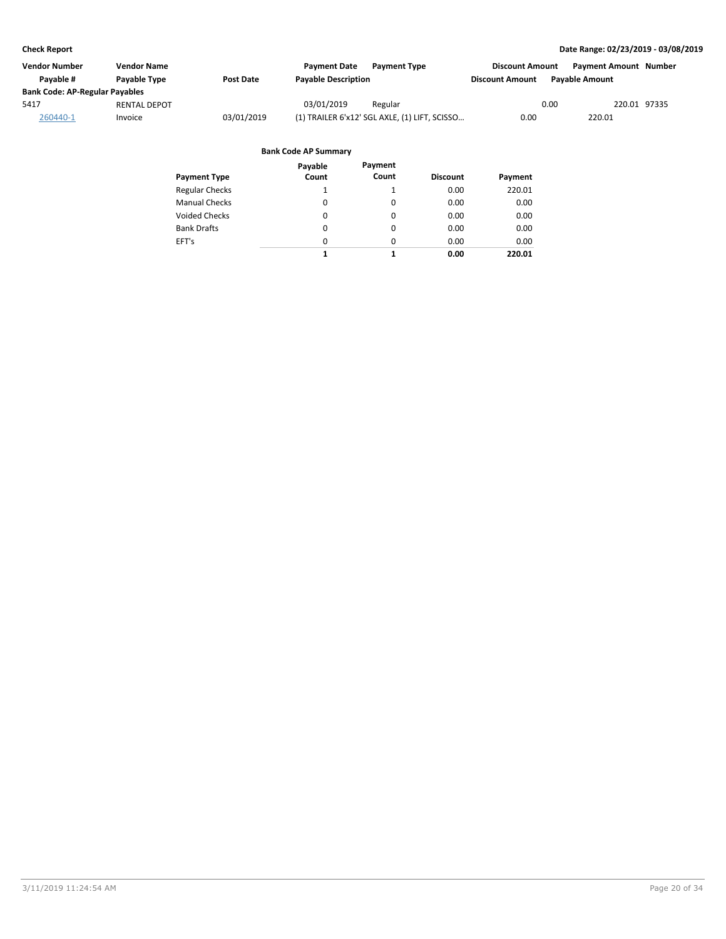| Vendor Number                         | <b>Vendor Name</b>  |            | <b>Payment Date</b><br><b>Payment Type</b>    | <b>Discount Amount</b> | <b>Payment Amount Number</b> |
|---------------------------------------|---------------------|------------|-----------------------------------------------|------------------------|------------------------------|
| Pavable #                             | <b>Pavable Type</b> | Post Date  | <b>Payable Description</b>                    | <b>Discount Amount</b> | <b>Pavable Amount</b>        |
| <b>Bank Code: AP-Regular Payables</b> |                     |            |                                               |                        |                              |
| 5417                                  | <b>RENTAL DEPOT</b> |            | 03/01/2019<br>Regular                         | 0.00                   | 220.01 97335                 |
| 260440-1                              | Invoice             | 03/01/2019 | (1) TRAILER 6'x12' SGL AXLE, (1) LIFT, SCISSO | 0.00                   | 220.01                       |

| Payment Type          | Payable<br>Count | Payment<br>Count | <b>Discount</b> | Payment |
|-----------------------|------------------|------------------|-----------------|---------|
| <b>Regular Checks</b> | 1                |                  | 0.00            | 220.01  |
| <b>Manual Checks</b>  | $\Omega$         | $\Omega$         | 0.00            | 0.00    |
| Voided Checks         | 0                | 0                | 0.00            | 0.00    |
| <b>Bank Drafts</b>    | 0                | 0                | 0.00            | 0.00    |
| EFT's                 | 0                | $\Omega$         | 0.00            | 0.00    |
|                       | 1                | 1                | 0.00            | 220.01  |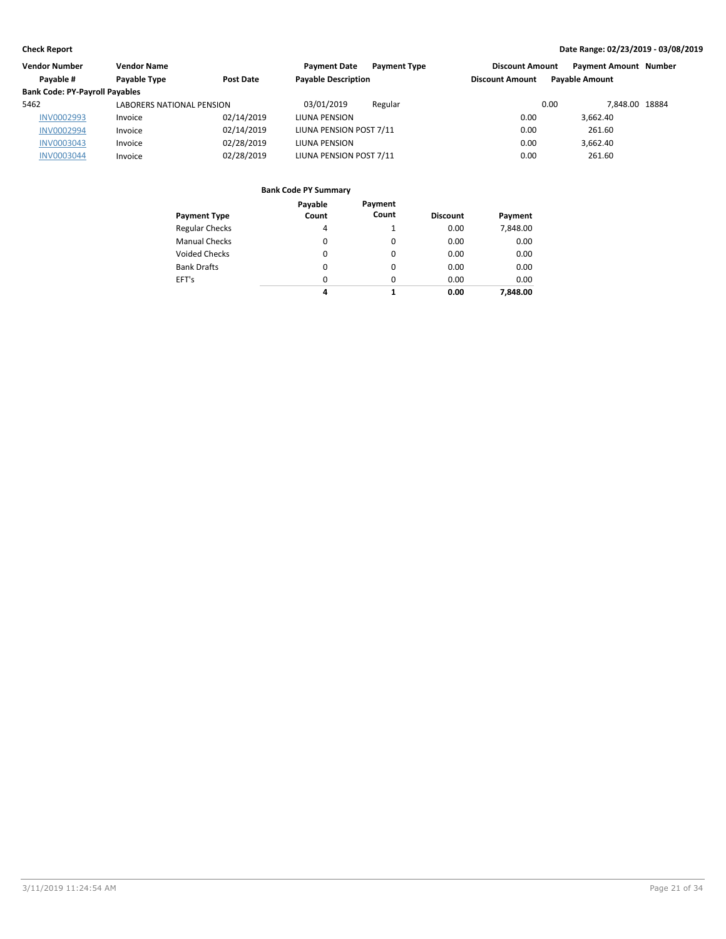| Vendor Number<br><b>Vendor Name</b>   |                                  | <b>Payment Type</b><br><b>Payment Date</b> | <b>Discount Amount</b>     | <b>Payment Amount Number</b> |                       |  |
|---------------------------------------|----------------------------------|--------------------------------------------|----------------------------|------------------------------|-----------------------|--|
| Payable #                             | Payable Type                     | Post Date                                  | <b>Payable Description</b> | <b>Discount Amount</b>       | <b>Payable Amount</b> |  |
| <b>Bank Code: PY-Payroll Payables</b> |                                  |                                            |                            |                              |                       |  |
| 5462                                  | <b>LABORERS NATIONAL PENSION</b> |                                            | 03/01/2019<br>Regular      | 0.00                         | 7.848.00 18884        |  |
| INV0002993                            | Invoice                          | 02/14/2019                                 | LIUNA PENSION              | 0.00                         | 3.662.40              |  |
| <b>INV0002994</b>                     | Invoice                          | 02/14/2019                                 | LIUNA PENSION POST 7/11    | 0.00                         | 261.60                |  |
| <b>INV0003043</b>                     | Invoice                          | 02/28/2019                                 | LIUNA PENSION              | 0.00                         | 3.662.40              |  |
| <b>INV0003044</b>                     | Invoice                          | 02/28/2019                                 | LIUNA PENSION POST 7/11    | 0.00                         | 261.60                |  |

| <b>Payment Type</b>   | Payable<br>Count | Payment<br>Count | <b>Discount</b> | Payment  |
|-----------------------|------------------|------------------|-----------------|----------|
| <b>Regular Checks</b> | 4                |                  | 0.00            | 7,848.00 |
| <b>Manual Checks</b>  | 0                | 0                | 0.00            | 0.00     |
| <b>Voided Checks</b>  | 0                | 0                | 0.00            | 0.00     |
| <b>Bank Drafts</b>    | 0                | 0                | 0.00            | 0.00     |
| EFT's                 | $\Omega$         | 0                | 0.00            | 0.00     |
|                       | 4                |                  | 0.00            | 7,848.00 |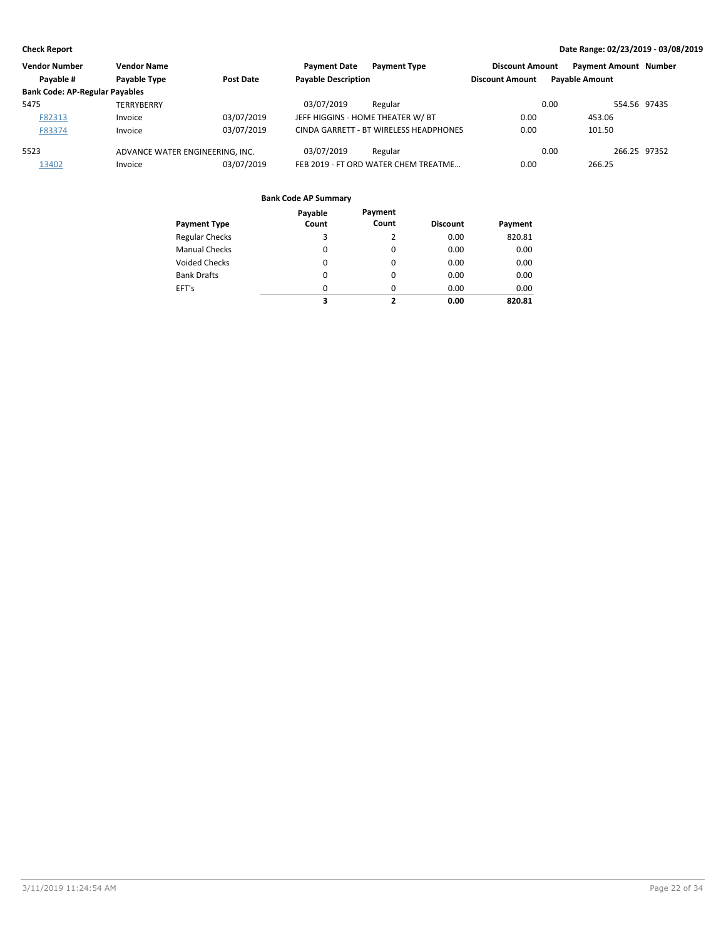| <b>Vendor Number</b>                  | <b>Vendor Name</b>              |                  | <b>Payment Date</b>        | <b>Payment Type</b>                    | <b>Discount Amount</b> | <b>Payment Amount Number</b> |              |
|---------------------------------------|---------------------------------|------------------|----------------------------|----------------------------------------|------------------------|------------------------------|--------------|
| Payable #                             | <b>Pavable Type</b>             | <b>Post Date</b> | <b>Payable Description</b> |                                        | <b>Discount Amount</b> | <b>Payable Amount</b>        |              |
| <b>Bank Code: AP-Regular Payables</b> |                                 |                  |                            |                                        |                        |                              |              |
| 5475                                  | TERRYBERRY                      |                  | 03/07/2019                 | Regular                                |                        | 0.00                         | 554.56 97435 |
| F82313                                | Invoice                         | 03/07/2019       |                            | JEFF HIGGINS - HOME THEATER W/ BT      | 0.00                   | 453.06                       |              |
| F83374                                | Invoice                         | 03/07/2019       |                            | CINDA GARRETT - BT WIRELESS HEADPHONES | 0.00                   | 101.50                       |              |
| 5523                                  | ADVANCE WATER ENGINEERING. INC. |                  | 03/07/2019                 | Regular                                |                        | 0.00                         | 266.25 97352 |
| 13402                                 | Invoice                         | 03/07/2019       |                            | FEB 2019 - FT ORD WATER CHEM TREATME   | 0.00                   | 266.25                       |              |

|                       | Payable  | Payment  |                 |         |
|-----------------------|----------|----------|-----------------|---------|
| <b>Payment Type</b>   | Count    | Count    | <b>Discount</b> | Payment |
| <b>Regular Checks</b> | 3        | 2        | 0.00            | 820.81  |
| <b>Manual Checks</b>  | 0        | $\Omega$ | 0.00            | 0.00    |
| Voided Checks         | 0        | $\Omega$ | 0.00            | 0.00    |
| <b>Bank Drafts</b>    | $\Omega$ | $\Omega$ | 0.00            | 0.00    |
| EFT's                 | $\Omega$ | $\Omega$ | 0.00            | 0.00    |
|                       | 3        | 2        | 0.00            | 820.81  |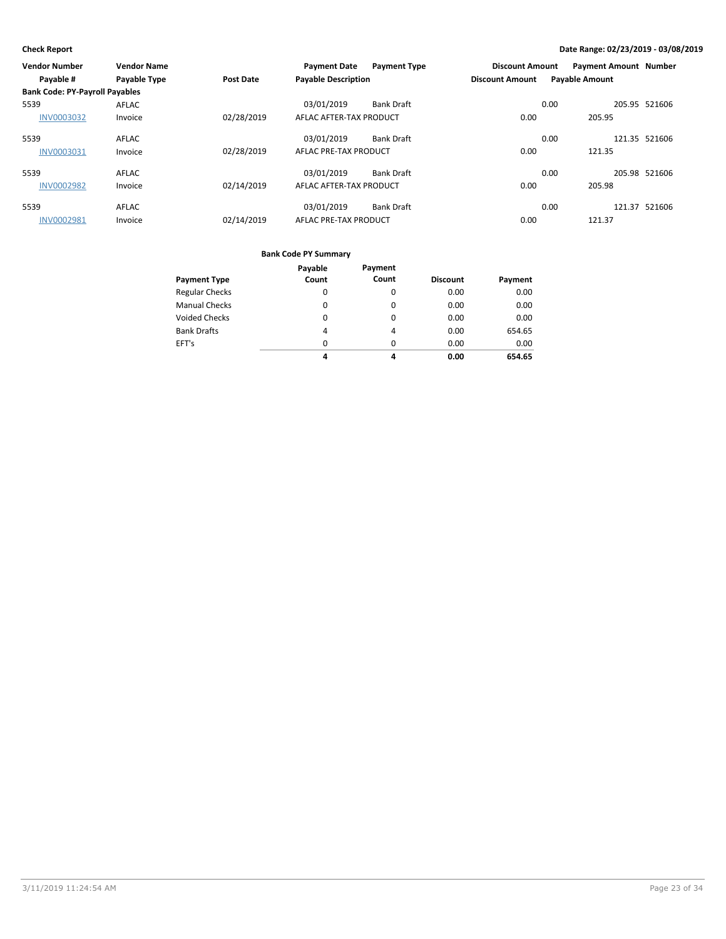| <b>Vendor Number</b>                  | <b>Vendor Name</b>  |                  | <b>Payment Date</b>        | <b>Payment Type</b> | <b>Discount Amount</b> | <b>Payment Amount Number</b> |               |
|---------------------------------------|---------------------|------------------|----------------------------|---------------------|------------------------|------------------------------|---------------|
| Payable #                             | <b>Payable Type</b> | <b>Post Date</b> | <b>Payable Description</b> |                     | <b>Discount Amount</b> | <b>Payable Amount</b>        |               |
| <b>Bank Code: PY-Payroll Payables</b> |                     |                  |                            |                     |                        |                              |               |
| 5539                                  | AFLAC               |                  | 03/01/2019                 | <b>Bank Draft</b>   |                        | 0.00                         | 205.95 521606 |
| <b>INV0003032</b>                     | Invoice             | 02/28/2019       | AFLAC AFTER-TAX PRODUCT    |                     | 0.00                   | 205.95                       |               |
| 5539                                  | AFLAC               |                  | 03/01/2019                 | <b>Bank Draft</b>   |                        | 0.00                         | 121.35 521606 |
| INV0003031                            | Invoice             | 02/28/2019       | AFLAC PRE-TAX PRODUCT      |                     | 0.00                   | 121.35                       |               |
| 5539                                  | <b>AFLAC</b>        |                  | 03/01/2019                 | <b>Bank Draft</b>   |                        | 0.00                         | 205.98 521606 |
| <b>INV0002982</b>                     | Invoice             | 02/14/2019       | AFLAC AFTER-TAX PRODUCT    |                     | 0.00                   | 205.98                       |               |
| 5539                                  | <b>AFLAC</b>        |                  | 03/01/2019                 | <b>Bank Draft</b>   |                        | 0.00                         | 121.37 521606 |
| <b>INV0002981</b>                     | Invoice             | 02/14/2019       | AFLAC PRE-TAX PRODUCT      |                     | 0.00                   | 121.37                       |               |

|                       | Payable  | Payment  |                 |         |
|-----------------------|----------|----------|-----------------|---------|
| <b>Payment Type</b>   | Count    | Count    | <b>Discount</b> | Payment |
| <b>Regular Checks</b> | 0        | 0        | 0.00            | 0.00    |
| <b>Manual Checks</b>  | $\Omega$ | $\Omega$ | 0.00            | 0.00    |
| <b>Voided Checks</b>  | 0        | $\Omega$ | 0.00            | 0.00    |
| <b>Bank Drafts</b>    | 4        | 4        | 0.00            | 654.65  |
| EFT's                 | $\Omega$ | $\Omega$ | 0.00            | 0.00    |
|                       | 4        | 4        | 0.00            | 654.65  |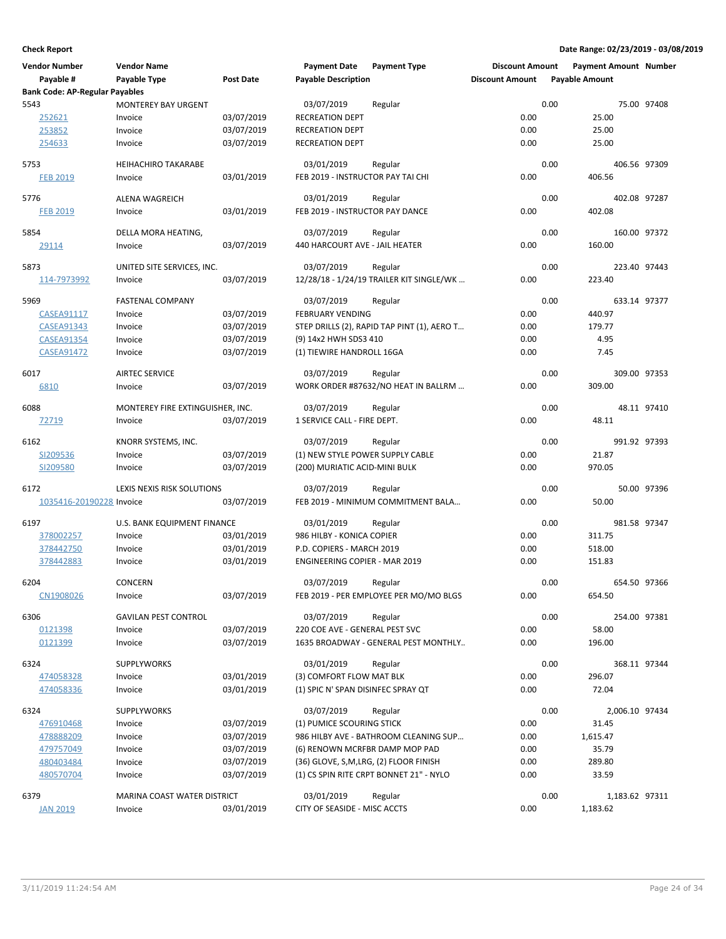| <b>Vendor Number</b>                  | <b>Vendor Name</b>               |                  | <b>Payment Date</b>                   | <b>Payment Type</b>                         | <b>Discount Amount</b> |      | <b>Payment Amount Number</b> |             |
|---------------------------------------|----------------------------------|------------------|---------------------------------------|---------------------------------------------|------------------------|------|------------------------------|-------------|
| Payable #                             | Payable Type                     | <b>Post Date</b> | <b>Payable Description</b>            |                                             | <b>Discount Amount</b> |      | <b>Payable Amount</b>        |             |
| <b>Bank Code: AP-Regular Payables</b> |                                  |                  |                                       |                                             |                        |      |                              |             |
| 5543                                  | <b>MONTEREY BAY URGENT</b>       |                  | 03/07/2019                            | Regular                                     |                        | 0.00 |                              | 75.00 97408 |
| 252621                                | Invoice                          | 03/07/2019       | <b>RECREATION DEPT</b>                |                                             | 0.00                   |      | 25.00                        |             |
| 253852                                | Invoice                          | 03/07/2019       | <b>RECREATION DEPT</b>                |                                             | 0.00                   |      | 25.00                        |             |
| 254633                                | Invoice                          | 03/07/2019       | <b>RECREATION DEPT</b>                |                                             | 0.00                   |      | 25.00                        |             |
| 5753                                  | <b>HEIHACHIRO TAKARABE</b>       |                  | 03/01/2019                            | Regular                                     |                        | 0.00 | 406.56 97309                 |             |
| <b>FEB 2019</b>                       | Invoice                          | 03/01/2019       | FEB 2019 - INSTRUCTOR PAY TAI CHI     |                                             | 0.00                   |      | 406.56                       |             |
|                                       |                                  |                  |                                       |                                             |                        |      |                              |             |
| 5776                                  | ALENA WAGREICH                   |                  | 03/01/2019                            | Regular                                     |                        | 0.00 | 402.08 97287                 |             |
| <b>FEB 2019</b>                       | Invoice                          | 03/01/2019       | FEB 2019 - INSTRUCTOR PAY DANCE       |                                             | 0.00                   |      | 402.08                       |             |
| 5854                                  | DELLA MORA HEATING,              |                  | 03/07/2019                            | Regular                                     |                        | 0.00 | 160.00 97372                 |             |
| 29114                                 | Invoice                          | 03/07/2019       | 440 HARCOURT AVE - JAIL HEATER        |                                             | 0.00                   |      | 160.00                       |             |
|                                       |                                  |                  |                                       |                                             |                        |      |                              |             |
| 5873                                  | UNITED SITE SERVICES, INC.       |                  | 03/07/2019                            | Regular                                     |                        | 0.00 | 223.40 97443                 |             |
| 114-7973992                           | Invoice                          | 03/07/2019       |                                       | 12/28/18 - 1/24/19 TRAILER KIT SINGLE/WK    | 0.00                   |      | 223.40                       |             |
| 5969                                  | <b>FASTENAL COMPANY</b>          |                  | 03/07/2019                            | Regular                                     |                        | 0.00 | 633.14 97377                 |             |
| <b>CASEA91117</b>                     | Invoice                          | 03/07/2019       | <b>FEBRUARY VENDING</b>               |                                             | 0.00                   |      | 440.97                       |             |
| <b>CASEA91343</b>                     | Invoice                          | 03/07/2019       |                                       | STEP DRILLS (2), RAPID TAP PINT (1), AERO T | 0.00                   |      | 179.77                       |             |
| CASEA91354                            | Invoice                          | 03/07/2019       | (9) 14x2 HWH SDS3 410                 |                                             | 0.00                   |      | 4.95                         |             |
| <b>CASEA91472</b>                     | Invoice                          | 03/07/2019       | (1) TIEWIRE HANDROLL 16GA             |                                             | 0.00                   |      | 7.45                         |             |
|                                       |                                  |                  |                                       |                                             |                        |      |                              |             |
| 6017                                  | <b>AIRTEC SERVICE</b>            |                  | 03/07/2019                            | Regular                                     |                        | 0.00 | 309.00 97353                 |             |
| 6810                                  | Invoice                          | 03/07/2019       |                                       | WORK ORDER #87632/NO HEAT IN BALLRM         | 0.00                   |      | 309.00                       |             |
| 6088                                  | MONTEREY FIRE EXTINGUISHER, INC. |                  | 03/07/2019                            | Regular                                     |                        | 0.00 |                              | 48.11 97410 |
| 72719                                 | Invoice                          | 03/07/2019       | 1 SERVICE CALL - FIRE DEPT.           |                                             | 0.00                   |      | 48.11                        |             |
|                                       |                                  |                  |                                       |                                             |                        |      |                              |             |
| 6162                                  | KNORR SYSTEMS, INC.              |                  | 03/07/2019                            | Regular                                     |                        | 0.00 | 991.92 97393                 |             |
| SI209536                              | Invoice                          | 03/07/2019       | (1) NEW STYLE POWER SUPPLY CABLE      |                                             | 0.00                   |      | 21.87                        |             |
| SI209580                              | Invoice                          | 03/07/2019       | (200) MURIATIC ACID-MINI BULK         |                                             | 0.00                   |      | 970.05                       |             |
| 6172                                  | LEXIS NEXIS RISK SOLUTIONS       |                  | 03/07/2019                            | Regular                                     |                        | 0.00 |                              | 50.00 97396 |
| 1035416-20190228 Invoice              |                                  | 03/07/2019       |                                       | FEB 2019 - MINIMUM COMMITMENT BALA          | 0.00                   |      | 50.00                        |             |
|                                       |                                  |                  |                                       |                                             |                        |      |                              |             |
| 6197                                  | U.S. BANK EQUIPMENT FINANCE      |                  | 03/01/2019                            | Regular                                     |                        | 0.00 | 981.58 97347                 |             |
| 378002257                             | Invoice                          | 03/01/2019       | 986 HILBY - KONICA COPIER             |                                             | 0.00                   |      | 311.75                       |             |
| 378442750                             | Invoice                          | 03/01/2019       | P.D. COPIERS - MARCH 2019             |                                             | 0.00                   |      | 518.00                       |             |
| 378442883                             | Invoice                          | 03/01/2019       | <b>ENGINEERING COPIER - MAR 2019</b>  |                                             | 0.00                   |      | 151.83                       |             |
| 6204                                  | <b>CONCERN</b>                   |                  | 03/07/2019                            | Regular                                     |                        | 0.00 | 654.50 97366                 |             |
| CN1908026                             | Invoice                          | 03/07/2019       |                                       | FEB 2019 - PER EMPLOYEE PER MO/MO BLGS      | 0.00                   |      | 654.50                       |             |
|                                       |                                  |                  |                                       |                                             |                        |      |                              |             |
| 6306                                  | <b>GAVILAN PEST CONTROL</b>      |                  | 03/07/2019                            | Regular                                     |                        | 0.00 | 254.00 97381                 |             |
| 0121398                               | Invoice                          | 03/07/2019       | 220 COE AVE - GENERAL PEST SVC        |                                             | 0.00                   |      | 58.00                        |             |
| 0121399                               | Invoice                          | 03/07/2019       |                                       | 1635 BROADWAY - GENERAL PEST MONTHLY        | 0.00                   |      | 196.00                       |             |
| 6324                                  | SUPPLYWORKS                      |                  | 03/01/2019                            | Regular                                     |                        | 0.00 | 368.11 97344                 |             |
| 474058328                             | Invoice                          | 03/01/2019       | (3) COMFORT FLOW MAT BLK              |                                             | 0.00                   |      | 296.07                       |             |
| 474058336                             | Invoice                          | 03/01/2019       | (1) SPIC N' SPAN DISINFEC SPRAY QT    |                                             | 0.00                   |      | 72.04                        |             |
|                                       |                                  |                  |                                       |                                             |                        |      |                              |             |
| 6324                                  | SUPPLYWORKS                      |                  | 03/07/2019                            | Regular                                     |                        | 0.00 | 2,006.10 97434               |             |
| 476910468                             | Invoice                          | 03/07/2019       | (1) PUMICE SCOURING STICK             |                                             | 0.00                   |      | 31.45                        |             |
| 478888209                             | Invoice                          | 03/07/2019       |                                       | 986 HILBY AVE - BATHROOM CLEANING SUP       | 0.00                   |      | 1,615.47                     |             |
| 479757049                             | Invoice                          | 03/07/2019       | (6) RENOWN MCRFBR DAMP MOP PAD        |                                             | 0.00                   |      | 35.79                        |             |
| 480403484                             | Invoice                          | 03/07/2019       | (36) GLOVE, S,M,LRG, (2) FLOOR FINISH |                                             | 0.00                   |      | 289.80                       |             |
| 480570704                             | Invoice                          | 03/07/2019       |                                       | (1) CS SPIN RITE CRPT BONNET 21" - NYLO     | 0.00                   |      | 33.59                        |             |
| 6379                                  | MARINA COAST WATER DISTRICT      |                  | 03/01/2019                            | Regular                                     |                        | 0.00 | 1,183.62 97311               |             |
| <b>JAN 2019</b>                       | Invoice                          | 03/01/2019       | CITY OF SEASIDE - MISC ACCTS          |                                             | 0.00                   |      | 1,183.62                     |             |
|                                       |                                  |                  |                                       |                                             |                        |      |                              |             |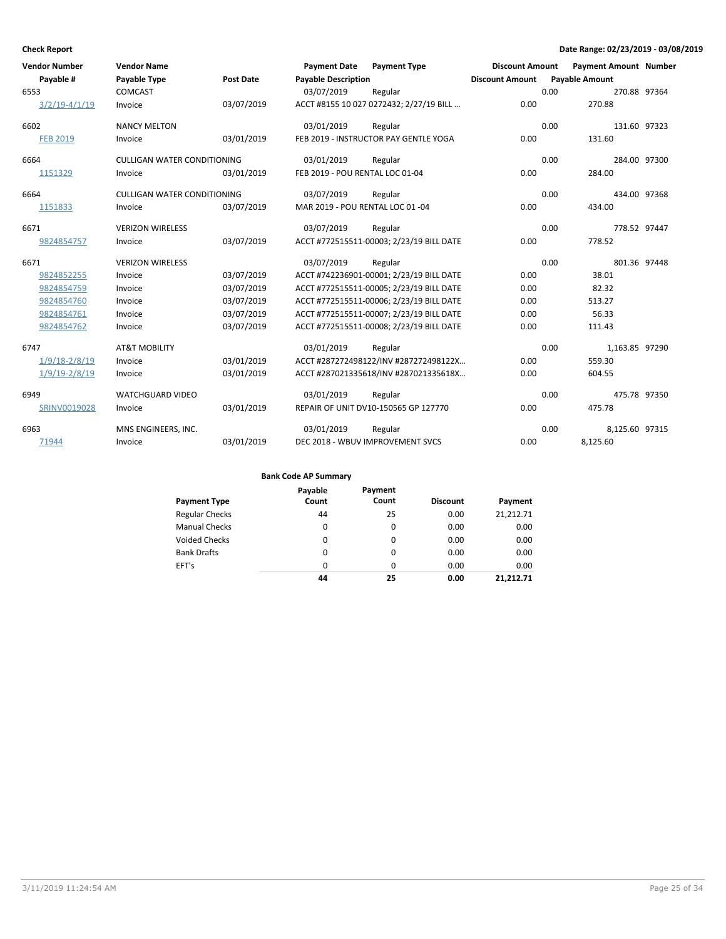| <b>Vendor Number</b> | <b>Vendor Name</b>                 |                  | <b>Payment Date</b>              | <b>Payment Type</b>                      | <b>Discount Amount</b> |      | <b>Payment Amount Number</b> |  |
|----------------------|------------------------------------|------------------|----------------------------------|------------------------------------------|------------------------|------|------------------------------|--|
| Payable #            | Payable Type                       | <b>Post Date</b> | <b>Payable Description</b>       |                                          | <b>Discount Amount</b> |      | <b>Payable Amount</b>        |  |
| 6553                 | <b>COMCAST</b>                     |                  | 03/07/2019                       | Regular                                  |                        | 0.00 | 270.88 97364                 |  |
| $3/2/19 - 4/1/19$    | Invoice                            | 03/07/2019       |                                  | ACCT #8155 10 027 0272432; 2/27/19 BILL  | 0.00                   |      | 270.88                       |  |
| 6602                 | <b>NANCY MELTON</b>                |                  | 03/01/2019                       | Regular                                  |                        | 0.00 | 131.60 97323                 |  |
| <b>FEB 2019</b>      | Invoice                            | 03/01/2019       |                                  | FEB 2019 - INSTRUCTOR PAY GENTLE YOGA    | 0.00                   |      | 131.60                       |  |
| 6664                 | <b>CULLIGAN WATER CONDITIONING</b> |                  | 03/01/2019                       | Regular                                  |                        | 0.00 | 284.00 97300                 |  |
| 1151329              | Invoice                            | 03/01/2019       | FEB 2019 - POU RENTAL LOC 01-04  |                                          | 0.00                   |      | 284.00                       |  |
| 6664                 | <b>CULLIGAN WATER CONDITIONING</b> |                  | 03/07/2019                       | Regular                                  |                        | 0.00 | 434.00 97368                 |  |
| 1151833              | Invoice                            | 03/07/2019       | MAR 2019 - POU RENTAL LOC 01 -04 |                                          | 0.00                   |      | 434.00                       |  |
| 6671                 | <b>VERIZON WIRELESS</b>            |                  | 03/07/2019                       | Regular                                  |                        | 0.00 | 778.52 97447                 |  |
| 9824854757           | Invoice                            | 03/07/2019       |                                  | ACCT #772515511-00003; 2/23/19 BILL DATE | 0.00                   |      | 778.52                       |  |
| 6671                 | <b>VERIZON WIRELESS</b>            |                  | 03/07/2019                       | Regular                                  |                        | 0.00 | 801.36 97448                 |  |
| 9824852255           | Invoice                            | 03/07/2019       |                                  | ACCT #742236901-00001; 2/23/19 BILL DATE | 0.00                   |      | 38.01                        |  |
| 9824854759           | Invoice                            | 03/07/2019       |                                  | ACCT #772515511-00005; 2/23/19 BILL DATE | 0.00                   |      | 82.32                        |  |
| 9824854760           | Invoice                            | 03/07/2019       |                                  | ACCT #772515511-00006; 2/23/19 BILL DATE | 0.00                   |      | 513.27                       |  |
| 9824854761           | Invoice                            | 03/07/2019       |                                  | ACCT #772515511-00007; 2/23/19 BILL DATE | 0.00                   |      | 56.33                        |  |
| 9824854762           | Invoice                            | 03/07/2019       |                                  | ACCT #772515511-00008; 2/23/19 BILL DATE | 0.00                   |      | 111.43                       |  |
| 6747                 | <b>AT&amp;T MOBILITY</b>           |                  | 03/01/2019                       | Regular                                  |                        | 0.00 | 1,163.85 97290               |  |
| $1/9/18 - 2/8/19$    | Invoice                            | 03/01/2019       |                                  | ACCT #287272498122/INV #287272498122X    | 0.00                   |      | 559.30                       |  |
| $1/9/19 - 2/8/19$    | Invoice                            | 03/01/2019       |                                  | ACCT #287021335618/INV #287021335618X    | 0.00                   |      | 604.55                       |  |
| 6949                 | <b>WATCHGUARD VIDEO</b>            |                  | 03/01/2019                       | Regular                                  |                        | 0.00 | 475.78 97350                 |  |
| SRINV0019028         | Invoice                            | 03/01/2019       |                                  | REPAIR OF UNIT DV10-150565 GP 127770     | 0.00                   |      | 475.78                       |  |
| 6963                 | MNS ENGINEERS, INC.                |                  | 03/01/2019                       | Regular                                  |                        | 0.00 | 8,125.60 97315               |  |
| 71944                | Invoice                            | 03/01/2019       |                                  | DEC 2018 - WBUV IMPROVEMENT SVCS         | 0.00                   |      | 8,125.60                     |  |

|                       | Payable | Payment |                 |           |
|-----------------------|---------|---------|-----------------|-----------|
| <b>Payment Type</b>   | Count   | Count   | <b>Discount</b> | Payment   |
| <b>Regular Checks</b> | 44      | 25      | 0.00            | 21.212.71 |
| <b>Manual Checks</b>  | 0       | 0       | 0.00            | 0.00      |
| <b>Voided Checks</b>  | 0       | 0       | 0.00            | 0.00      |
| <b>Bank Drafts</b>    | 0       | 0       | 0.00            | 0.00      |
| EFT's                 | 0       | 0       | 0.00            | 0.00      |
|                       | 44      | 25      | 0.00            | 21.212.71 |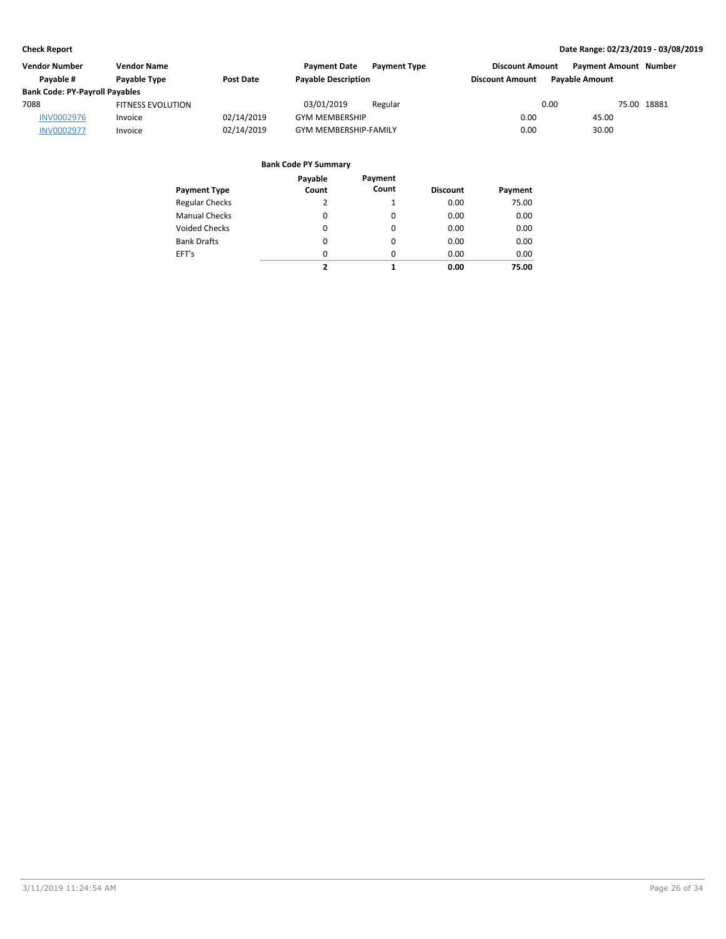| <b>Vendor Number</b>                  | <b>Vendor Name</b>       |                  | <b>Payment Date</b><br><b>Payment Type</b> | <b>Discount Amount</b> | <b>Payment Amount Number</b> |
|---------------------------------------|--------------------------|------------------|--------------------------------------------|------------------------|------------------------------|
| Pavable #                             | Payable Type             | <b>Post Date</b> | <b>Payable Description</b>                 | <b>Discount Amount</b> | <b>Pavable Amount</b>        |
| <b>Bank Code: PY-Payroll Payables</b> |                          |                  |                                            |                        |                              |
| 7088                                  | <b>FITNESS EVOLUTION</b> |                  | 03/01/2019<br>Regular                      | 0.00                   | 75.00 18881                  |
| <b>INV0002976</b>                     | Invoice                  | 02/14/2019       | <b>GYM MEMBERSHIP</b>                      | 0.00                   | 45.00                        |
| <b>INV0002977</b>                     | Invoice                  | 02/14/2019       | <b>GYM MEMBERSHIP-FAMILY</b>               | 0.00                   | 30.00                        |

| Payment Type          | Payable<br>Count | Payment<br>Count | <b>Discount</b> | Payment |
|-----------------------|------------------|------------------|-----------------|---------|
| <b>Regular Checks</b> | 2                | 1                | 0.00            | 75.00   |
| <b>Manual Checks</b>  | 0                | 0                | 0.00            | 0.00    |
| <b>Voided Checks</b>  | 0                | 0                | 0.00            | 0.00    |
| <b>Bank Drafts</b>    | 0                | 0                | 0.00            | 0.00    |
| EFT's                 | 0                | 0                | 0.00            | 0.00    |
|                       | 2                | 1                | 0.00            | 75.00   |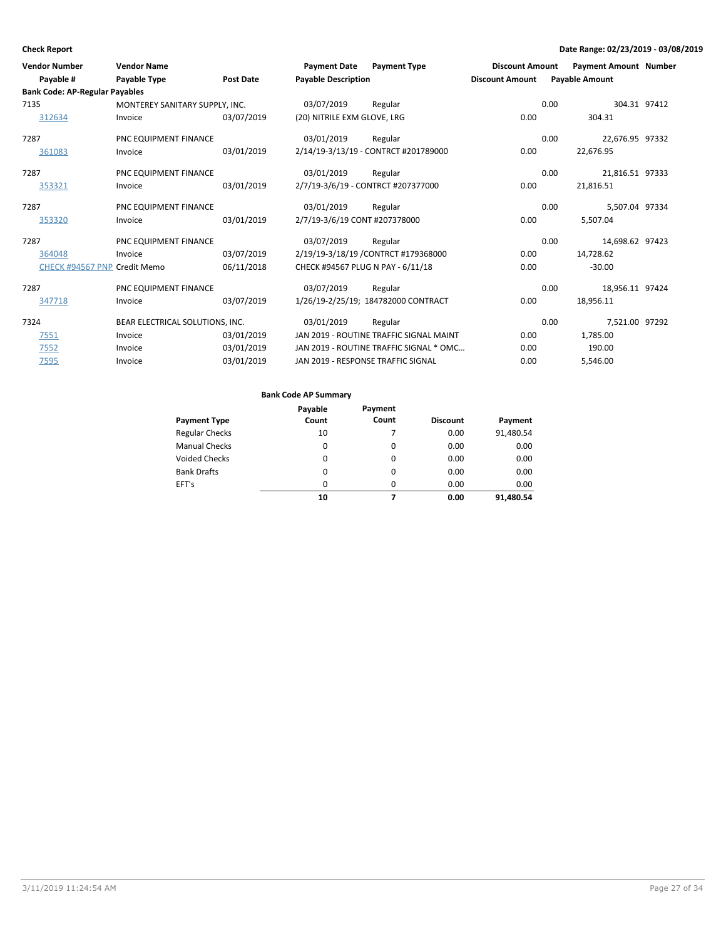| <b>Vendor Number</b>                  | <b>Vendor Name</b>              |                  | <b>Payment Date</b>           | <b>Payment Type</b>                     | <b>Discount Amount</b> | <b>Payment Amount Number</b> |                 |
|---------------------------------------|---------------------------------|------------------|-------------------------------|-----------------------------------------|------------------------|------------------------------|-----------------|
| Payable #                             | Payable Type                    | <b>Post Date</b> | <b>Payable Description</b>    |                                         | <b>Discount Amount</b> | <b>Payable Amount</b>        |                 |
| <b>Bank Code: AP-Regular Payables</b> |                                 |                  |                               |                                         |                        |                              |                 |
| 7135                                  | MONTEREY SANITARY SUPPLY, INC.  |                  | 03/07/2019                    | Regular                                 |                        | 0.00                         | 304.31 97412    |
| 312634                                | Invoice                         | 03/07/2019       | (20) NITRILE EXM GLOVE, LRG   |                                         | 0.00                   | 304.31                       |                 |
| 7287                                  | PNC EQUIPMENT FINANCE           |                  | 03/01/2019                    | Regular                                 |                        | 0.00                         | 22,676.95 97332 |
| 361083                                | Invoice                         | 03/01/2019       |                               | 2/14/19-3/13/19 - CONTRCT #201789000    | 0.00                   | 22,676.95                    |                 |
| 7287                                  | PNC EQUIPMENT FINANCE           |                  | 03/01/2019                    | Regular                                 |                        | 0.00                         | 21,816.51 97333 |
| 353321                                | Invoice                         | 03/01/2019       |                               | 2/7/19-3/6/19 - CONTRCT #207377000      | 0.00                   | 21,816.51                    |                 |
| 7287                                  | PNC EQUIPMENT FINANCE           |                  | 03/01/2019                    | Regular                                 |                        | 0.00                         | 5,507.04 97334  |
| 353320                                | Invoice                         | 03/01/2019       | 2/7/19-3/6/19 CONT #207378000 |                                         | 0.00                   | 5,507.04                     |                 |
| 7287                                  | PNC EQUIPMENT FINANCE           |                  | 03/07/2019                    | Regular                                 |                        | 0.00                         | 14,698.62 97423 |
| 364048                                | Invoice                         | 03/07/2019       |                               | 2/19/19-3/18/19 / CONTRCT #179368000    | 0.00                   | 14,728.62                    |                 |
| CHECK #94567 PNP Credit Memo          |                                 | 06/11/2018       |                               | CHECK #94567 PLUG N PAY - 6/11/18       | 0.00                   | $-30.00$                     |                 |
| 7287                                  | PNC EQUIPMENT FINANCE           |                  | 03/07/2019                    | Regular                                 |                        | 0.00                         | 18,956.11 97424 |
| 347718                                | Invoice                         | 03/07/2019       |                               | 1/26/19-2/25/19; 184782000 CONTRACT     | 0.00                   | 18,956.11                    |                 |
| 7324                                  | BEAR ELECTRICAL SOLUTIONS, INC. |                  | 03/01/2019                    | Regular                                 |                        | 0.00                         | 7,521.00 97292  |
| 7551                                  | Invoice                         | 03/01/2019       |                               | JAN 2019 - ROUTINE TRAFFIC SIGNAL MAINT | 0.00                   | 1,785.00                     |                 |
| 7552                                  | Invoice                         | 03/01/2019       |                               | JAN 2019 - ROUTINE TRAFFIC SIGNAL * OMC | 0.00                   | 190.00                       |                 |
| 7595                                  | Invoice                         | 03/01/2019       |                               | JAN 2019 - RESPONSE TRAFFIC SIGNAL      | 0.00                   | 5,546.00                     |                 |
|                                       |                                 |                  |                               |                                         |                        |                              |                 |

|                       | Payable | Payment  |                 |           |
|-----------------------|---------|----------|-----------------|-----------|
| <b>Payment Type</b>   | Count   | Count    | <b>Discount</b> | Payment   |
| <b>Regular Checks</b> | 10      |          | 0.00            | 91,480.54 |
| <b>Manual Checks</b>  | 0       | $\Omega$ | 0.00            | 0.00      |
| <b>Voided Checks</b>  | 0       | $\Omega$ | 0.00            | 0.00      |
| <b>Bank Drafts</b>    | 0       | $\Omega$ | 0.00            | 0.00      |
| EFT's                 | 0       | $\Omega$ | 0.00            | 0.00      |
|                       | 10      | 7        | 0.00            | 91.480.54 |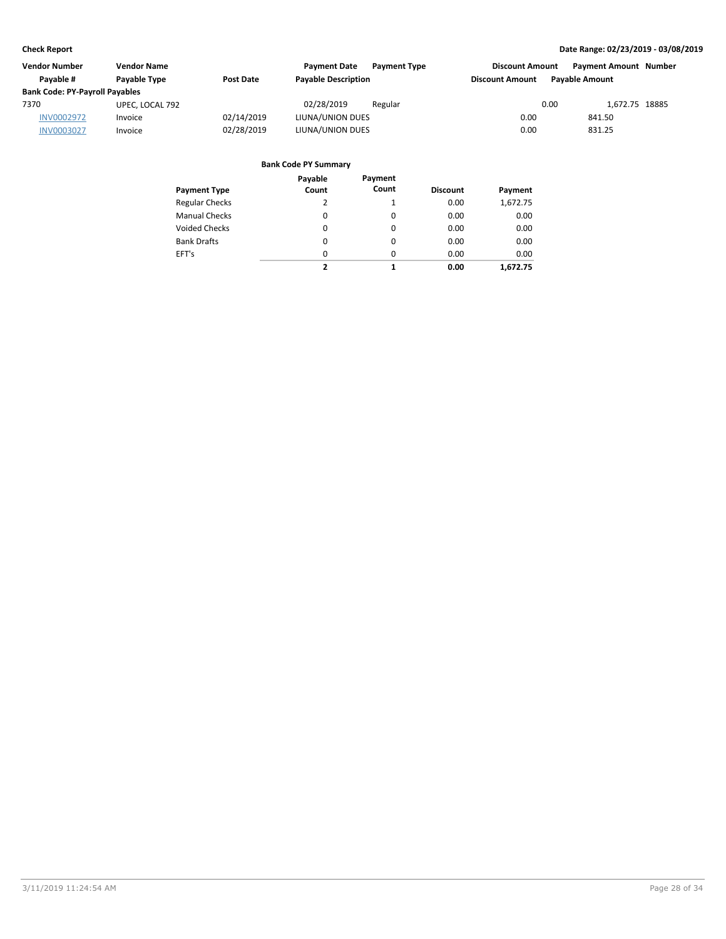| <b>Vendor Number</b>                  | <b>Vendor Name</b>  |            | <b>Payment Date</b>        | <b>Payment Type</b> | <b>Discount Amount</b> | <b>Payment Amount Number</b> |  |
|---------------------------------------|---------------------|------------|----------------------------|---------------------|------------------------|------------------------------|--|
| Pavable #                             | <b>Pavable Type</b> | Post Date  | <b>Payable Description</b> |                     | <b>Discount Amount</b> | <b>Pavable Amount</b>        |  |
| <b>Bank Code: PY-Payroll Payables</b> |                     |            |                            |                     |                        |                              |  |
| 7370                                  | UPEC, LOCAL 792     |            | 02/28/2019                 | Regular             |                        | 0.00<br>1.672.75 18885       |  |
| <b>INV0002972</b>                     | Invoice             | 02/14/2019 | LIUNA/UNION DUES           |                     | 0.00                   | 841.50                       |  |
| <b>INV0003027</b>                     | Invoice             | 02/28/2019 | LIUNA/UNION DUES           |                     | 0.00                   | 831.25                       |  |

| Payment Type          | Payable<br>Count | Payment<br>Count | <b>Discount</b> | Payment  |
|-----------------------|------------------|------------------|-----------------|----------|
| <b>Regular Checks</b> | 2                | $\mathbf{1}$     | 0.00            | 1,672.75 |
| <b>Manual Checks</b>  | 0                | $\Omega$         | 0.00            | 0.00     |
| <b>Voided Checks</b>  | 0                | $\Omega$         | 0.00            | 0.00     |
| <b>Bank Drafts</b>    | 0                | $\Omega$         | 0.00            | 0.00     |
| EFT's                 | 0                | $\Omega$         | 0.00            | 0.00     |
|                       | 2                | 1                | 0.00            | 1.672.75 |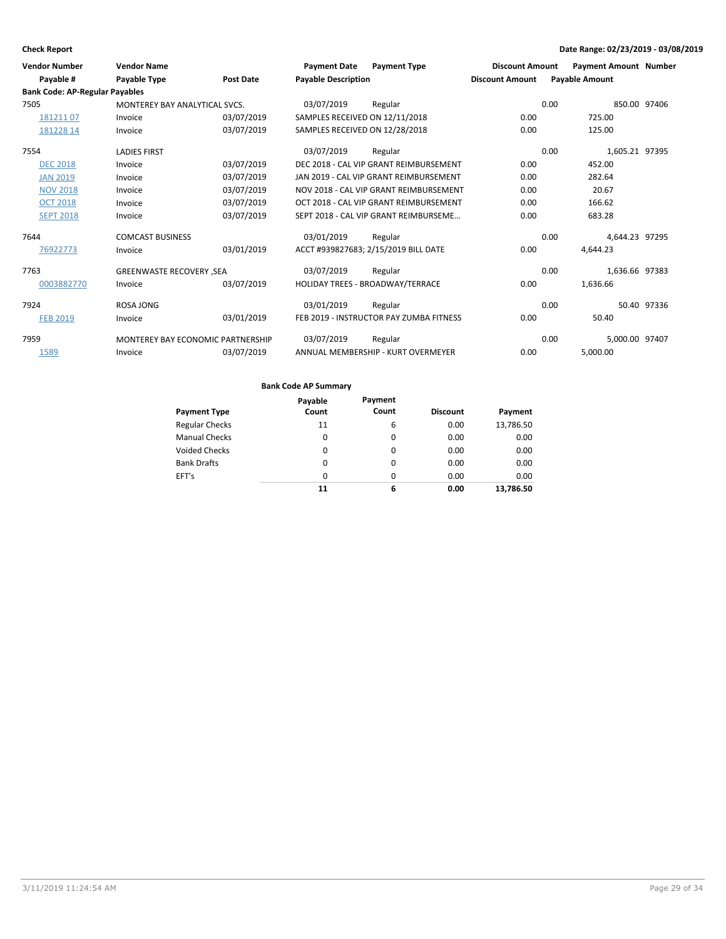| <b>Vendor Number</b>                  | <b>Vendor Name</b>                       |                  | <b>Payment Date</b>            | <b>Payment Type</b>                     | <b>Discount Amount</b> | <b>Payment Amount Number</b> |              |
|---------------------------------------|------------------------------------------|------------------|--------------------------------|-----------------------------------------|------------------------|------------------------------|--------------|
| Payable #                             | <b>Payable Type</b>                      | <b>Post Date</b> | <b>Payable Description</b>     |                                         | <b>Discount Amount</b> | <b>Payable Amount</b>        |              |
| <b>Bank Code: AP-Regular Payables</b> |                                          |                  |                                |                                         |                        |                              |              |
| 7505                                  | MONTEREY BAY ANALYTICAL SVCS.            |                  | 03/07/2019                     | Regular                                 |                        | 0.00                         | 850.00 97406 |
| 18121107                              | Invoice                                  | 03/07/2019       | SAMPLES RECEIVED ON 12/11/2018 |                                         | 0.00                   | 725.00                       |              |
| 181228 14                             | Invoice                                  | 03/07/2019       | SAMPLES RECEIVED ON 12/28/2018 |                                         | 0.00                   | 125.00                       |              |
| 7554                                  | <b>LADIES FIRST</b>                      |                  | 03/07/2019                     | Regular                                 |                        | 0.00<br>1,605.21 97395       |              |
| <b>DEC 2018</b>                       | Invoice                                  | 03/07/2019       |                                | DEC 2018 - CAL VIP GRANT REIMBURSEMENT  | 0.00                   | 452.00                       |              |
| <b>JAN 2019</b>                       | Invoice                                  | 03/07/2019       |                                | JAN 2019 - CAL VIP GRANT REIMBURSEMENT  | 0.00                   | 282.64                       |              |
| <b>NOV 2018</b>                       | Invoice                                  | 03/07/2019       |                                | NOV 2018 - CAL VIP GRANT REIMBURSEMENT  | 0.00                   | 20.67                        |              |
| <b>OCT 2018</b>                       | Invoice                                  | 03/07/2019       |                                | OCT 2018 - CAL VIP GRANT REIMBURSEMENT  | 0.00                   | 166.62                       |              |
| <b>SEPT 2018</b>                      | Invoice                                  | 03/07/2019       |                                | SEPT 2018 - CAL VIP GRANT REIMBURSEME   | 0.00                   | 683.28                       |              |
| 7644                                  | <b>COMCAST BUSINESS</b>                  |                  | 03/01/2019                     | Regular                                 |                        | 4,644.23 97295<br>0.00       |              |
| 76922773                              | Invoice                                  | 03/01/2019       |                                | ACCT #939827683; 2/15/2019 BILL DATE    | 0.00                   | 4,644.23                     |              |
| 7763                                  | <b>GREENWASTE RECOVERY ,SEA</b>          |                  | 03/07/2019                     | Regular                                 |                        | 0.00<br>1,636.66 97383       |              |
| 0003882770                            | Invoice                                  | 03/07/2019       |                                | HOLIDAY TREES - BROADWAY/TERRACE        | 0.00                   | 1,636.66                     |              |
| 7924                                  | ROSA JONG                                |                  | 03/01/2019                     | Regular                                 |                        | 0.00                         | 50.40 97336  |
| <b>FEB 2019</b>                       | Invoice                                  | 03/01/2019       |                                | FEB 2019 - INSTRUCTOR PAY ZUMBA FITNESS | 0.00                   | 50.40                        |              |
| 7959                                  | <b>MONTEREY BAY ECONOMIC PARTNERSHIP</b> |                  | 03/07/2019                     | Regular                                 |                        | 5.000.00 97407<br>0.00       |              |
| 1589                                  | Invoice                                  | 03/07/2019       |                                | ANNUAL MEMBERSHIP - KURT OVERMEYER      | 0.00                   | 5.000.00                     |              |

|                       | Payable  | Payment  |                 |           |
|-----------------------|----------|----------|-----------------|-----------|
| <b>Payment Type</b>   | Count    | Count    | <b>Discount</b> | Payment   |
| <b>Regular Checks</b> | 11       | 6        | 0.00            | 13,786.50 |
| <b>Manual Checks</b>  | $\Omega$ | 0        | 0.00            | 0.00      |
| <b>Voided Checks</b>  | $\Omega$ | $\Omega$ | 0.00            | 0.00      |
| <b>Bank Drafts</b>    | $\Omega$ | $\Omega$ | 0.00            | 0.00      |
| EFT's                 | $\Omega$ | $\Omega$ | 0.00            | 0.00      |
|                       | 11       | 6        | 0.00            | 13,786.50 |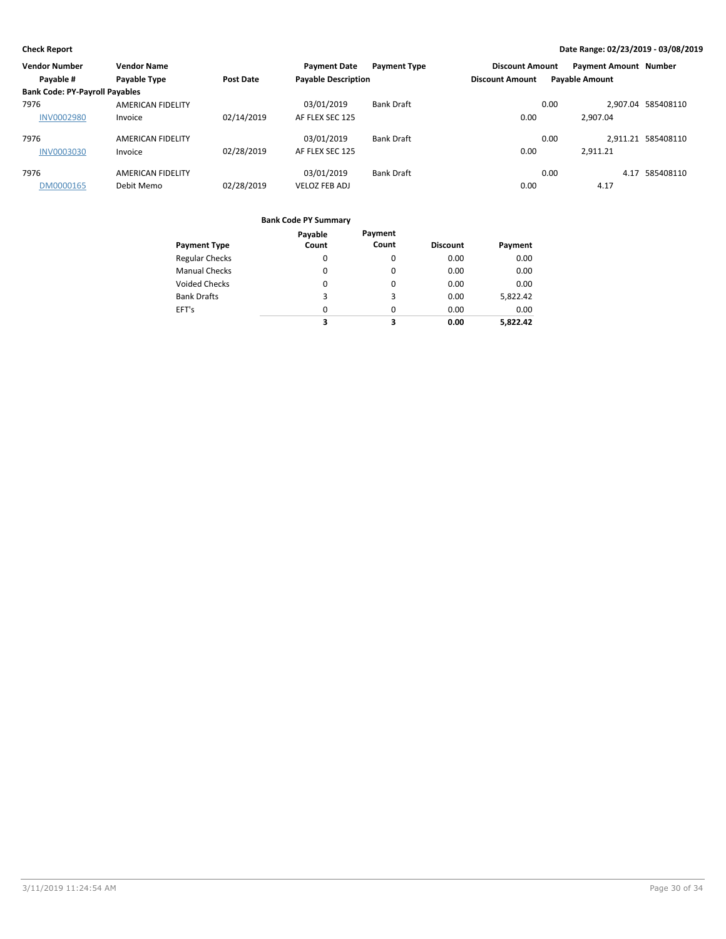| <b>Vendor Number</b>                  | <b>Vendor Name</b>       |                  | <b>Payment Date</b>        | <b>Payment Type</b> | <b>Discount Amount</b> |      | <b>Payment Amount Number</b> |                    |
|---------------------------------------|--------------------------|------------------|----------------------------|---------------------|------------------------|------|------------------------------|--------------------|
| Payable #                             | Payable Type             | <b>Post Date</b> | <b>Payable Description</b> |                     | <b>Discount Amount</b> |      | <b>Payable Amount</b>        |                    |
| <b>Bank Code: PY-Payroll Payables</b> |                          |                  |                            |                     |                        |      |                              |                    |
| 7976                                  | <b>AMERICAN FIDELITY</b> |                  | 03/01/2019                 | <b>Bank Draft</b>   |                        | 0.00 |                              | 2.907.04 585408110 |
| <b>INV0002980</b>                     | Invoice                  | 02/14/2019       | AF FLEX SEC 125            |                     | 0.00                   |      | 2.907.04                     |                    |
| 7976                                  | <b>AMERICAN FIDELITY</b> |                  | 03/01/2019                 | <b>Bank Draft</b>   |                        | 0.00 |                              | 2.911.21 585408110 |
| <b>INV0003030</b>                     | Invoice                  | 02/28/2019       | AF FLEX SEC 125            |                     | 0.00                   |      | 2,911.21                     |                    |
| 7976                                  | <b>AMERICAN FIDELITY</b> |                  | 03/01/2019                 | <b>Bank Draft</b>   |                        | 0.00 | 4.17                         | 585408110          |
| DM0000165                             | Debit Memo               | 02/28/2019       | <b>VELOZ FEB ADJ</b>       |                     | 0.00                   |      | 4.17                         |                    |

|                       | Payable  | Payment  |                 |          |
|-----------------------|----------|----------|-----------------|----------|
| <b>Payment Type</b>   | Count    | Count    | <b>Discount</b> | Payment  |
| <b>Regular Checks</b> | 0        | 0        | 0.00            | 0.00     |
| <b>Manual Checks</b>  | $\Omega$ | $\Omega$ | 0.00            | 0.00     |
| <b>Voided Checks</b>  | 0        | 0        | 0.00            | 0.00     |
| <b>Bank Drafts</b>    | 3        | 3        | 0.00            | 5,822.42 |
| EFT's                 | 0        | $\Omega$ | 0.00            | 0.00     |
|                       | 3        | 3        | 0.00            | 5.822.42 |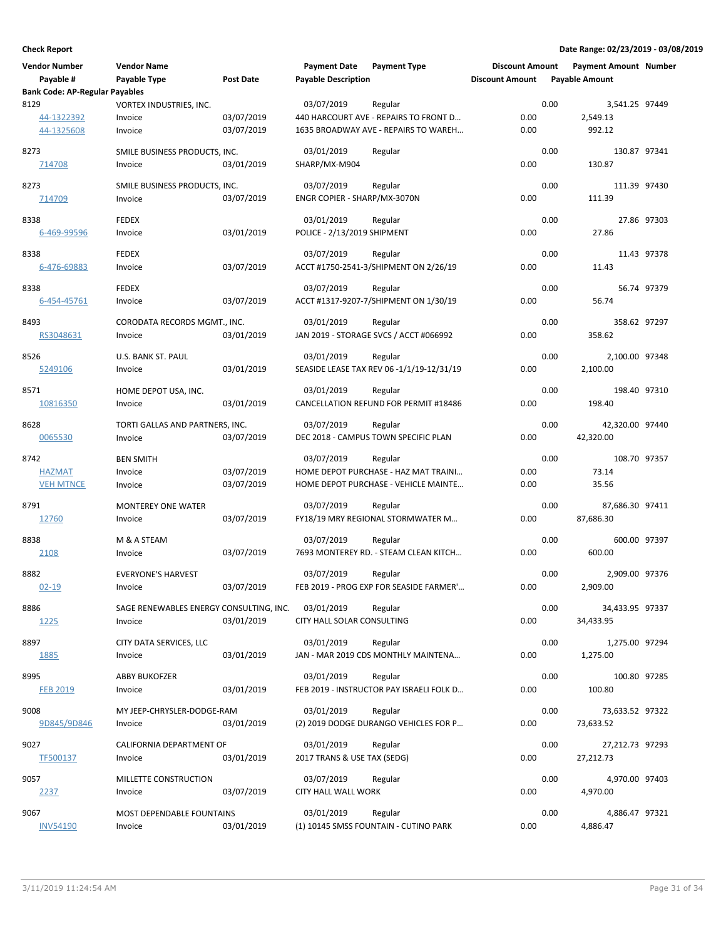| <b>Vendor Number</b><br>Payable #     | <b>Vendor Name</b><br>Payable Type      | <b>Post Date</b> | <b>Payment Date</b><br><b>Payable Description</b> | <b>Payment Type</b>                       | <b>Discount Amount</b><br><b>Discount Amount</b> |      | <b>Payment Amount Number</b><br><b>Payable Amount</b> |             |
|---------------------------------------|-----------------------------------------|------------------|---------------------------------------------------|-------------------------------------------|--------------------------------------------------|------|-------------------------------------------------------|-------------|
| <b>Bank Code: AP-Regular Payables</b> |                                         |                  |                                                   |                                           |                                                  |      |                                                       |             |
| 8129                                  | VORTEX INDUSTRIES, INC.                 |                  | 03/07/2019                                        | Regular                                   |                                                  | 0.00 | 3,541.25 97449                                        |             |
| 44-1322392                            | Invoice                                 | 03/07/2019       |                                                   | 440 HARCOURT AVE - REPAIRS TO FRONT D     | 0.00                                             |      | 2,549.13                                              |             |
| 44-1325608                            | Invoice                                 | 03/07/2019       |                                                   | 1635 BROADWAY AVE - REPAIRS TO WAREH      | 0.00                                             |      | 992.12                                                |             |
| 8273                                  | SMILE BUSINESS PRODUCTS, INC.           |                  | 03/01/2019                                        |                                           |                                                  | 0.00 | 130.87 97341                                          |             |
| 714708                                | Invoice                                 | 03/01/2019       | SHARP/MX-M904                                     | Regular                                   | 0.00                                             |      | 130.87                                                |             |
|                                       |                                         |                  |                                                   |                                           |                                                  |      |                                                       |             |
| 8273                                  | SMILE BUSINESS PRODUCTS, INC.           |                  | 03/07/2019                                        | Regular                                   |                                                  | 0.00 | 111.39 97430                                          |             |
| 714709                                | Invoice                                 | 03/07/2019       | ENGR COPIER - SHARP/MX-3070N                      |                                           | 0.00                                             |      | 111.39                                                |             |
| 8338                                  | <b>FEDEX</b>                            |                  | 03/01/2019                                        | Regular                                   |                                                  | 0.00 |                                                       | 27.86 97303 |
| 6-469-99596                           | Invoice                                 | 03/01/2019       | POLICE - 2/13/2019 SHIPMENT                       |                                           | 0.00                                             |      | 27.86                                                 |             |
|                                       |                                         |                  |                                                   |                                           |                                                  |      |                                                       |             |
| 8338                                  | <b>FEDEX</b>                            |                  | 03/07/2019                                        | Regular                                   |                                                  | 0.00 |                                                       | 11.43 97378 |
| 6-476-69883                           | Invoice                                 | 03/07/2019       |                                                   | ACCT #1750-2541-3/SHIPMENT ON 2/26/19     | 0.00                                             |      | 11.43                                                 |             |
| 8338                                  | <b>FEDEX</b>                            |                  | 03/07/2019                                        | Regular                                   |                                                  | 0.00 |                                                       | 56.74 97379 |
| 6-454-45761                           | Invoice                                 | 03/07/2019       |                                                   | ACCT #1317-9207-7/SHIPMENT ON 1/30/19     | 0.00                                             |      | 56.74                                                 |             |
|                                       |                                         |                  |                                                   |                                           |                                                  |      |                                                       |             |
| 8493                                  | CORODATA RECORDS MGMT., INC.            |                  | 03/01/2019                                        | Regular                                   |                                                  | 0.00 | 358.62 97297                                          |             |
| RS3048631                             | Invoice                                 | 03/01/2019       |                                                   | JAN 2019 - STORAGE SVCS / ACCT #066992    | 0.00                                             |      | 358.62                                                |             |
| 8526                                  | U.S. BANK ST. PAUL                      |                  | 03/01/2019                                        | Regular                                   |                                                  | 0.00 | 2,100.00 97348                                        |             |
| 5249106                               | Invoice                                 | 03/01/2019       |                                                   | SEASIDE LEASE TAX REV 06 -1/1/19-12/31/19 | 0.00                                             |      | 2,100.00                                              |             |
|                                       |                                         |                  |                                                   |                                           |                                                  |      |                                                       |             |
| 8571                                  | HOME DEPOT USA, INC.                    |                  | 03/01/2019                                        | Regular                                   |                                                  | 0.00 | 198.40 97310                                          |             |
| 10816350                              | Invoice                                 | 03/01/2019       |                                                   | CANCELLATION REFUND FOR PERMIT #18486     | 0.00                                             |      | 198.40                                                |             |
| 8628                                  | TORTI GALLAS AND PARTNERS, INC.         |                  | 03/07/2019                                        | Regular                                   |                                                  | 0.00 | 42,320.00 97440                                       |             |
| 0065530                               | Invoice                                 | 03/07/2019       |                                                   | DEC 2018 - CAMPUS TOWN SPECIFIC PLAN      | 0.00                                             |      | 42,320.00                                             |             |
|                                       |                                         |                  |                                                   |                                           |                                                  |      |                                                       |             |
| 8742                                  | <b>BEN SMITH</b>                        |                  | 03/07/2019                                        | Regular                                   |                                                  | 0.00 | 108.70 97357                                          |             |
| <b>HAZMAT</b>                         | Invoice                                 | 03/07/2019       |                                                   | HOME DEPOT PURCHASE - HAZ MAT TRAINI      | 0.00                                             |      | 73.14                                                 |             |
| <b>VEH MTNCE</b>                      | Invoice                                 | 03/07/2019       |                                                   | HOME DEPOT PURCHASE - VEHICLE MAINTE      | 0.00                                             |      | 35.56                                                 |             |
| 8791                                  | <b>MONTEREY ONE WATER</b>               |                  | 03/07/2019                                        | Regular                                   |                                                  | 0.00 | 87,686.30 97411                                       |             |
| 12760                                 | Invoice                                 | 03/07/2019       |                                                   | FY18/19 MRY REGIONAL STORMWATER M         | 0.00                                             |      | 87,686.30                                             |             |
|                                       |                                         |                  |                                                   |                                           |                                                  |      |                                                       |             |
| 8838                                  | M & A STEAM                             |                  | 03/07/2019                                        | Regular                                   |                                                  | 0.00 | 600.00 97397                                          |             |
| 2108                                  | Invoice                                 | 03/07/2019       |                                                   | 7693 MONTEREY RD. - STEAM CLEAN KITCH     | 0.00                                             |      | 600.00                                                |             |
| 8882                                  | <b>EVERYONE'S HARVEST</b>               |                  | 03/07/2019                                        | Regular                                   |                                                  | 0.00 | 2,909.00 97376                                        |             |
| $02 - 19$                             | Invoice                                 | 03/07/2019       |                                                   | FEB 2019 - PROG EXP FOR SEASIDE FARMER'   | 0.00                                             |      | 2,909.00                                              |             |
|                                       |                                         |                  |                                                   |                                           |                                                  |      |                                                       |             |
| 8886                                  | SAGE RENEWABLES ENERGY CONSULTING, INC. |                  | 03/01/2019                                        | Regular                                   |                                                  | 0.00 | 34,433.95 97337                                       |             |
| 1225                                  | Invoice                                 | 03/01/2019       | CITY HALL SOLAR CONSULTING                        |                                           | 0.00                                             |      | 34,433.95                                             |             |
| 8897                                  | CITY DATA SERVICES, LLC                 |                  | 03/01/2019                                        | Regular                                   |                                                  | 0.00 | 1,275.00 97294                                        |             |
| 1885                                  | Invoice                                 | 03/01/2019       |                                                   | JAN - MAR 2019 CDS MONTHLY MAINTENA       | 0.00                                             |      | 1,275.00                                              |             |
|                                       |                                         |                  |                                                   |                                           |                                                  |      |                                                       |             |
| 8995                                  | <b>ABBY BUKOFZER</b>                    |                  | 03/01/2019                                        | Regular                                   |                                                  | 0.00 | 100.80 97285                                          |             |
| <b>FEB 2019</b>                       | Invoice                                 | 03/01/2019       |                                                   | FEB 2019 - INSTRUCTOR PAY ISRAELI FOLK D  | 0.00                                             |      | 100.80                                                |             |
| 9008                                  | MY JEEP-CHRYSLER-DODGE-RAM              |                  | 03/01/2019                                        | Regular                                   |                                                  | 0.00 | 73,633.52 97322                                       |             |
| 9D845/9D846                           | Invoice                                 | 03/01/2019       |                                                   | (2) 2019 DODGE DURANGO VEHICLES FOR P     | 0.00                                             |      | 73,633.52                                             |             |
|                                       |                                         |                  |                                                   |                                           |                                                  |      |                                                       |             |
| 9027                                  | CALIFORNIA DEPARTMENT OF                |                  | 03/01/2019                                        | Regular                                   |                                                  | 0.00 | 27,212.73 97293                                       |             |
| TF500137                              | Invoice                                 | 03/01/2019       | 2017 TRANS & USE TAX (SEDG)                       |                                           | 0.00                                             |      | 27,212.73                                             |             |
| 9057                                  | MILLETTE CONSTRUCTION                   |                  | 03/07/2019                                        | Regular                                   |                                                  | 0.00 | 4,970.00 97403                                        |             |
| 2237                                  | Invoice                                 | 03/07/2019       | CITY HALL WALL WORK                               |                                           | 0.00                                             |      | 4,970.00                                              |             |
|                                       |                                         |                  |                                                   |                                           |                                                  |      |                                                       |             |
| 9067                                  | MOST DEPENDABLE FOUNTAINS               |                  | 03/01/2019                                        | Regular                                   |                                                  | 0.00 | 4,886.47 97321                                        |             |
| <b>INV54190</b>                       | Invoice                                 | 03/01/2019       |                                                   | (1) 10145 SMSS FOUNTAIN - CUTINO PARK     | 0.00                                             |      | 4,886.47                                              |             |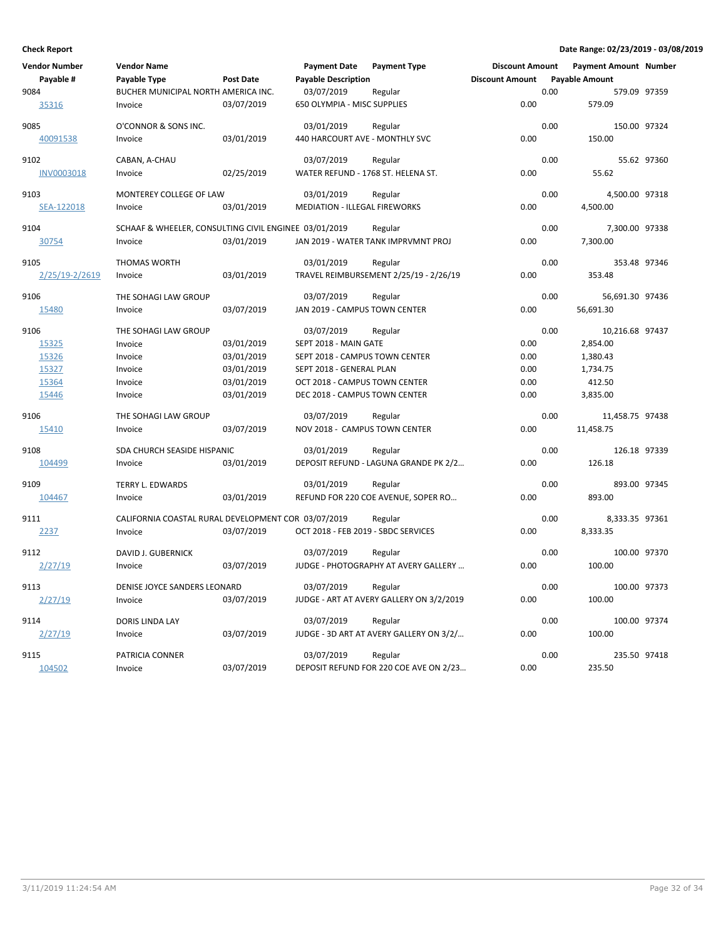| <b>Vendor Number</b><br>Payable # | <b>Vendor Name</b><br>Payable Type                    | <b>Post Date</b> | <b>Payment Date</b><br><b>Payable Description</b> | <b>Payment Type</b>                      | <b>Discount Amount</b><br><b>Discount Amount</b> |      | <b>Payment Amount Number</b><br><b>Payable Amount</b> |             |
|-----------------------------------|-------------------------------------------------------|------------------|---------------------------------------------------|------------------------------------------|--------------------------------------------------|------|-------------------------------------------------------|-------------|
| 9084<br>35316                     | BUCHER MUNICIPAL NORTH AMERICA INC.<br>Invoice        | 03/07/2019       | 03/07/2019<br>650 OLYMPIA - MISC SUPPLIES         | Regular                                  | 0.00                                             | 0.00 | 579.09 97359<br>579.09                                |             |
| 9085                              | O'CONNOR & SONS INC.                                  |                  | 03/01/2019                                        | Regular                                  |                                                  | 0.00 | 150.00 97324                                          |             |
| 40091538                          | Invoice                                               | 03/01/2019       | 440 HARCOURT AVE - MONTHLY SVC                    |                                          | 0.00                                             |      | 150.00                                                |             |
| 9102                              | CABAN, A-CHAU                                         |                  | 03/07/2019                                        | Regular                                  |                                                  | 0.00 |                                                       | 55.62 97360 |
| <b>INV0003018</b>                 | Invoice                                               | 02/25/2019       | WATER REFUND - 1768 ST. HELENA ST.                |                                          | 0.00                                             |      | 55.62                                                 |             |
| 9103                              | MONTEREY COLLEGE OF LAW                               |                  | 03/01/2019                                        | Regular                                  |                                                  | 0.00 | 4,500.00 97318                                        |             |
| SEA-122018                        | Invoice                                               | 03/01/2019       | <b>MEDIATION - ILLEGAL FIREWORKS</b>              |                                          | 0.00                                             |      | 4,500.00                                              |             |
| 9104                              | SCHAAF & WHEELER, CONSULTING CIVIL ENGINEE 03/01/2019 |                  |                                                   | Regular                                  |                                                  | 0.00 | 7,300.00 97338                                        |             |
| 30754                             | Invoice                                               | 03/01/2019       |                                                   | JAN 2019 - WATER TANK IMPRVMNT PROJ      | 0.00                                             |      | 7,300.00                                              |             |
| 9105                              | <b>THOMAS WORTH</b>                                   |                  | 03/01/2019                                        | Regular                                  |                                                  | 0.00 | 353.48 97346                                          |             |
| 2/25/19-2/2619                    | Invoice                                               | 03/01/2019       |                                                   | TRAVEL REIMBURSEMENT 2/25/19 - 2/26/19   | 0.00                                             |      | 353.48                                                |             |
| 9106                              | THE SOHAGI LAW GROUP                                  |                  | 03/07/2019                                        | Regular                                  |                                                  | 0.00 | 56,691.30 97436                                       |             |
| 15480                             | Invoice                                               | 03/07/2019       | JAN 2019 - CAMPUS TOWN CENTER                     |                                          | 0.00                                             |      | 56,691.30                                             |             |
| 9106                              | THE SOHAGI LAW GROUP                                  |                  | 03/07/2019                                        | Regular                                  |                                                  | 0.00 | 10,216.68 97437                                       |             |
| 15325                             | Invoice                                               | 03/01/2019       | SEPT 2018 - MAIN GATE                             |                                          | 0.00                                             |      | 2,854.00                                              |             |
| 15326                             | Invoice                                               | 03/01/2019       | SEPT 2018 - CAMPUS TOWN CENTER                    |                                          | 0.00                                             |      | 1,380.43                                              |             |
| 15327                             | Invoice                                               | 03/01/2019       | SEPT 2018 - GENERAL PLAN                          |                                          | 0.00                                             |      | 1,734.75                                              |             |
| 15364                             | Invoice                                               | 03/01/2019       | OCT 2018 - CAMPUS TOWN CENTER                     |                                          | 0.00                                             |      | 412.50                                                |             |
| 15446                             | Invoice                                               | 03/01/2019       | DEC 2018 - CAMPUS TOWN CENTER                     |                                          | 0.00                                             |      | 3,835.00                                              |             |
| 9106                              | THE SOHAGI LAW GROUP                                  |                  | 03/07/2019                                        | Regular                                  |                                                  | 0.00 | 11,458.75 97438                                       |             |
| 15410                             | Invoice                                               | 03/07/2019       | NOV 2018 - CAMPUS TOWN CENTER                     |                                          | 0.00                                             |      | 11,458.75                                             |             |
| 9108                              | SDA CHURCH SEASIDE HISPANIC                           |                  | 03/01/2019                                        | Regular                                  |                                                  | 0.00 | 126.18 97339                                          |             |
| 104499                            | Invoice                                               | 03/01/2019       |                                                   | DEPOSIT REFUND - LAGUNA GRANDE PK 2/2    | 0.00                                             |      | 126.18                                                |             |
| 9109                              | <b>TERRY L. EDWARDS</b>                               |                  | 03/01/2019                                        | Regular                                  |                                                  | 0.00 | 893.00 97345                                          |             |
| 104467                            | Invoice                                               | 03/01/2019       |                                                   | REFUND FOR 220 COE AVENUE, SOPER RO      | 0.00                                             |      | 893.00                                                |             |
| 9111                              | CALIFORNIA COASTAL RURAL DEVELOPMENT COR 03/07/2019   |                  |                                                   | Regular                                  |                                                  | 0.00 | 8,333.35 97361                                        |             |
| 2237                              | Invoice                                               | 03/07/2019       | OCT 2018 - FEB 2019 - SBDC SERVICES               |                                          | 0.00                                             |      | 8,333.35                                              |             |
| 9112                              | DAVID J. GUBERNICK                                    |                  | 03/07/2019                                        | Regular                                  |                                                  | 0.00 | 100.00 97370                                          |             |
| 2/27/19                           | Invoice                                               | 03/07/2019       |                                                   | JUDGE - PHOTOGRAPHY AT AVERY GALLERY     | 0.00                                             |      | 100.00                                                |             |
| 9113                              | DENISE JOYCE SANDERS LEONARD                          |                  | 03/07/2019                                        | Regular                                  |                                                  | 0.00 | 100.00 97373                                          |             |
| 2/27/19                           | Invoice                                               | 03/07/2019       |                                                   | JUDGE - ART AT AVERY GALLERY ON 3/2/2019 | 0.00                                             |      | 100.00                                                |             |
| 9114                              | DORIS LINDA LAY                                       |                  | 03/07/2019                                        | Regular                                  |                                                  | 0.00 | 100.00 97374                                          |             |
| 2/27/19                           | Invoice                                               | 03/07/2019       |                                                   | JUDGE - 3D ART AT AVERY GALLERY ON 3/2/  | 0.00                                             |      | 100.00                                                |             |
| 9115                              | PATRICIA CONNER                                       |                  | 03/07/2019                                        | Regular                                  |                                                  | 0.00 | 235.50 97418                                          |             |
| 104502                            | Invoice                                               | 03/07/2019       |                                                   | DEPOSIT REFUND FOR 220 COE AVE ON 2/23   | 0.00                                             |      | 235.50                                                |             |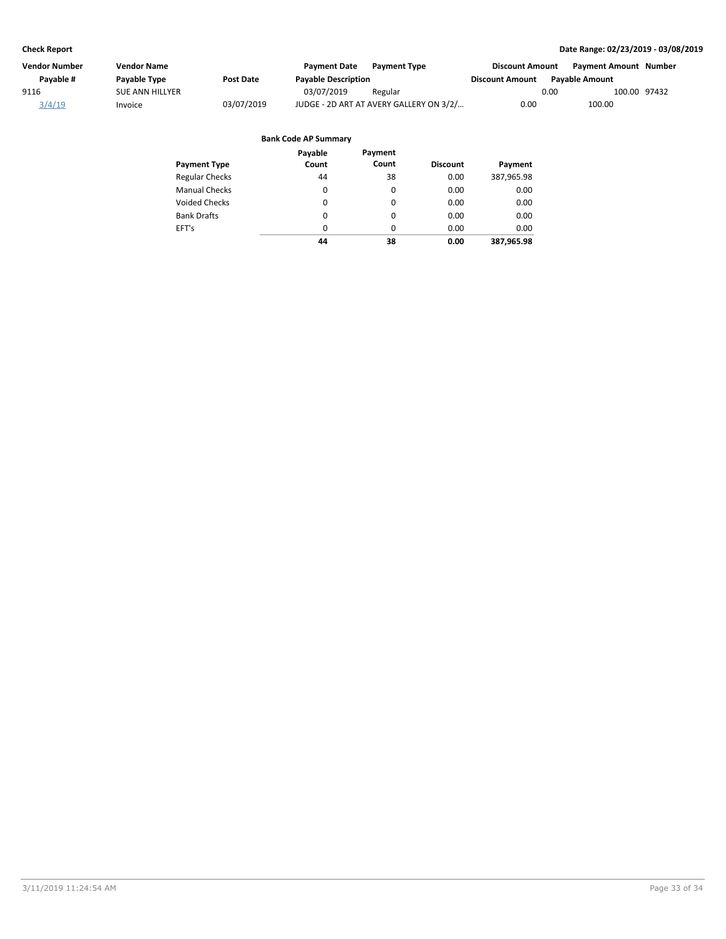| Vendor Number | Vendor Name            |            | <b>Payment Date</b>        | <b>Payment Type</b>                     | <b>Discount Amount</b> |                       | <b>Payment Amount Number</b> |  |
|---------------|------------------------|------------|----------------------------|-----------------------------------------|------------------------|-----------------------|------------------------------|--|
| Payable #     | Payable Type           | Post Date  | <b>Payable Description</b> |                                         | <b>Discount Amount</b> | <b>Pavable Amount</b> |                              |  |
| 9116          | <b>SUE ANN HILLYER</b> |            | 03/07/2019                 | Regular                                 |                        | 0.00                  | 100.00 97432                 |  |
| 3/4/19        | Invoice                | 03/07/2019 |                            | JUDGE - 2D ART AT AVERY GALLERY ON 3/2/ | 0.00                   |                       | 100.00                       |  |
|               |                        |            |                            |                                         |                        |                       |                              |  |
|               |                        |            |                            |                                         |                        |                       |                              |  |

|                       | Payable  | Payment  |                 |            |
|-----------------------|----------|----------|-----------------|------------|
| <b>Payment Type</b>   | Count    | Count    | <b>Discount</b> | Payment    |
| <b>Regular Checks</b> | 44       | 38       | 0.00            | 387,965.98 |
| <b>Manual Checks</b>  | 0        | 0        | 0.00            | 0.00       |
| <b>Voided Checks</b>  | 0        | $\Omega$ | 0.00            | 0.00       |
| <b>Bank Drafts</b>    | $\Omega$ | $\Omega$ | 0.00            | 0.00       |
| EFT's                 | 0        | $\Omega$ | 0.00            | 0.00       |
|                       | 44       | 38       | 0.00            | 387.965.98 |